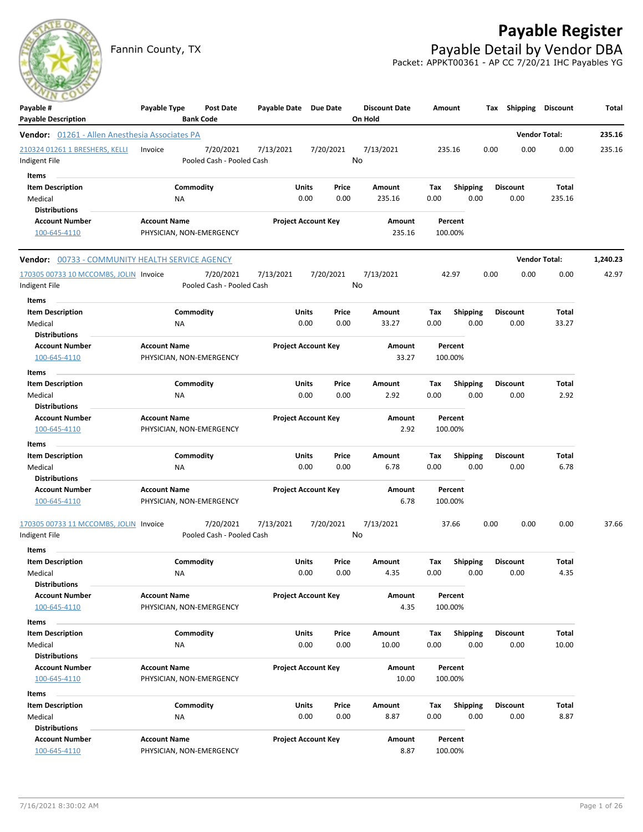# **Payable Register**

Fannin County, TX **Payable Detail by Vendor DBA** Packet: APPKT00361 - AP CC 7/20/21 IHC Payables YG



| Payable #<br><b>Payable Description</b>                       | Payable Type              | <b>Post Date</b><br><b>Bank Code</b>   | Payable Date Due Date |                                    |               | <b>Discount Date</b><br>On Hold | Amount      |                         | Tax  | Shipping                | <b>Discount</b>      | Total    |
|---------------------------------------------------------------|---------------------------|----------------------------------------|-----------------------|------------------------------------|---------------|---------------------------------|-------------|-------------------------|------|-------------------------|----------------------|----------|
| Vendor: 01261 - Allen Anesthesia Associates PA                |                           |                                        |                       |                                    |               |                                 |             |                         |      |                         | <b>Vendor Total:</b> | 235.16   |
| 210324 01261 1 BRESHERS, KELLI<br>Indigent File               | Invoice                   | 7/20/2021<br>Pooled Cash - Pooled Cash | 7/13/2021             |                                    | 7/20/2021     | 7/13/2021<br>No                 | 235.16      |                         | 0.00 | 0.00                    | 0.00                 | 235.16   |
| Items<br><b>Item Description</b><br>Medical                   | ΝA                        | Commodity                              |                       | Units<br>0.00                      | Price<br>0.00 | Amount<br>235.16                | Тах<br>0.00 | <b>Shipping</b><br>0.00 |      | <b>Discount</b><br>0.00 | Total<br>235.16      |          |
| <b>Distributions</b><br><b>Account Number</b><br>100-645-4110 | <b>Account Name</b>       | PHYSICIAN, NON-EMERGENCY               |                       | <b>Project Account Key</b>         |               | Amount<br>235.16                |             | Percent<br>100.00%      |      |                         |                      |          |
| Vendor: 00733 - COMMUNITY HEALTH SERVICE AGENCY               |                           |                                        |                       |                                    |               |                                 |             |                         |      |                         | <b>Vendor Total:</b> | 1,240.23 |
| 170305 00733 10 MCCOMBS, JOLIN Invoice<br>Indigent File       |                           | 7/20/2021<br>Pooled Cash - Pooled Cash | 7/13/2021             |                                    | 7/20/2021     | 7/13/2021<br>No                 |             | 42.97                   | 0.00 | 0.00                    | 0.00                 | 42.97    |
| Items<br><b>Item Description</b>                              |                           | Commodity                              |                       | Units                              | Price         | Amount                          | Tax         | <b>Shipping</b>         |      | <b>Discount</b>         | Total                |          |
| Medical<br><b>Distributions</b><br><b>Account Number</b>      | ΝA<br><b>Account Name</b> |                                        |                       | 0.00<br><b>Project Account Key</b> | 0.00          | 33.27<br>Amount                 | 0.00        | 0.00<br>Percent         |      | 0.00                    | 33.27                |          |
| 100-645-4110<br>Items                                         |                           | PHYSICIAN, NON-EMERGENCY               |                       |                                    |               | 33.27                           |             | 100.00%                 |      |                         |                      |          |
| <b>Item Description</b><br>Medical<br><b>Distributions</b>    | ΝA                        | Commodity                              |                       | Units<br>0.00                      | Price<br>0.00 | Amount<br>2.92                  | Tax<br>0.00 | <b>Shipping</b><br>0.00 |      | <b>Discount</b><br>0.00 | <b>Total</b><br>2.92 |          |
| <b>Account Number</b><br>100-645-4110                         | <b>Account Name</b>       | PHYSICIAN, NON-EMERGENCY               |                       | <b>Project Account Key</b>         |               | Amount<br>2.92                  |             | Percent<br>100.00%      |      |                         |                      |          |
| Items<br><b>Item Description</b>                              |                           | Commodity                              |                       | Units                              | Price         | Amount                          | Tax         | <b>Shipping</b>         |      | <b>Discount</b>         | Total                |          |
| Medical<br>Distributions                                      | <b>NA</b>                 |                                        |                       | 0.00                               | 0.00          | 6.78                            | 0.00        | 0.00                    |      | 0.00                    | 6.78                 |          |
| <b>Account Number</b><br>100-645-4110                         | <b>Account Name</b>       | PHYSICIAN, NON-EMERGENCY               |                       | <b>Project Account Key</b>         |               | Amount<br>6.78                  |             | Percent<br>100.00%      |      |                         |                      |          |
| 170305 00733 11 MCCOMBS, JOLIN Invoice<br>Indigent File       |                           | 7/20/2021<br>Pooled Cash - Pooled Cash | 7/13/2021             |                                    | 7/20/2021     | 7/13/2021<br>No                 |             | 37.66                   | 0.00 | 0.00                    | 0.00                 | 37.66    |
| Items<br><b>Item Description</b><br>Medical                   | <b>NA</b>                 | Commodity                              |                       | Units<br>0.00                      | Price<br>0.00 | Amount<br>4.35                  | Тах<br>0.00 | Shipping<br>0.00        |      | <b>Discount</b><br>0.00 | Total<br>4.35        |          |
| Distributions<br><b>Account Number</b>                        | <b>Account Name</b>       |                                        |                       | <b>Project Account Key</b>         |               | Amount                          |             | Percent                 |      |                         |                      |          |
| 100-645-4110<br>Items                                         |                           | PHYSICIAN, NON-EMERGENCY               |                       |                                    |               | 4.35                            |             | 100.00%                 |      |                         |                      |          |
| <b>Item Description</b><br>Medical<br><b>Distributions</b>    | ΝA                        | Commodity                              |                       | <b>Units</b><br>0.00               | Price<br>0.00 | Amount<br>10.00                 | Tax<br>0.00 | <b>Shipping</b><br>0.00 |      | <b>Discount</b><br>0.00 | Total<br>10.00       |          |
| <b>Account Number</b><br>100-645-4110                         | <b>Account Name</b>       | PHYSICIAN, NON-EMERGENCY               |                       | <b>Project Account Key</b>         |               | Amount<br>10.00                 |             | Percent<br>100.00%      |      |                         |                      |          |
| Items<br><b>Item Description</b>                              |                           | Commodity                              |                       | Units                              | Price         | Amount                          | Tax         | <b>Shipping</b>         |      | <b>Discount</b>         | <b>Total</b>         |          |
| Medical<br><b>Distributions</b>                               | ΝA                        |                                        |                       | 0.00                               | 0.00          | 8.87                            | 0.00        | 0.00                    |      | 0.00                    | 8.87                 |          |
| <b>Account Number</b><br>100-645-4110                         | <b>Account Name</b>       | PHYSICIAN, NON-EMERGENCY               |                       | <b>Project Account Key</b>         |               | Amount<br>8.87                  |             | Percent<br>100.00%      |      |                         |                      |          |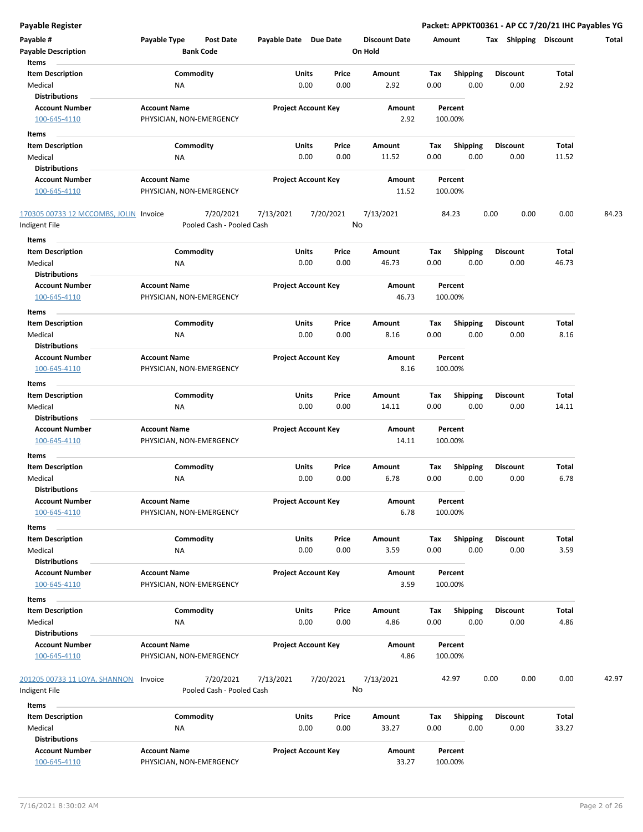| Payable #                                      | Payable Type<br>Post Date                         | Payable Date Due Date      |           | <b>Discount Date</b> | Amount |                 | Shipping<br>Tax | Discount | Total |
|------------------------------------------------|---------------------------------------------------|----------------------------|-----------|----------------------|--------|-----------------|-----------------|----------|-------|
| <b>Payable Description</b>                     | <b>Bank Code</b>                                  |                            |           | On Hold              |        |                 |                 |          |       |
| Items                                          |                                                   |                            |           |                      |        |                 |                 |          |       |
| <b>Item Description</b>                        | Commodity                                         | Units                      | Price     | Amount               | Tax    | <b>Shipping</b> | Discount        | Total    |       |
| Medical<br><b>Distributions</b>                | <b>NA</b>                                         | 0.00                       | 0.00      | 2.92                 | 0.00   | 0.00            | 0.00            | 2.92     |       |
| <b>Account Number</b>                          | <b>Account Name</b>                               | <b>Project Account Key</b> |           | Amount               |        | Percent         |                 |          |       |
| 100-645-4110                                   | PHYSICIAN, NON-EMERGENCY                          |                            |           | 2.92                 |        | 100.00%         |                 |          |       |
| Items                                          |                                                   |                            |           |                      |        |                 |                 |          |       |
| <b>Item Description</b>                        | Commodity                                         | Units                      | Price     | Amount               | Tax    | <b>Shipping</b> | <b>Discount</b> | Total    |       |
| Medical                                        | ΝA                                                | 0.00                       | 0.00      | 11.52                | 0.00   | 0.00            | 0.00            | 11.52    |       |
| <b>Distributions</b>                           |                                                   |                            |           |                      |        |                 |                 |          |       |
| <b>Account Number</b>                          | <b>Account Name</b>                               | <b>Project Account Key</b> |           | Amount               |        | Percent         |                 |          |       |
| 100-645-4110                                   | PHYSICIAN, NON-EMERGENCY                          |                            |           | 11.52                |        | 100.00%         |                 |          |       |
|                                                |                                                   |                            |           |                      |        |                 |                 |          |       |
| 170305 00733 12 MCCOMBS, JOLIN Invoice         | 7/20/2021                                         | 7/13/2021                  | 7/20/2021 | 7/13/2021            |        | 84.23           | 0.00<br>0.00    | 0.00     | 84.23 |
| Indigent File                                  | Pooled Cash - Pooled Cash                         |                            |           | No                   |        |                 |                 |          |       |
| Items                                          |                                                   |                            |           |                      |        |                 |                 |          |       |
| <b>Item Description</b>                        | Commodity                                         | Units                      | Price     | Amount               | Tax    | <b>Shipping</b> | <b>Discount</b> | Total    |       |
| Medical                                        | ΝA                                                | 0.00                       | 0.00      | 46.73                | 0.00   | 0.00            | 0.00            | 46.73    |       |
| <b>Distributions</b>                           |                                                   |                            |           |                      |        |                 |                 |          |       |
| <b>Account Number</b>                          | <b>Account Name</b>                               | <b>Project Account Key</b> |           | Amount               |        | Percent         |                 |          |       |
| 100-645-4110                                   | PHYSICIAN, NON-EMERGENCY                          |                            |           | 46.73                |        | 100.00%         |                 |          |       |
| Items                                          |                                                   |                            |           |                      |        |                 |                 |          |       |
| <b>Item Description</b>                        | Commodity                                         | Units                      | Price     | Amount               | Tax    | <b>Shipping</b> | <b>Discount</b> | Total    |       |
| Medical<br><b>Distributions</b>                | <b>NA</b>                                         | 0.00                       | 0.00      | 8.16                 | 0.00   | 0.00            | 0.00            | 8.16     |       |
| <b>Account Number</b>                          | <b>Account Name</b>                               | <b>Project Account Key</b> |           | Amount               |        | Percent         |                 |          |       |
| 100-645-4110                                   | PHYSICIAN, NON-EMERGENCY                          |                            |           | 8.16                 |        | 100.00%         |                 |          |       |
|                                                |                                                   |                            |           |                      |        |                 |                 |          |       |
| Items<br><b>Item Description</b>               | Commodity                                         | Units                      | Price     | Amount               | Tax    | <b>Shipping</b> | Discount        | Total    |       |
| Medical                                        | <b>NA</b>                                         | 0.00                       | 0.00      | 14.11                | 0.00   | 0.00            | 0.00            | 14.11    |       |
| <b>Distributions</b>                           |                                                   |                            |           |                      |        |                 |                 |          |       |
| <b>Account Number</b>                          | <b>Account Name</b>                               | <b>Project Account Key</b> |           | Amount               |        | Percent         |                 |          |       |
| 100-645-4110                                   | PHYSICIAN, NON-EMERGENCY                          |                            |           | 14.11                |        | 100.00%         |                 |          |       |
| Items                                          |                                                   |                            |           |                      |        |                 |                 |          |       |
| <b>Item Description</b>                        | Commodity                                         | <b>Units</b>               | Price     | Amount               | Tax    | <b>Shipping</b> | <b>Discount</b> | Total    |       |
| Medical                                        | ΝA                                                | 0.00                       | 0.00      | 6.78                 | 0.00   | 0.00            | 0.00            | 6.78     |       |
| <b>Distributions</b>                           |                                                   |                            |           |                      |        |                 |                 |          |       |
| <b>Account Number</b>                          | <b>Account Name</b>                               | <b>Project Account Key</b> |           | Amount               |        | Percent         |                 |          |       |
| 100-645-4110                                   | PHYSICIAN, NON-EMERGENCY                          |                            |           | 6.78                 |        | 100.00%         |                 |          |       |
| Items                                          |                                                   |                            |           |                      |        |                 |                 |          |       |
| <b>Item Description</b>                        | Commodity                                         | Units                      | Price     | Amount               | Tax    | <b>Shipping</b> | <b>Discount</b> | Total    |       |
| Medical                                        | <b>NA</b>                                         | 0.00                       | 0.00      | 3.59                 | 0.00   | 0.00            | 0.00            | 3.59     |       |
| <b>Distributions</b>                           |                                                   |                            |           |                      |        |                 |                 |          |       |
| <b>Account Number</b>                          | <b>Account Name</b>                               | <b>Project Account Key</b> |           | Amount               |        | Percent         |                 |          |       |
| 100-645-4110                                   | PHYSICIAN, NON-EMERGENCY                          |                            |           | 3.59                 |        | 100.00%         |                 |          |       |
| Items                                          |                                                   |                            |           |                      |        |                 |                 |          |       |
| <b>Item Description</b>                        | Commodity                                         | Units                      | Price     | Amount               | Tax    | <b>Shipping</b> | <b>Discount</b> | Total    |       |
| Medical                                        | <b>NA</b>                                         | 0.00                       | 0.00      | 4.86                 | 0.00   | 0.00            | 0.00            | 4.86     |       |
| <b>Distributions</b>                           |                                                   |                            |           |                      |        |                 |                 |          |       |
| <b>Account Number</b>                          | <b>Account Name</b>                               | <b>Project Account Key</b> |           | Amount               |        | Percent         |                 |          |       |
| 100-645-4110                                   | PHYSICIAN, NON-EMERGENCY                          |                            |           | 4.86                 |        | 100.00%         |                 |          |       |
| 201205 00733 11 LOYA, SHANNON<br>Indigent File | 7/20/2021<br>Invoice<br>Pooled Cash - Pooled Cash | 7/13/2021                  | 7/20/2021 | 7/13/2021<br>No      |        | 42.97           | 0.00<br>0.00    | 0.00     | 42.97 |
| Items                                          |                                                   |                            |           |                      |        |                 |                 |          |       |
| <b>Item Description</b>                        | Commodity                                         | Units                      | Price     | Amount               | Tax    | <b>Shipping</b> | <b>Discount</b> | Total    |       |
| Medical                                        | <b>NA</b>                                         | 0.00                       | 0.00      | 33.27                | 0.00   | 0.00            | 0.00            | 33.27    |       |
| <b>Distributions</b>                           |                                                   |                            |           |                      |        |                 |                 |          |       |
| <b>Account Number</b>                          | <b>Account Name</b>                               | <b>Project Account Key</b> |           | Amount               |        | Percent         |                 |          |       |
| 100-645-4110                                   | PHYSICIAN, NON-EMERGENCY                          |                            |           | 33.27                |        | 100.00%         |                 |          |       |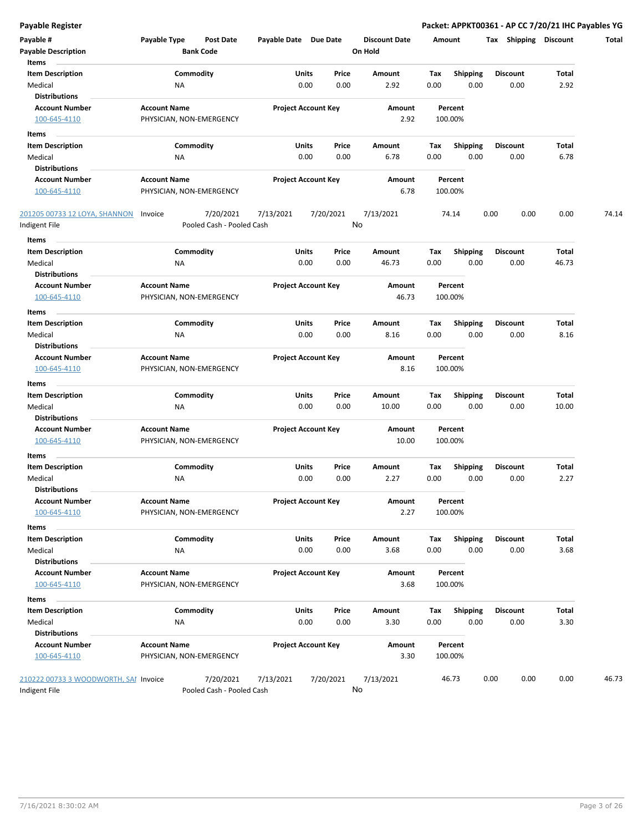| Payable #<br><b>Payable Description</b>                       | Payable Type                                    | Post Date<br><b>Bank Code</b>          | Payable Date Due Date |                            | <b>Discount Date</b><br>On Hold | Amount                                 | Tax<br><b>Shipping</b>  | <b>Discount</b> | Total |
|---------------------------------------------------------------|-------------------------------------------------|----------------------------------------|-----------------------|----------------------------|---------------------------------|----------------------------------------|-------------------------|-----------------|-------|
| Items<br><b>Item Description</b><br>Medical                   | ΝA                                              | Commodity                              | Units                 | Price<br>0.00<br>0.00      | Amount<br>2.92                  | Tax<br><b>Shipping</b><br>0.00<br>0.00 | <b>Discount</b><br>0.00 | Total<br>2.92   |       |
| <b>Distributions</b><br><b>Account Number</b><br>100-645-4110 | <b>Account Name</b>                             | PHYSICIAN, NON-EMERGENCY               |                       | <b>Project Account Key</b> | Amount<br>2.92                  | Percent<br>100.00%                     |                         |                 |       |
| Items                                                         |                                                 |                                        |                       |                            |                                 |                                        |                         |                 |       |
| <b>Item Description</b>                                       |                                                 | Commodity                              | Units                 | Price                      | Amount                          | <b>Shipping</b><br>Тах                 | <b>Discount</b>         | Total           |       |
| Medical                                                       | ΝA                                              |                                        |                       | 0.00<br>0.00               | 6.78                            | 0.00<br>0.00                           | 0.00                    | 6.78            |       |
| <b>Distributions</b>                                          |                                                 |                                        |                       |                            |                                 |                                        |                         |                 |       |
| <b>Account Number</b><br>100-645-4110                         | <b>Account Name</b><br>PHYSICIAN, NON-EMERGENCY |                                        |                       | <b>Project Account Key</b> | Amount<br>6.78                  | Percent<br>100.00%                     |                         |                 |       |
| <u>201205 00733 12 LOYA, SHANNON</u><br>Indigent File         | Invoice                                         | 7/20/2021<br>Pooled Cash - Pooled Cash | 7/13/2021             | 7/20/2021                  | 7/13/2021<br>No                 | 74.14                                  | 0.00<br>0.00            | 0.00            | 74.14 |
| Items                                                         |                                                 |                                        |                       |                            |                                 |                                        |                         |                 |       |
| <b>Item Description</b>                                       |                                                 | Commodity                              | Units                 | Price                      | Amount                          | Tax<br><b>Shipping</b>                 | <b>Discount</b>         | Total           |       |
| Medical<br><b>Distributions</b>                               | ΝA                                              |                                        |                       | 0.00<br>0.00               | 46.73                           | 0.00<br>0.00                           | 0.00                    | 46.73           |       |
| <b>Account Number</b>                                         | <b>Account Name</b>                             |                                        |                       | <b>Project Account Key</b> | Amount                          | Percent                                |                         |                 |       |
| 100-645-4110                                                  | PHYSICIAN, NON-EMERGENCY                        |                                        |                       |                            | 46.73                           | 100.00%                                |                         |                 |       |
| Items                                                         |                                                 |                                        |                       |                            |                                 |                                        |                         |                 |       |
| Item Description                                              |                                                 | Commodity                              | Units                 | Price                      | Amount                          | Tax<br><b>Shipping</b>                 | <b>Discount</b>         | Total           |       |
| Medical                                                       | NA                                              |                                        |                       | 0.00<br>0.00               | 8.16                            | 0.00<br>0.00                           | 0.00                    | 8.16            |       |
| <b>Distributions</b>                                          |                                                 |                                        |                       |                            |                                 |                                        |                         |                 |       |
| <b>Account Number</b>                                         | <b>Account Name</b>                             |                                        |                       | <b>Project Account Key</b> | Amount                          | Percent                                |                         |                 |       |
| 100-645-4110                                                  |                                                 | PHYSICIAN, NON-EMERGENCY               |                       |                            | 8.16                            | 100.00%                                |                         |                 |       |
| Items                                                         |                                                 |                                        |                       |                            |                                 |                                        |                         |                 |       |
| <b>Item Description</b>                                       |                                                 | Commodity                              | Units                 | Price                      | Amount                          | <b>Shipping</b><br>Тах                 | <b>Discount</b>         | Total           |       |
| Medical                                                       | ΝA                                              |                                        |                       | 0.00<br>0.00               | 10.00                           | 0.00<br>0.00                           | 0.00                    | 10.00           |       |
| Distributions                                                 |                                                 |                                        |                       |                            |                                 |                                        |                         |                 |       |
| <b>Account Number</b>                                         | <b>Account Name</b>                             |                                        |                       | <b>Project Account Key</b> | Amount                          | Percent                                |                         |                 |       |
| 100-645-4110                                                  | PHYSICIAN, NON-EMERGENCY                        |                                        |                       |                            | 10.00                           | 100.00%                                |                         |                 |       |
| Items<br><b>Item Description</b>                              |                                                 | Commodity                              | Units                 | Price                      | Amount                          | Tax<br><b>Shipping</b>                 | <b>Discount</b>         | Total           |       |
| Medical                                                       | ΝA                                              |                                        |                       | 0.00<br>0.00               | 2.27                            | 0.00<br>0.00                           | 0.00                    | 2.27            |       |
| <b>Distributions</b>                                          |                                                 |                                        |                       |                            |                                 |                                        |                         |                 |       |
| Account Number<br>100-645-4110                                | <b>Account Name</b><br>PHYSICIAN, NON-EMERGENCY |                                        |                       | <b>Project Account Key</b> | Amount<br>2.27                  | Percent<br>100.00%                     |                         |                 |       |
| Items                                                         |                                                 |                                        |                       |                            |                                 |                                        |                         |                 |       |
| <b>Item Description</b>                                       |                                                 | Commodity                              | Units                 | Price                      | Amount                          | <b>Shipping</b><br>Tax                 | <b>Discount</b>         | Total           |       |
| Medical                                                       | NA                                              |                                        |                       | 0.00<br>0.00               | 3.68                            | 0.00<br>0.00                           | 0.00                    | 3.68            |       |
| <b>Distributions</b>                                          |                                                 |                                        |                       |                            |                                 |                                        |                         |                 |       |
| <b>Account Number</b>                                         | <b>Account Name</b>                             |                                        |                       | <b>Project Account Key</b> | Amount                          | Percent                                |                         |                 |       |
| 100-645-4110                                                  | PHYSICIAN, NON-EMERGENCY                        |                                        |                       |                            | 3.68                            | 100.00%                                |                         |                 |       |
| Items                                                         |                                                 |                                        |                       |                            |                                 |                                        |                         |                 |       |
| <b>Item Description</b>                                       |                                                 | Commodity                              | Units                 | Price                      | Amount                          | <b>Shipping</b><br>Tax                 | <b>Discount</b>         | Total           |       |
| Medical                                                       | <b>NA</b>                                       |                                        |                       | 0.00<br>0.00               | 3.30                            | 0.00<br>0.00                           | 0.00                    | 3.30            |       |
| <b>Distributions</b>                                          |                                                 |                                        |                       |                            |                                 |                                        |                         |                 |       |
| <b>Account Number</b>                                         | <b>Account Name</b>                             |                                        |                       | <b>Project Account Key</b> | Amount                          | Percent                                |                         |                 |       |
| 100-645-4110                                                  | PHYSICIAN, NON-EMERGENCY                        |                                        |                       |                            | 3.30                            | 100.00%                                |                         |                 |       |
| 210222 00733 3 WOODWORTH, SAI Invoice<br>Indigent File        |                                                 | 7/20/2021<br>Pooled Cash - Pooled Cash | 7/13/2021             | 7/20/2021                  | 7/13/2021<br>No                 | 46.73                                  | 0.00<br>0.00            | 0.00            | 46.73 |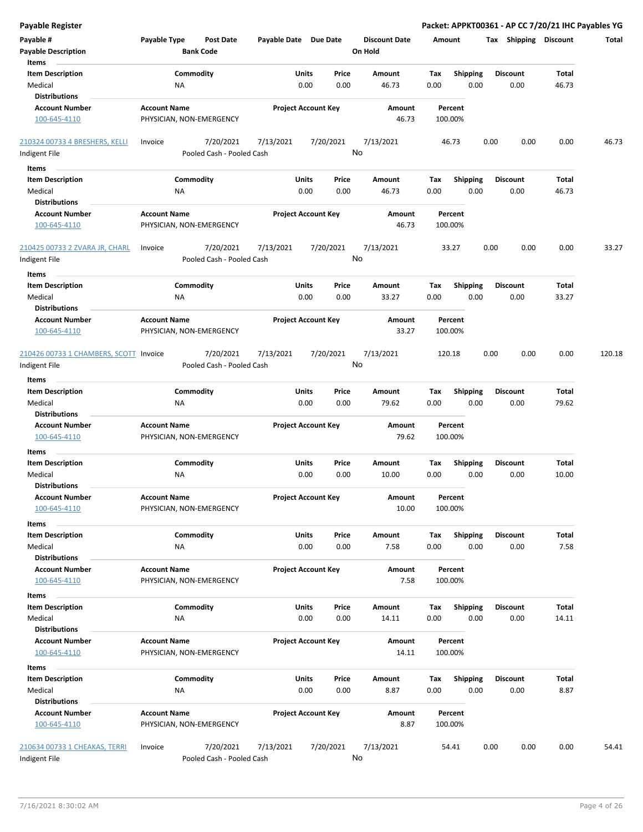| <b>Payable Register</b>                                       |                                                 |                                        |                            |                      |               |                                 |             |                         |      |                         | Packet: APPKT00361 - AP CC 7/20/21 IHC Payables YG |        |
|---------------------------------------------------------------|-------------------------------------------------|----------------------------------------|----------------------------|----------------------|---------------|---------------------------------|-------------|-------------------------|------|-------------------------|----------------------------------------------------|--------|
| Payable #<br><b>Payable Description</b>                       | Payable Type<br><b>Bank Code</b>                | <b>Post Date</b>                       | Payable Date Due Date      |                      |               | <b>Discount Date</b><br>On Hold | Amount      |                         |      | Tax Shipping Discount   |                                                    | Total  |
| Items                                                         |                                                 |                                        |                            |                      |               |                                 |             |                         |      |                         |                                                    |        |
| <b>Item Description</b><br>Medical<br><b>Distributions</b>    | Commodity<br>NA                                 |                                        |                            | Units<br>0.00        | Price<br>0.00 | <b>Amount</b><br>46.73          | Tax<br>0.00 | <b>Shipping</b><br>0.00 |      | <b>Discount</b><br>0.00 | Total<br>46.73                                     |        |
| <b>Account Number</b>                                         | <b>Account Name</b>                             |                                        | <b>Project Account Key</b> |                      |               | Amount                          |             | Percent                 |      |                         |                                                    |        |
| 100-645-4110                                                  | PHYSICIAN, NON-EMERGENCY                        |                                        |                            |                      |               | 46.73                           |             | 100.00%                 |      |                         |                                                    |        |
| 210324 00733 4 BRESHERS, KELLI                                | Invoice                                         | 7/20/2021                              | 7/13/2021                  | 7/20/2021            |               | 7/13/2021                       |             | 46.73                   | 0.00 | 0.00                    | 0.00                                               | 46.73  |
| Indigent File                                                 |                                                 | Pooled Cash - Pooled Cash              |                            |                      |               | No                              |             |                         |      |                         |                                                    |        |
| Items                                                         |                                                 |                                        |                            |                      |               |                                 |             |                         |      |                         |                                                    |        |
| <b>Item Description</b><br>Medical                            | Commodity<br>ΝA                                 |                                        |                            | Units<br>0.00        | Price<br>0.00 | Amount<br>46.73                 | Tax<br>0.00 | <b>Shipping</b><br>0.00 |      | <b>Discount</b><br>0.00 | Total<br>46.73                                     |        |
| <b>Distributions</b>                                          |                                                 |                                        |                            |                      |               |                                 |             |                         |      |                         |                                                    |        |
| <b>Account Number</b><br>100-645-4110                         | <b>Account Name</b><br>PHYSICIAN, NON-EMERGENCY |                                        | <b>Project Account Key</b> |                      |               | Amount<br>46.73                 |             | Percent<br>100.00%      |      |                         |                                                    |        |
| 210425 00733 2 ZVARA JR, CHARL<br>Indigent File               | Invoice                                         | 7/20/2021<br>Pooled Cash - Pooled Cash | 7/13/2021                  | 7/20/2021            |               | 7/13/2021<br>No                 |             | 33.27                   | 0.00 | 0.00                    | 0.00                                               | 33.27  |
| Items                                                         |                                                 |                                        |                            |                      |               |                                 |             |                         |      |                         |                                                    |        |
| <b>Item Description</b><br>Medical                            | Commodity<br>NA                                 |                                        |                            | Units<br>0.00        | Price<br>0.00 | Amount<br>33.27                 | Tax<br>0.00 | <b>Shipping</b><br>0.00 |      | <b>Discount</b><br>0.00 | Total<br>33.27                                     |        |
| <b>Distributions</b>                                          |                                                 |                                        |                            |                      |               |                                 |             |                         |      |                         |                                                    |        |
| <b>Account Number</b><br>100-645-4110                         | <b>Account Name</b><br>PHYSICIAN, NON-EMERGENCY |                                        | <b>Project Account Key</b> |                      |               | Amount<br>33.27                 |             | Percent<br>100.00%      |      |                         |                                                    |        |
| 210426 00733 1 CHAMBERS, SCOTT Invoice<br>Indigent File       |                                                 | 7/20/2021<br>Pooled Cash - Pooled Cash | 7/13/2021                  | 7/20/2021            |               | 7/13/2021<br>No                 | 120.18      |                         | 0.00 | 0.00                    | 0.00                                               | 120.18 |
|                                                               |                                                 |                                        |                            |                      |               |                                 |             |                         |      |                         |                                                    |        |
| Items<br><b>Item Description</b>                              | Commodity                                       |                                        |                            | Units                | Price         | Amount                          | Tax         | <b>Shipping</b>         |      | <b>Discount</b>         | Total                                              |        |
| Medical                                                       | ΝA                                              |                                        |                            | 0.00                 | 0.00          | 79.62                           | 0.00        | 0.00                    |      | 0.00                    | 79.62                                              |        |
| <b>Distributions</b>                                          |                                                 |                                        |                            |                      |               |                                 |             |                         |      |                         |                                                    |        |
| <b>Account Number</b><br>100-645-4110                         | <b>Account Name</b><br>PHYSICIAN, NON-EMERGENCY |                                        | <b>Project Account Key</b> |                      |               | Amount<br>79.62                 |             | Percent<br>100.00%      |      |                         |                                                    |        |
| Items                                                         |                                                 |                                        |                            |                      |               |                                 |             |                         |      |                         |                                                    |        |
| <b>Item Description</b><br>Medical                            | Commodity<br>ΝA                                 |                                        |                            | Units<br>0.00        | Price<br>0.00 | Amount<br>10.00                 | Tax<br>0.00 | <b>Shipping</b><br>0.00 |      | <b>Discount</b><br>0.00 | Total<br>10.00                                     |        |
| <b>Distributions</b>                                          |                                                 |                                        |                            |                      |               |                                 |             |                         |      |                         |                                                    |        |
| <b>Account Number</b><br>100-645-4110                         | <b>Account Name</b><br>PHYSICIAN, NON-EMERGENCY |                                        | <b>Project Account Key</b> |                      |               | Amount<br>10.00                 |             | Percent<br>100.00%      |      |                         |                                                    |        |
| Items                                                         |                                                 |                                        |                            |                      |               |                                 |             |                         |      |                         |                                                    |        |
| <b>Item Description</b><br>Medical                            | Commodity<br>NA                                 |                                        |                            | Units<br>0.00        | Price<br>0.00 | Amount<br>7.58                  | Tax<br>0.00 | Shipping<br>0.00        |      | <b>Discount</b><br>0.00 | <b>Total</b><br>7.58                               |        |
| <b>Distributions</b><br><b>Account Number</b><br>100-645-4110 | <b>Account Name</b><br>PHYSICIAN, NON-EMERGENCY |                                        | <b>Project Account Key</b> |                      |               | Amount<br>7.58                  |             | Percent<br>100.00%      |      |                         |                                                    |        |
| Items                                                         |                                                 |                                        |                            |                      |               |                                 |             |                         |      |                         |                                                    |        |
| <b>Item Description</b><br>Medical                            | Commodity<br>NA                                 |                                        |                            | Units<br>0.00        | Price<br>0.00 | Amount<br>14.11                 | Tax<br>0.00 | Shipping<br>0.00        |      | <b>Discount</b><br>0.00 | Total<br>14.11                                     |        |
| <b>Distributions</b><br><b>Account Number</b>                 | <b>Account Name</b>                             |                                        | <b>Project Account Key</b> |                      |               | Amount                          |             | Percent                 |      |                         |                                                    |        |
| 100-645-4110                                                  | PHYSICIAN, NON-EMERGENCY                        |                                        |                            |                      |               | 14.11                           |             | 100.00%                 |      |                         |                                                    |        |
| Items                                                         |                                                 |                                        |                            |                      |               |                                 |             |                         |      |                         |                                                    |        |
| <b>Item Description</b><br>Medical<br><b>Distributions</b>    | Commodity<br>NA                                 |                                        |                            | <b>Units</b><br>0.00 | Price<br>0.00 | Amount<br>8.87                  | Tax<br>0.00 | Shipping<br>0.00        |      | <b>Discount</b><br>0.00 | Total<br>8.87                                      |        |
| <b>Account Number</b><br>100-645-4110                         | <b>Account Name</b><br>PHYSICIAN, NON-EMERGENCY |                                        | <b>Project Account Key</b> |                      |               | Amount<br>8.87                  |             | Percent<br>100.00%      |      |                         |                                                    |        |
| 210634 00733 1 CHEAKAS, TERRI<br>Indigent File                | Invoice                                         | 7/20/2021<br>Pooled Cash - Pooled Cash | 7/13/2021                  | 7/20/2021            |               | 7/13/2021<br>No                 |             | 54.41                   | 0.00 | 0.00                    | 0.00                                               | 54.41  |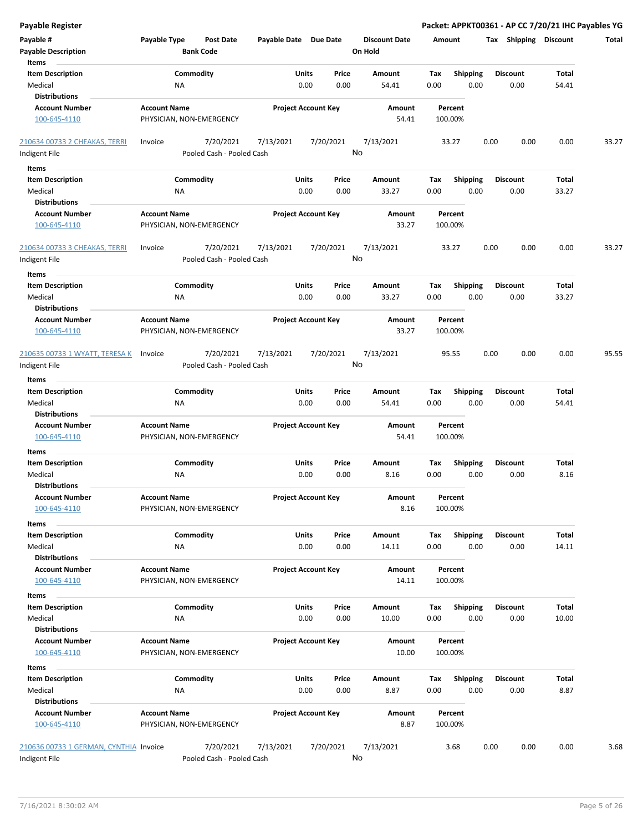| <b>Payable Register</b>                                    |                                                      |                       |                                |                                 | Packet: APPKT00361 - AP CC 7/20/21 IHC Payables YG |      |                         |                |       |
|------------------------------------------------------------|------------------------------------------------------|-----------------------|--------------------------------|---------------------------------|----------------------------------------------------|------|-------------------------|----------------|-------|
| Payable #<br><b>Payable Description</b>                    | Payable Type<br><b>Post Date</b><br><b>Bank Code</b> | Payable Date Due Date |                                | <b>Discount Date</b><br>On Hold | Amount                                             |      | Tax Shipping Discount   |                | Total |
| Items                                                      |                                                      |                       |                                |                                 |                                                    |      |                         |                |       |
| <b>Item Description</b><br>Medical<br><b>Distributions</b> | Commodity<br>NA                                      |                       | Units<br>Price<br>0.00<br>0.00 | Amount<br>54.41                 | Tax<br><b>Shipping</b><br>0.00                     | 0.00 | <b>Discount</b><br>0.00 | Total<br>54.41 |       |
| <b>Account Number</b>                                      | <b>Account Name</b>                                  |                       | <b>Project Account Key</b>     | Amount                          | Percent                                            |      |                         |                |       |
| 100-645-4110                                               | PHYSICIAN, NON-EMERGENCY                             |                       |                                | 54.41                           | 100.00%                                            |      |                         |                |       |
| 210634 00733 2 CHEAKAS, TERRI                              | 7/20/2021<br>Invoice                                 | 7/13/2021             | 7/20/2021                      | 7/13/2021                       | 33.27                                              | 0.00 | 0.00                    | 0.00           | 33.27 |
| Indigent File                                              | Pooled Cash - Pooled Cash                            |                       |                                | No                              |                                                    |      |                         |                |       |
| Items                                                      |                                                      |                       |                                |                                 |                                                    |      |                         |                |       |
| <b>Item Description</b>                                    | Commodity                                            |                       | Units<br>Price                 | Amount                          | Tax<br><b>Shipping</b>                             |      | <b>Discount</b>         | Total          |       |
| Medical<br><b>Distributions</b>                            | ΝA                                                   |                       | 0.00<br>0.00                   | 33.27                           | 0.00                                               | 0.00 | 0.00                    | 33.27          |       |
| <b>Account Number</b>                                      | <b>Account Name</b>                                  |                       | <b>Project Account Key</b>     | Amount                          | Percent                                            |      |                         |                |       |
| 100-645-4110                                               | PHYSICIAN, NON-EMERGENCY                             |                       |                                | 33.27                           | 100.00%                                            |      |                         |                |       |
| 210634 00733 3 CHEAKAS, TERRI<br>Indigent File             | 7/20/2021<br>Invoice<br>Pooled Cash - Pooled Cash    | 7/13/2021             | 7/20/2021                      | 7/13/2021<br>No                 | 33.27                                              | 0.00 | 0.00                    | 0.00           | 33.27 |
|                                                            |                                                      |                       |                                |                                 |                                                    |      |                         |                |       |
| Items                                                      | Commodity                                            |                       | Units<br>Price                 | Amount                          | Tax                                                |      | <b>Discount</b>         | Total          |       |
| <b>Item Description</b><br>Medical<br><b>Distributions</b> | NA                                                   |                       | 0.00<br>0.00                   | 33.27                           | <b>Shipping</b><br>0.00                            | 0.00 | 0.00                    | 33.27          |       |
| <b>Account Number</b>                                      | <b>Account Name</b>                                  |                       | <b>Project Account Key</b>     | <b>Amount</b>                   | Percent                                            |      |                         |                |       |
| 100-645-4110                                               | PHYSICIAN, NON-EMERGENCY                             |                       |                                | 33.27                           | 100.00%                                            |      |                         |                |       |
| 210635 00733 1 WYATT, TERESA K                             | 7/20/2021<br>Invoice                                 | 7/13/2021             | 7/20/2021                      | 7/13/2021                       | 95.55                                              | 0.00 | 0.00                    | 0.00           | 95.55 |
| Indigent File                                              | Pooled Cash - Pooled Cash                            |                       |                                | No                              |                                                    |      |                         |                |       |
| Items                                                      |                                                      |                       |                                |                                 |                                                    |      |                         |                |       |
| <b>Item Description</b>                                    | Commodity                                            |                       | Units<br>Price                 | Amount                          | <b>Shipping</b><br>Tax                             |      | <b>Discount</b>         | Total          |       |
| Medical<br><b>Distributions</b>                            | ΝA                                                   |                       | 0.00<br>0.00                   | 54.41                           | 0.00                                               | 0.00 | 0.00                    | 54.41          |       |
| <b>Account Number</b>                                      | <b>Account Name</b>                                  |                       | <b>Project Account Key</b>     | Amount                          | Percent                                            |      |                         |                |       |
| 100-645-4110                                               | PHYSICIAN, NON-EMERGENCY                             |                       |                                | 54.41                           | 100.00%                                            |      |                         |                |       |
| Items                                                      |                                                      |                       |                                |                                 |                                                    |      |                         |                |       |
| <b>Item Description</b>                                    | Commodity                                            |                       | Units<br>Price                 | Amount                          | Tax<br><b>Shipping</b>                             |      | <b>Discount</b>         | Total          |       |
| Medical<br><b>Distributions</b>                            | ΝA                                                   |                       | 0.00<br>0.00                   | 8.16                            | 0.00                                               | 0.00 | 0.00                    | 8.16           |       |
| <b>Account Number</b><br>100-645-4110                      | <b>Account Name</b><br>PHYSICIAN, NON-EMERGENCY      |                       | <b>Project Account Key</b>     | Amount<br>8.16                  | Percent<br>100.00%                                 |      |                         |                |       |
|                                                            |                                                      |                       |                                |                                 |                                                    |      |                         |                |       |
| Items<br><b>Item Description</b>                           | Commodity                                            |                       | Units<br>Price                 | Amount                          | Shipping<br>Tax                                    |      | <b>Discount</b>         | Total          |       |
| Medical                                                    | NA                                                   |                       | 0.00<br>0.00                   | 14.11                           | 0.00                                               | 0.00 | 0.00                    | 14.11          |       |
| <b>Distributions</b><br><b>Account Number</b>              | <b>Account Name</b>                                  |                       | <b>Project Account Key</b>     | Amount                          | Percent                                            |      |                         |                |       |
| 100-645-4110                                               | PHYSICIAN, NON-EMERGENCY                             |                       |                                | 14.11                           | 100.00%                                            |      |                         |                |       |
| Items                                                      |                                                      |                       |                                |                                 |                                                    |      |                         |                |       |
| <b>Item Description</b><br>Medical                         | Commodity<br>NA                                      |                       | Price<br>Units<br>0.00<br>0.00 | Amount<br>10.00                 | Tax<br><b>Shipping</b><br>0.00                     | 0.00 | <b>Discount</b><br>0.00 | Total<br>10.00 |       |
| <b>Distributions</b><br><b>Account Number</b>              | <b>Account Name</b>                                  |                       | <b>Project Account Key</b>     | Amount                          | Percent                                            |      |                         |                |       |
| 100-645-4110                                               | PHYSICIAN, NON-EMERGENCY                             |                       |                                | 10.00                           | 100.00%                                            |      |                         |                |       |
| Items                                                      |                                                      |                       |                                |                                 |                                                    |      |                         |                |       |
| <b>Item Description</b>                                    | Commodity                                            |                       | <b>Units</b><br>Price          | Amount                          | Tax<br><b>Shipping</b>                             |      | <b>Discount</b>         | Total          |       |
| Medical                                                    | NA                                                   |                       | 0.00<br>0.00                   | 8.87                            | 0.00                                               | 0.00 | 0.00                    | 8.87           |       |
| <b>Distributions</b>                                       |                                                      |                       |                                |                                 |                                                    |      |                         |                |       |
| <b>Account Number</b><br>100-645-4110                      | <b>Account Name</b><br>PHYSICIAN, NON-EMERGENCY      |                       | <b>Project Account Key</b>     | Amount<br>8.87                  | Percent<br>100.00%                                 |      |                         |                |       |
| 210636 00733 1 GERMAN, CYNTHIA Invoice<br>Indigent File    | 7/20/2021<br>Pooled Cash - Pooled Cash               | 7/13/2021             | 7/20/2021                      | 7/13/2021<br>No                 | 3.68                                               | 0.00 | 0.00                    | 0.00           | 3.68  |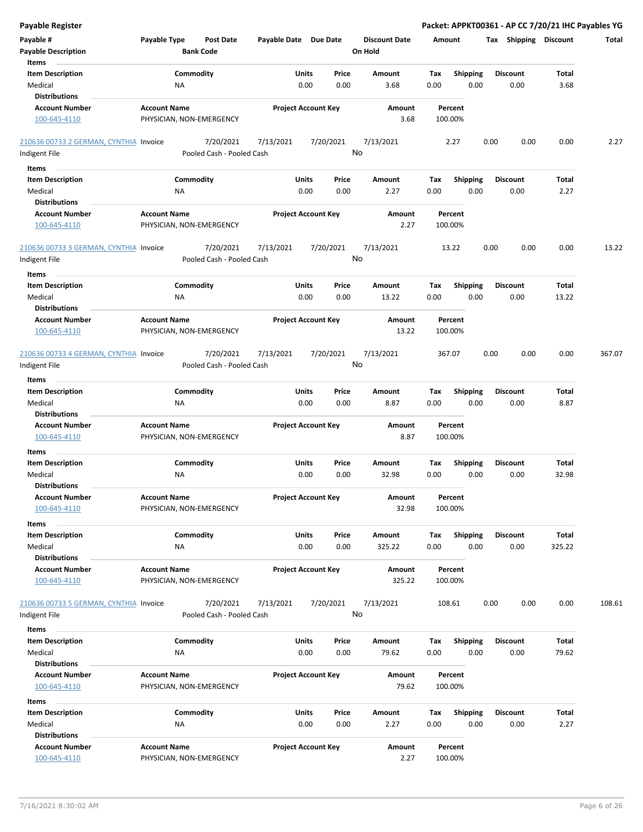| <b>Payable Register</b>                |                                  |                       |                            |                      | Packet: APPKT00361 - AP CC 7/20/21 IHC Payables YG |                       |        |        |
|----------------------------------------|----------------------------------|-----------------------|----------------------------|----------------------|----------------------------------------------------|-----------------------|--------|--------|
| Payable #                              | Payable Type<br><b>Post Date</b> | Payable Date Due Date |                            | <b>Discount Date</b> | Amount                                             | Tax Shipping Discount |        | Total  |
| <b>Payable Description</b><br>Items    | <b>Bank Code</b>                 |                       |                            | On Hold              |                                                    |                       |        |        |
| <b>Item Description</b>                | Commodity                        | Units                 | Price                      | Amount               | Tax<br><b>Shipping</b>                             | <b>Discount</b>       | Total  |        |
| Medical                                | NA                               |                       | 0.00<br>0.00               | 3.68                 | 0.00<br>0.00                                       | 0.00                  | 3.68   |        |
| <b>Distributions</b>                   |                                  |                       |                            |                      |                                                    |                       |        |        |
| <b>Account Number</b>                  | <b>Account Name</b>              |                       | <b>Project Account Key</b> | Amount               | Percent                                            |                       |        |        |
| 100-645-4110                           | PHYSICIAN, NON-EMERGENCY         |                       |                            | 3.68                 | 100.00%                                            |                       |        |        |
| 210636 00733 2 GERMAN, CYNTHIA Invoice | 7/20/2021                        | 7/13/2021             | 7/20/2021                  | 7/13/2021            | 2.27                                               | 0.00<br>0.00          | 0.00   | 2.27   |
| Indigent File                          | Pooled Cash - Pooled Cash        |                       |                            | No                   |                                                    |                       |        |        |
| Items                                  |                                  |                       |                            |                      |                                                    |                       |        |        |
| <b>Item Description</b>                | Commodity                        | Units                 | Price                      | Amount               | <b>Shipping</b><br>Tax                             | Discount              | Total  |        |
| Medical                                | ΝA                               |                       | 0.00<br>0.00               | 2.27                 | 0.00<br>0.00                                       | 0.00                  | 2.27   |        |
| <b>Distributions</b>                   |                                  |                       |                            |                      |                                                    |                       |        |        |
| <b>Account Number</b>                  | <b>Account Name</b>              |                       | <b>Project Account Key</b> | Amount               | Percent                                            |                       |        |        |
| 100-645-4110                           | PHYSICIAN, NON-EMERGENCY         |                       |                            | 2.27                 | 100.00%                                            |                       |        |        |
| 210636 00733 3 GERMAN, CYNTHIA Invoice | 7/20/2021                        | 7/13/2021             | 7/20/2021                  | 7/13/2021            | 13.22                                              | 0.00<br>0.00          | 0.00   | 13.22  |
| Indigent File                          | Pooled Cash - Pooled Cash        |                       |                            | No                   |                                                    |                       |        |        |
| Items                                  |                                  |                       |                            |                      |                                                    |                       |        |        |
| <b>Item Description</b>                | Commodity                        | Units                 | Price                      | Amount               | Tax<br><b>Shipping</b>                             | Discount              | Total  |        |
| Medical                                | NA                               |                       | 0.00<br>0.00               | 13.22                | 0.00<br>0.00                                       | 0.00                  | 13.22  |        |
| <b>Distributions</b>                   |                                  |                       |                            |                      |                                                    |                       |        |        |
| <b>Account Number</b>                  | <b>Account Name</b>              |                       | <b>Project Account Key</b> | Amount               | Percent                                            |                       |        |        |
| 100-645-4110                           | PHYSICIAN, NON-EMERGENCY         |                       |                            | 13.22                | 100.00%                                            |                       |        |        |
| 210636 00733 4 GERMAN, CYNTHIA Invoice | 7/20/2021                        | 7/13/2021             | 7/20/2021                  | 7/13/2021            | 367.07                                             | 0.00<br>0.00          | 0.00   | 367.07 |
| Indigent File                          | Pooled Cash - Pooled Cash        |                       |                            | No                   |                                                    |                       |        |        |
| Items                                  |                                  |                       |                            |                      |                                                    |                       |        |        |
| <b>Item Description</b>                | Commodity                        | Units                 | Price                      | Amount               | <b>Shipping</b><br>Tax                             | Discount              | Total  |        |
| Medical                                | NA                               |                       | 0.00<br>0.00               | 8.87                 | 0.00<br>0.00                                       | 0.00                  | 8.87   |        |
| <b>Distributions</b>                   |                                  |                       |                            |                      |                                                    |                       |        |        |
| <b>Account Number</b>                  | <b>Account Name</b>              |                       | <b>Project Account Key</b> | Amount               | Percent                                            |                       |        |        |
| 100-645-4110                           | PHYSICIAN, NON-EMERGENCY         |                       |                            | 8.87                 | 100.00%                                            |                       |        |        |
| Items                                  |                                  |                       |                            |                      |                                                    |                       |        |        |
| <b>Item Description</b>                | Commodity                        | Units                 | Price                      | Amount               | Tax<br><b>Shipping</b>                             | Discount              | Total  |        |
| Medical                                | ΝA                               |                       | 0.00<br>0.00               | 32.98                | 0.00<br>0.00                                       | 0.00                  | 32.98  |        |
| <b>Distributions</b>                   |                                  |                       |                            |                      |                                                    |                       |        |        |
| <b>Account Number</b>                  | <b>Account Name</b>              |                       | <b>Project Account Key</b> | Amount               | Percent                                            |                       |        |        |
| 100-645-4110                           | PHYSICIAN, NON-EMERGENCY         |                       |                            | 32.98                | 100.00%                                            |                       |        |        |
| Items                                  |                                  |                       |                            |                      |                                                    |                       |        |        |
| <b>Item Description</b>                | Commodity                        | Units                 | Price                      | Amount               | Shipping<br>Tax                                    | <b>Discount</b>       | Total  |        |
| Medical                                | NA                               |                       | 0.00<br>0.00               | 325.22               | 0.00<br>0.00                                       | 0.00                  | 325.22 |        |
| <b>Distributions</b>                   |                                  |                       |                            |                      |                                                    |                       |        |        |
| <b>Account Number</b>                  | <b>Account Name</b>              |                       | <b>Project Account Key</b> | Amount               | Percent                                            |                       |        |        |
| 100-645-4110                           | PHYSICIAN, NON-EMERGENCY         |                       |                            | 325.22               | 100.00%                                            |                       |        |        |
|                                        |                                  |                       |                            |                      |                                                    |                       |        |        |
| 210636 00733 5 GERMAN, CYNTHIA Invoice | 7/20/2021                        | 7/13/2021             | 7/20/2021                  | 7/13/2021            | 108.61                                             | 0.00<br>0.00          | 0.00   | 108.61 |
| Indigent File                          | Pooled Cash - Pooled Cash        |                       |                            | No                   |                                                    |                       |        |        |
| Items                                  |                                  |                       |                            |                      |                                                    |                       |        |        |
| <b>Item Description</b>                | Commodity                        | Units                 | Price                      | Amount               | Shipping<br>Tax                                    | <b>Discount</b>       | Total  |        |
| Medical                                | ΝA                               |                       | 0.00<br>0.00               | 79.62                | 0.00<br>0.00                                       | 0.00                  | 79.62  |        |
| <b>Distributions</b>                   |                                  |                       |                            |                      |                                                    |                       |        |        |
| <b>Account Number</b>                  | <b>Account Name</b>              |                       | <b>Project Account Key</b> | Amount               | Percent                                            |                       |        |        |
| 100-645-4110                           | PHYSICIAN, NON-EMERGENCY         |                       |                            | 79.62                | 100.00%                                            |                       |        |        |
| Items                                  |                                  |                       |                            |                      |                                                    |                       |        |        |
| <b>Item Description</b>                | Commodity                        | Units                 | Price                      | Amount               | <b>Shipping</b><br>Tax                             | <b>Discount</b>       | Total  |        |
| Medical                                | NA                               |                       | 0.00<br>0.00               | 2.27                 | 0.00<br>0.00                                       | 0.00                  | 2.27   |        |
| <b>Distributions</b>                   |                                  |                       |                            |                      |                                                    |                       |        |        |
| <b>Account Number</b>                  | <b>Account Name</b>              |                       | <b>Project Account Key</b> | Amount               | Percent                                            |                       |        |        |
| 100-645-4110                           | PHYSICIAN, NON-EMERGENCY         |                       |                            | 2.27                 | 100.00%                                            |                       |        |        |
|                                        |                                  |                       |                            |                      |                                                    |                       |        |        |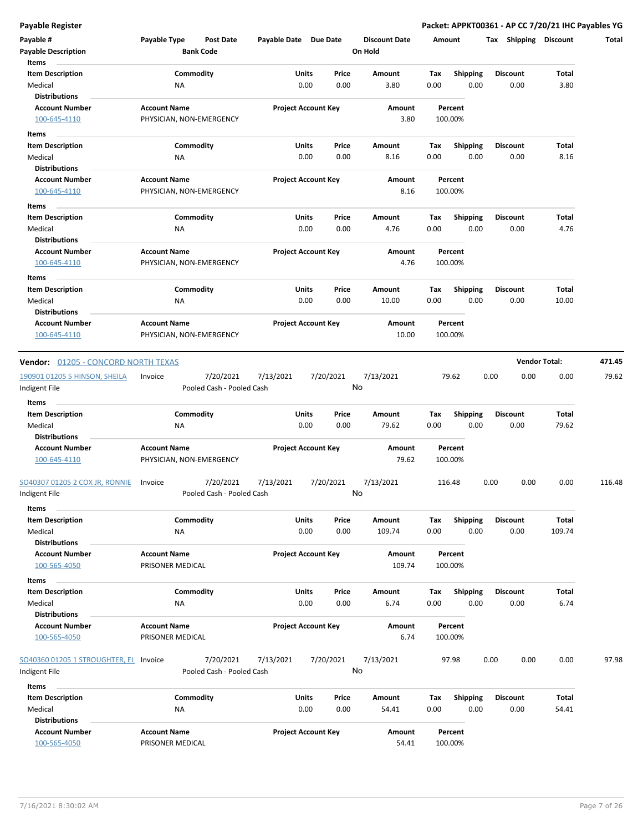| Payable #<br><b>Payable Description</b>        | Payable Type                                    | <b>Post Date</b><br><b>Bank Code</b>   | Payable Date Due Date |                            | <b>Discount Date</b><br>On Hold | Amount |                    | Tax Shipping    | Discount             | Total  |
|------------------------------------------------|-------------------------------------------------|----------------------------------------|-----------------------|----------------------------|---------------------------------|--------|--------------------|-----------------|----------------------|--------|
| Items<br><b>Item Description</b>               |                                                 | Commodity                              | Units                 | Price                      | Amount                          | Tax    | <b>Shipping</b>    | Discount        | <b>Total</b>         |        |
| Medical                                        | ΝA                                              |                                        |                       | 0.00<br>0.00               | 3.80                            | 0.00   | 0.00               | 0.00            | 3.80                 |        |
| <b>Distributions</b>                           |                                                 |                                        |                       |                            |                                 |        |                    |                 |                      |        |
| <b>Account Number</b>                          | <b>Account Name</b>                             |                                        |                       | <b>Project Account Key</b> | Amount                          |        | Percent            |                 |                      |        |
| 100-645-4110                                   | PHYSICIAN, NON-EMERGENCY                        |                                        |                       |                            | 3.80                            |        | 100.00%            |                 |                      |        |
| Items                                          |                                                 |                                        |                       |                            |                                 |        |                    |                 |                      |        |
| <b>Item Description</b>                        |                                                 | Commodity                              | Units                 | Price                      | Amount                          | Tax    | <b>Shipping</b>    | Discount        | <b>Total</b>         |        |
| Medical                                        | ΝA                                              |                                        |                       | 0.00<br>0.00               | 8.16                            | 0.00   | 0.00               | 0.00            | 8.16                 |        |
| <b>Distributions</b>                           |                                                 |                                        |                       |                            |                                 |        |                    |                 |                      |        |
| <b>Account Number</b>                          | <b>Account Name</b>                             |                                        |                       | <b>Project Account Key</b> | Amount                          |        | Percent            |                 |                      |        |
| 100-645-4110                                   | PHYSICIAN, NON-EMERGENCY                        |                                        |                       |                            | 8.16                            |        | 100.00%            |                 |                      |        |
| Items                                          |                                                 |                                        |                       |                            |                                 |        |                    |                 |                      |        |
| <b>Item Description</b>                        |                                                 | Commodity                              | Units                 | Price                      | Amount                          | Tax    | <b>Shipping</b>    | <b>Discount</b> | Total                |        |
| Medical<br><b>Distributions</b>                | NA                                              |                                        |                       | 0.00<br>0.00               | 4.76                            | 0.00   | 0.00               | 0.00            | 4.76                 |        |
| <b>Account Number</b>                          | <b>Account Name</b>                             |                                        |                       | <b>Project Account Key</b> | Amount                          |        | Percent            |                 |                      |        |
| 100-645-4110                                   | PHYSICIAN, NON-EMERGENCY                        |                                        |                       |                            | 4.76                            |        | 100.00%            |                 |                      |        |
| Items                                          |                                                 |                                        |                       |                            |                                 |        |                    |                 |                      |        |
| <b>Item Description</b>                        |                                                 | Commodity                              | Units                 | Price                      | Amount                          | Tax    | <b>Shipping</b>    | <b>Discount</b> | Total                |        |
| Medical                                        | ΝA                                              |                                        |                       | 0.00<br>0.00               | 10.00                           | 0.00   | 0.00               | 0.00            | 10.00                |        |
| <b>Distributions</b>                           |                                                 |                                        |                       |                            |                                 |        |                    |                 |                      |        |
| <b>Account Number</b>                          | <b>Account Name</b>                             |                                        |                       | <b>Project Account Key</b> | Amount                          |        | Percent            |                 |                      |        |
| 100-645-4110                                   | PHYSICIAN, NON-EMERGENCY                        |                                        |                       |                            | 10.00                           |        | 100.00%            |                 |                      |        |
| <b>Vendor: 01205 - CONCORD NORTH TEXAS</b>     |                                                 |                                        |                       |                            |                                 |        |                    |                 | <b>Vendor Total:</b> | 471.45 |
| 190901 01205 5 HINSON, SHEILA<br>Indigent File | Invoice                                         | 7/20/2021<br>Pooled Cash - Pooled Cash | 7/13/2021             | 7/20/2021                  | 7/13/2021<br>No                 |        | 79.62              | 0.00<br>0.00    | 0.00                 | 79.62  |
| Items                                          |                                                 |                                        |                       |                            |                                 |        |                    |                 |                      |        |
| <b>Item Description</b>                        |                                                 | Commodity                              | Units                 | Price                      | Amount                          | Tax    | Shipping           | Discount        | <b>Total</b>         |        |
| Medical                                        | ΝA                                              |                                        |                       | 0.00<br>0.00               | 79.62                           | 0.00   | 0.00               | 0.00            | 79.62                |        |
| <b>Distributions</b>                           |                                                 |                                        |                       |                            |                                 |        |                    |                 |                      |        |
| <b>Account Number</b><br>100-645-4110          | <b>Account Name</b><br>PHYSICIAN, NON-EMERGENCY |                                        |                       | <b>Project Account Key</b> | Amount<br>79.62                 |        | Percent<br>100.00% |                 |                      |        |
| SO40307 01205 2 COX JR, RONNIE                 | Invoice                                         | 7/20/2021                              | 7/13/2021             | 7/20/2021                  | 7/13/2021                       |        | 116.48             | 0.00<br>0.00    | 0.00                 | 116.48 |
| Indigent File<br>Items                         |                                                 | Pooled Cash - Pooled Cash              |                       |                            | No                              |        |                    |                 |                      |        |
| <b>Item Description</b>                        |                                                 | Commodity                              | <b>Units</b>          | Price                      | Amount                          | Tax    | Shipping           | <b>Discount</b> | <b>Total</b>         |        |
| Medical                                        | NA                                              |                                        |                       | 0.00<br>0.00               | 109.74                          | 0.00   | 0.00               | 0.00            | 109.74               |        |
| <b>Distributions</b>                           |                                                 |                                        |                       |                            |                                 |        |                    |                 |                      |        |
| <b>Account Number</b>                          | <b>Account Name</b>                             |                                        |                       | <b>Project Account Key</b> | Amount                          |        | Percent            |                 |                      |        |
| 100-565-4050                                   | PRISONER MEDICAL                                |                                        |                       |                            | 109.74                          |        | 100.00%            |                 |                      |        |
| Items                                          |                                                 |                                        |                       |                            |                                 |        |                    |                 |                      |        |
| <b>Item Description</b>                        |                                                 | Commodity                              | Units                 | Price                      | Amount                          | Tax    | Shipping           | <b>Discount</b> | Total                |        |
| Medical                                        | ΝA                                              |                                        |                       | 0.00<br>0.00               | 6.74                            | 0.00   | 0.00               | 0.00            | 6.74                 |        |
| <b>Distributions</b>                           |                                                 |                                        |                       |                            |                                 |        |                    |                 |                      |        |
| <b>Account Number</b>                          | <b>Account Name</b>                             |                                        |                       | <b>Project Account Key</b> | Amount                          |        | Percent            |                 |                      |        |
| 100-565-4050                                   | PRISONER MEDICAL                                |                                        |                       |                            | 6.74                            |        | 100.00%            |                 |                      |        |
| SO40360 01205 1 STROUGHTER, EL Invoice         |                                                 | 7/20/2021                              | 7/13/2021             | 7/20/2021                  | 7/13/2021                       |        | 97.98              | 0.00<br>0.00    | 0.00                 | 97.98  |
| Indigent File                                  |                                                 | Pooled Cash - Pooled Cash              |                       |                            | No                              |        |                    |                 |                      |        |
| Items                                          |                                                 |                                        |                       |                            |                                 |        |                    |                 |                      |        |
| <b>Item Description</b>                        |                                                 | Commodity                              | Units                 | Price                      | Amount                          | Tax    | <b>Shipping</b>    | <b>Discount</b> | Total                |        |
| Medical                                        | ΝA                                              |                                        |                       | 0.00<br>0.00               | 54.41                           | 0.00   | 0.00               | 0.00            | 54.41                |        |
| <b>Distributions</b>                           |                                                 |                                        |                       |                            |                                 |        |                    |                 |                      |        |
| <b>Account Number</b><br>100-565-4050          | <b>Account Name</b><br>PRISONER MEDICAL         |                                        |                       | <b>Project Account Key</b> | Amount<br>54.41                 |        | Percent<br>100.00% |                 |                      |        |
|                                                |                                                 |                                        |                       |                            |                                 |        |                    |                 |                      |        |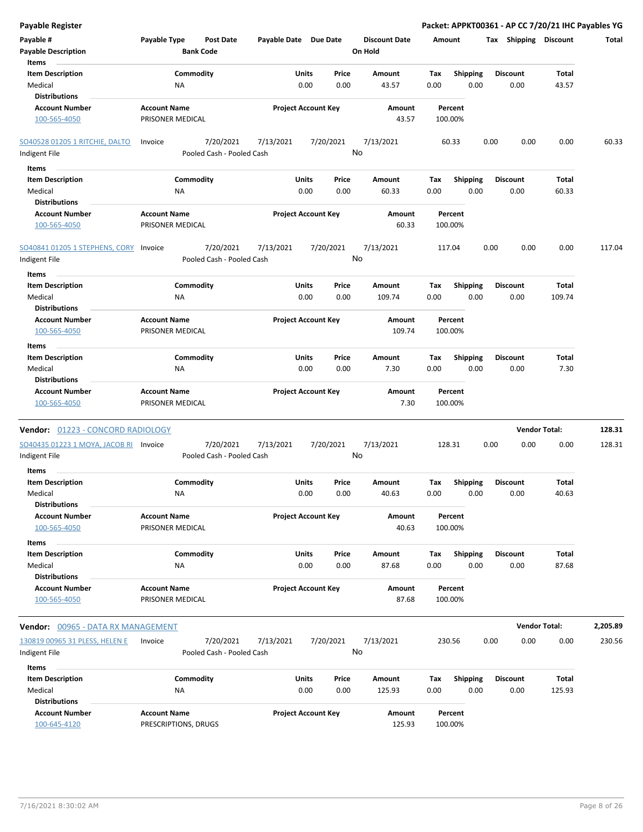| <b>Payable Register</b>                |                                  |                       |                            |                      |         |                 | Packet: APPKT00361 - AP CC 7/20/21 IHC Payables YG |                      |          |
|----------------------------------------|----------------------------------|-----------------------|----------------------------|----------------------|---------|-----------------|----------------------------------------------------|----------------------|----------|
| Payable #                              | Payable Type<br><b>Post Date</b> | Payable Date Due Date |                            | <b>Discount Date</b> | Amount  |                 | Tax Shipping Discount                              |                      | Total    |
| <b>Payable Description</b>             | <b>Bank Code</b>                 |                       |                            | On Hold              |         |                 |                                                    |                      |          |
| Items                                  |                                  |                       |                            |                      |         |                 |                                                    |                      |          |
| <b>Item Description</b>                | Commodity                        | Units                 | Price                      | Amount               | Tax     | <b>Shipping</b> | <b>Discount</b>                                    | Total                |          |
| Medical                                | <b>NA</b>                        |                       | 0.00<br>0.00               | 43.57                | 0.00    | 0.00            | 0.00                                               | 43.57                |          |
| <b>Distributions</b>                   |                                  |                       |                            |                      |         |                 |                                                    |                      |          |
| <b>Account Number</b>                  | <b>Account Name</b>              |                       | <b>Project Account Key</b> | Amount               | Percent |                 |                                                    |                      |          |
| 100-565-4050                           | PRISONER MEDICAL                 |                       |                            | 43.57                | 100.00% |                 |                                                    |                      |          |
|                                        |                                  |                       |                            |                      |         |                 |                                                    |                      |          |
| <b>SO40528 01205 1 RITCHIE, DALTO</b>  | 7/20/2021<br>Invoice             | 7/13/2021             | 7/20/2021                  | 7/13/2021            | 60.33   |                 | 0.00<br>0.00                                       | 0.00                 | 60.33    |
| Indigent File                          | Pooled Cash - Pooled Cash        |                       |                            | No                   |         |                 |                                                    |                      |          |
| Items                                  |                                  |                       |                            |                      |         |                 |                                                    |                      |          |
| <b>Item Description</b>                | Commodity                        | Units                 | Price                      | Amount               | Tax     | <b>Shipping</b> | <b>Discount</b>                                    | Total                |          |
| Medical                                | ΝA                               |                       | 0.00<br>0.00               | 60.33                | 0.00    | 0.00            | 0.00                                               | 60.33                |          |
| <b>Distributions</b>                   |                                  |                       |                            |                      |         |                 |                                                    |                      |          |
| <b>Account Number</b>                  | <b>Account Name</b>              |                       | <b>Project Account Key</b> | Amount               | Percent |                 |                                                    |                      |          |
| 100-565-4050                           | PRISONER MEDICAL                 |                       |                            | 60.33                | 100.00% |                 |                                                    |                      |          |
|                                        |                                  |                       |                            |                      |         |                 |                                                    |                      |          |
| SO40841 01205 1 STEPHENS, CORY         | 7/20/2021<br>Invoice             | 7/13/2021             | 7/20/2021                  | 7/13/2021            | 117.04  |                 | 0.00<br>0.00                                       | 0.00                 | 117.04   |
| Indigent File                          | Pooled Cash - Pooled Cash        |                       |                            | No                   |         |                 |                                                    |                      |          |
|                                        |                                  |                       |                            |                      |         |                 |                                                    |                      |          |
| Items                                  |                                  |                       |                            |                      |         |                 |                                                    |                      |          |
| <b>Item Description</b>                | Commodity                        | Units                 | Price                      | Amount               | Tax     | <b>Shipping</b> | <b>Discount</b>                                    | Total                |          |
| Medical                                | <b>NA</b>                        |                       | 0.00<br>0.00               | 109.74               | 0.00    | 0.00            | 0.00                                               | 109.74               |          |
| <b>Distributions</b>                   |                                  |                       |                            |                      |         |                 |                                                    |                      |          |
| <b>Account Number</b>                  | <b>Account Name</b>              |                       | <b>Project Account Key</b> | Amount               | Percent |                 |                                                    |                      |          |
| 100-565-4050                           | PRISONER MEDICAL                 |                       |                            | 109.74               | 100.00% |                 |                                                    |                      |          |
| Items                                  |                                  |                       |                            |                      |         |                 |                                                    |                      |          |
| <b>Item Description</b>                | Commodity                        | Units                 | Price                      | Amount               | Tax     | <b>Shipping</b> | <b>Discount</b>                                    | Total                |          |
| Medical                                | <b>NA</b>                        |                       | 0.00<br>0.00               | 7.30                 | 0.00    | 0.00            | 0.00                                               | 7.30                 |          |
| <b>Distributions</b>                   |                                  |                       |                            |                      |         |                 |                                                    |                      |          |
| <b>Account Number</b>                  | <b>Account Name</b>              |                       | <b>Project Account Key</b> | Amount               | Percent |                 |                                                    |                      |          |
| 100-565-4050                           | PRISONER MEDICAL                 |                       |                            | 7.30                 | 100.00% |                 |                                                    |                      |          |
|                                        |                                  |                       |                            |                      |         |                 |                                                    |                      |          |
| Vendor: 01223 - CONCORD RADIOLOGY      |                                  |                       |                            |                      |         |                 |                                                    | <b>Vendor Total:</b> | 128.31   |
| SO40435 01223 1 MOYA, JACOB RI Invoice | 7/20/2021                        | 7/13/2021             | 7/20/2021                  | 7/13/2021            | 128.31  |                 | 0.00<br>0.00                                       | 0.00                 | 128.31   |
| Indigent File                          | Pooled Cash - Pooled Cash        |                       |                            | No                   |         |                 |                                                    |                      |          |
| <b>Items</b>                           |                                  |                       |                            |                      |         |                 |                                                    |                      |          |
| <b>Item Description</b>                | Commodity                        | Units                 | Price                      | Amount               | Тах     | <b>Shipping</b> | <b>Discount</b>                                    | Total                |          |
| Medical                                | ΝA                               |                       | 0.00<br>0.00               | 40.63                | 0.00    | 0.00            | 0.00                                               | 40.63                |          |
| <b>Distributions</b>                   |                                  |                       |                            |                      |         |                 |                                                    |                      |          |
| <b>Account Number</b>                  | <b>Account Name</b>              |                       | <b>Project Account Key</b> | Amount               | Percent |                 |                                                    |                      |          |
| 100-565-4050                           | PRISONER MEDICAL                 |                       |                            | 40.63                | 100.00% |                 |                                                    |                      |          |
|                                        |                                  |                       |                            |                      |         |                 |                                                    |                      |          |
| Items                                  |                                  |                       |                            |                      |         |                 |                                                    |                      |          |
| <b>Item Description</b>                | Commodity                        | Units                 | Price                      | Amount               | Tax     | <b>Shipping</b> | <b>Discount</b>                                    | Total                |          |
| Medical                                | <b>NA</b>                        |                       | 0.00<br>0.00               | 87.68                | 0.00    | 0.00            | 0.00                                               | 87.68                |          |
| <b>Distributions</b>                   |                                  |                       |                            |                      |         |                 |                                                    |                      |          |
| <b>Account Number</b>                  | <b>Account Name</b>              |                       | <b>Project Account Key</b> | Amount               | Percent |                 |                                                    |                      |          |
| 100-565-4050                           | PRISONER MEDICAL                 |                       |                            | 87.68                | 100.00% |                 |                                                    |                      |          |
|                                        |                                  |                       |                            |                      |         |                 |                                                    | <b>Vendor Total:</b> | 2,205.89 |
| Vendor: 00965 - DATA RX MANAGEMENT     |                                  |                       |                            |                      |         |                 |                                                    |                      |          |
| 130819 00965 31 PLESS, HELEN E         | 7/20/2021<br>Invoice             | 7/13/2021             | 7/20/2021                  | 7/13/2021            | 230.56  |                 | 0.00<br>0.00                                       | 0.00                 | 230.56   |
| Indigent File                          | Pooled Cash - Pooled Cash        |                       |                            | No                   |         |                 |                                                    |                      |          |
| Items                                  |                                  |                       |                            |                      |         |                 |                                                    |                      |          |
| <b>Item Description</b>                | Commodity                        | Units                 | Price                      | Amount               | Тах     | Shipping        | <b>Discount</b>                                    | Total                |          |
| Medical                                | NA                               |                       | 0.00<br>0.00               | 125.93               | 0.00    | 0.00            | 0.00                                               | 125.93               |          |
| <b>Distributions</b>                   |                                  |                       |                            |                      |         |                 |                                                    |                      |          |
| <b>Account Number</b>                  | <b>Account Name</b>              |                       | <b>Project Account Key</b> | Amount               | Percent |                 |                                                    |                      |          |
| 100-645-4120                           | PRESCRIPTIONS, DRUGS             |                       |                            | 125.93               | 100.00% |                 |                                                    |                      |          |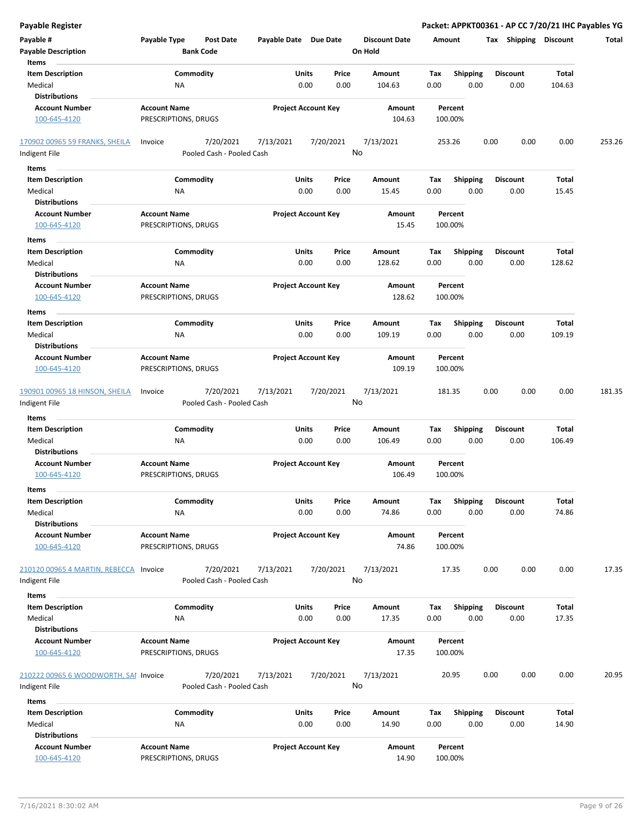| <b>Payable Register</b>                                    |                                                      |                            |                 |                                 | Packet: APPKT00361 - AP CC 7/20/21 IHC Payables YG |      |                         |                 |        |
|------------------------------------------------------------|------------------------------------------------------|----------------------------|-----------------|---------------------------------|----------------------------------------------------|------|-------------------------|-----------------|--------|
| Payable #<br><b>Payable Description</b>                    | Payable Type<br><b>Post Date</b><br><b>Bank Code</b> | Payable Date Due Date      |                 | <b>Discount Date</b><br>On Hold | Amount                                             |      | Tax Shipping Discount   |                 | Total  |
| Items<br><b>Item Description</b><br>Medical                | Commodity<br>NA                                      | Units<br>0.00              | Price<br>0.00   | Amount<br>104.63                | Tax<br><b>Shipping</b><br>0.00                     | 0.00 | <b>Discount</b><br>0.00 | Total<br>104.63 |        |
| <b>Distributions</b>                                       |                                                      |                            |                 |                                 |                                                    |      |                         |                 |        |
| <b>Account Number</b><br>100-645-4120                      | <b>Account Name</b><br>PRESCRIPTIONS, DRUGS          | <b>Project Account Key</b> |                 | Amount<br>104.63                | Percent<br>100.00%                                 |      |                         |                 |        |
| 170902 00965 59 FRANKS, SHEILA                             | 7/20/2021<br>Invoice                                 | 7/13/2021                  | 7/20/2021       | 7/13/2021                       | 253.26                                             | 0.00 | 0.00                    | 0.00            | 253.26 |
| Indigent File                                              | Pooled Cash - Pooled Cash                            |                            | No              |                                 |                                                    |      |                         |                 |        |
| Items                                                      |                                                      |                            |                 |                                 |                                                    |      |                         |                 |        |
| <b>Item Description</b><br>Medical                         | Commodity<br>ΝA                                      | Units<br>0.00              | Price<br>0.00   | Amount<br>15.45                 | <b>Shipping</b><br>Tax<br>0.00                     | 0.00 | Discount<br>0.00        | Total<br>15.45  |        |
| <b>Distributions</b>                                       |                                                      |                            |                 |                                 |                                                    |      |                         |                 |        |
| <b>Account Number</b><br>100-645-4120                      | <b>Account Name</b><br>PRESCRIPTIONS, DRUGS          | <b>Project Account Key</b> |                 | Amount<br>15.45                 | Percent<br>100.00%                                 |      |                         |                 |        |
| Items                                                      |                                                      |                            |                 |                                 |                                                    |      |                         |                 |        |
| <b>Item Description</b><br>Medical<br><b>Distributions</b> | Commodity<br>ΝA                                      | Units<br>0.00              | Price<br>0.00   | Amount<br>128.62                | Tax<br><b>Shipping</b><br>0.00                     | 0.00 | <b>Discount</b><br>0.00 | Total<br>128.62 |        |
| <b>Account Number</b><br>100-645-4120                      | <b>Account Name</b><br>PRESCRIPTIONS, DRUGS          | <b>Project Account Key</b> |                 | Amount<br>128.62                | Percent<br>100.00%                                 |      |                         |                 |        |
| Items                                                      |                                                      |                            |                 |                                 |                                                    |      |                         |                 |        |
| <b>Item Description</b><br>Medical                         | Commodity<br>NA                                      | Units<br>0.00              | Price<br>0.00   | Amount<br>109.19                | Tax<br><b>Shipping</b><br>0.00                     | 0.00 | Discount<br>0.00        | Total<br>109.19 |        |
| <b>Distributions</b>                                       |                                                      |                            |                 |                                 |                                                    |      |                         |                 |        |
| <b>Account Number</b><br>100-645-4120                      | <b>Account Name</b><br>PRESCRIPTIONS, DRUGS          | <b>Project Account Key</b> |                 | Amount<br>109.19                | Percent<br>100.00%                                 |      |                         |                 |        |
| 190901 00965 18 HINSON, SHEILA                             | 7/20/2021<br>Invoice                                 | 7/13/2021                  | 7/20/2021       | 7/13/2021                       | 181.35                                             | 0.00 | 0.00                    | 0.00            | 181.35 |
| Indigent File                                              | Pooled Cash - Pooled Cash                            |                            | No              |                                 |                                                    |      |                         |                 |        |
| Items                                                      |                                                      |                            |                 |                                 |                                                    |      |                         |                 |        |
| <b>Item Description</b>                                    | Commodity                                            | Units                      | Price           | Amount                          | <b>Shipping</b><br>Tax                             |      | Discount                | Total           |        |
| Medical<br><b>Distributions</b>                            | NA                                                   | 0.00                       | 0.00            | 106.49                          | 0.00                                               | 0.00 | 0.00                    | 106.49          |        |
| <b>Account Number</b><br>100-645-4120                      | <b>Account Name</b><br>PRESCRIPTIONS, DRUGS          | <b>Project Account Key</b> |                 | Amount<br>106.49                | Percent<br>100.00%                                 |      |                         |                 |        |
| ltems                                                      |                                                      |                            |                 |                                 |                                                    |      |                         |                 |        |
| <b>Item Description</b><br>Medical<br><b>Distributions</b> | Commodity<br>NA                                      | Units<br>0.00              | Price<br>0.00   | Amount<br>74.86                 | Shipping<br>Tax<br>0.00                            | 0.00 | Discount<br>0.00        | Total<br>74.86  |        |
| <b>Account Number</b><br>100-645-4120                      | <b>Account Name</b><br>PRESCRIPTIONS, DRUGS          | <b>Project Account Key</b> |                 | Amount<br>74.86                 | Percent<br>100.00%                                 |      |                         |                 |        |
| 210120 00965 4 MARTIN, REBECCA Invoice                     | 7/20/2021                                            | 7/13/2021                  | 7/20/2021       | 7/13/2021                       | 17.35                                              | 0.00 | 0.00                    | 0.00            | 17.35  |
| Indigent File                                              | Pooled Cash - Pooled Cash                            |                            | No              |                                 |                                                    |      |                         |                 |        |
| Items                                                      |                                                      |                            |                 |                                 |                                                    |      |                         |                 |        |
| <b>Item Description</b>                                    | Commodity                                            | Units                      | Price           | Amount                          | Shipping<br>Tax                                    |      | Discount                | Total           |        |
| Medical                                                    | NA                                                   | 0.00                       | 0.00            | 17.35                           | 0.00                                               | 0.00 | 0.00                    | 17.35           |        |
| <b>Distributions</b><br><b>Account Number</b>              |                                                      |                            |                 |                                 |                                                    |      |                         |                 |        |
| 100-645-4120                                               | <b>Account Name</b><br>PRESCRIPTIONS, DRUGS          | <b>Project Account Key</b> |                 | Amount<br>17.35                 | Percent<br>100.00%                                 |      |                         |                 |        |
| 210222 00965 6 WOODWORTH, SAI Invoice<br>Indigent File     | 7/20/2021<br>Pooled Cash - Pooled Cash               | 7/13/2021                  | 7/20/2021<br>No | 7/13/2021                       | 20.95                                              | 0.00 | 0.00                    | 0.00            | 20.95  |
|                                                            |                                                      |                            |                 |                                 |                                                    |      |                         |                 |        |
| Items                                                      |                                                      |                            |                 |                                 |                                                    |      |                         |                 |        |
| <b>Item Description</b><br>Medical<br><b>Distributions</b> | Commodity<br>NA                                      | Units<br>0.00              | Price<br>0.00   | Amount<br>14.90                 | <b>Shipping</b><br>Tax<br>0.00                     | 0.00 | <b>Discount</b><br>0.00 | Total<br>14.90  |        |
| <b>Account Number</b><br>100-645-4120                      | <b>Account Name</b><br>PRESCRIPTIONS, DRUGS          | <b>Project Account Key</b> |                 | Amount<br>14.90                 | Percent<br>100.00%                                 |      |                         |                 |        |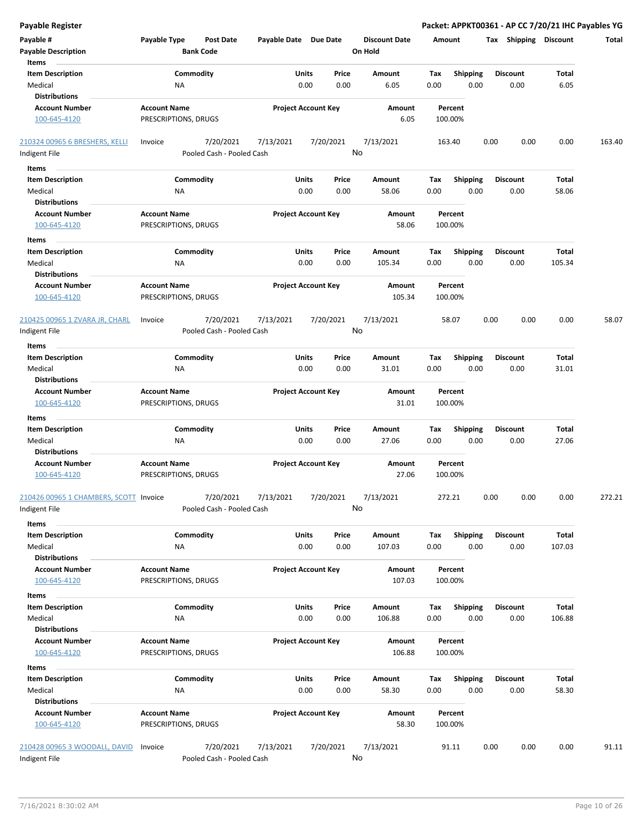| Payable #<br><b>Payable Description</b><br>Items                    | Payable Type                                | Post Date<br><b>Bank Code</b>          | Payable Date Due Date |                                       | <b>Discount Date</b><br>On Hold | Amount                         |      | Tax Shipping            | <b>Discount</b> | Total  |
|---------------------------------------------------------------------|---------------------------------------------|----------------------------------------|-----------------------|---------------------------------------|---------------------------------|--------------------------------|------|-------------------------|-----------------|--------|
| <b>Item Description</b><br>Medical<br><b>Distributions</b>          | ΝA                                          | Commodity                              |                       | Units<br>Price<br>0.00<br>0.00        | Amount<br>6.05                  | Tax<br><b>Shipping</b><br>0.00 | 0.00 | Discount<br>0.00        | Total<br>6.05   |        |
| <b>Account Number</b><br>100-645-4120                               | <b>Account Name</b><br>PRESCRIPTIONS, DRUGS |                                        |                       | <b>Project Account Key</b>            | Amount<br>6.05                  | Percent<br>100.00%             |      |                         |                 |        |
| 210324 00965 6 BRESHERS, KELLI<br>Indigent File                     | Invoice                                     | 7/20/2021<br>Pooled Cash - Pooled Cash | 7/13/2021             | 7/20/2021                             | 7/13/2021<br>No                 | 163.40                         | 0.00 | 0.00                    | 0.00            | 163.40 |
| Items                                                               |                                             |                                        |                       |                                       |                                 |                                |      |                         |                 |        |
| <b>Item Description</b><br>Medical<br><b>Distributions</b>          | ΝA                                          | Commodity                              |                       | Units<br>Price<br>0.00<br>0.00        | Amount<br>58.06                 | Shipping<br>Tax<br>0.00        | 0.00 | <b>Discount</b><br>0.00 | Total<br>58.06  |        |
| <b>Account Number</b><br>100-645-4120                               | <b>Account Name</b><br>PRESCRIPTIONS, DRUGS |                                        |                       | <b>Project Account Key</b>            | Amount<br>58.06                 | Percent<br>100.00%             |      |                         |                 |        |
| Items<br><b>Item Description</b><br>Medical<br><b>Distributions</b> | ΝA                                          | Commodity                              |                       | Units<br>Price<br>0.00<br>0.00        | Amount<br>105.34                | Tax<br><b>Shipping</b><br>0.00 | 0.00 | <b>Discount</b><br>0.00 | Total<br>105.34 |        |
| <b>Account Number</b><br>100-645-4120                               | <b>Account Name</b><br>PRESCRIPTIONS, DRUGS |                                        |                       | <b>Project Account Key</b>            | Amount<br>105.34                | Percent<br>100.00%             |      |                         |                 |        |
| 210425 00965 1 ZVARA JR, CHARL<br>Indigent File                     | Invoice                                     | 7/20/2021<br>Pooled Cash - Pooled Cash | 7/13/2021             | 7/20/2021                             | 7/13/2021<br>No                 | 58.07                          | 0.00 | 0.00                    | 0.00            | 58.07  |
| Items                                                               |                                             |                                        |                       |                                       |                                 |                                |      |                         |                 |        |
| <b>Item Description</b><br>Medical<br><b>Distributions</b>          | ΝA                                          | Commodity                              |                       | Units<br>Price<br>0.00<br>0.00        | Amount<br>31.01                 | Tax<br><b>Shipping</b><br>0.00 | 0.00 | Discount<br>0.00        | Total<br>31.01  |        |
| <b>Account Number</b><br>100-645-4120                               | <b>Account Name</b><br>PRESCRIPTIONS, DRUGS |                                        |                       | <b>Project Account Key</b>            | Amount<br>31.01                 | Percent<br>100.00%             |      |                         |                 |        |
| Items                                                               |                                             |                                        |                       |                                       |                                 |                                |      |                         |                 |        |
| <b>Item Description</b><br>Medical<br><b>Distributions</b>          | ΝA                                          | Commodity                              |                       | Units<br>Price<br>0.00<br>0.00        | Amount<br>27.06                 | Tax<br><b>Shipping</b><br>0.00 | 0.00 | Discount<br>0.00        | Total<br>27.06  |        |
| <b>Account Number</b><br>100-645-4120                               | <b>Account Name</b><br>PRESCRIPTIONS, DRUGS |                                        |                       | <b>Project Account Key</b>            | Amount<br>27.06                 | Percent<br>100.00%             |      |                         |                 |        |
| 210426 00965 1 CHAMBERS, SCOTT<br>Indigent File                     | Invoice                                     | 7/20/2021<br>Pooled Cash - Pooled Cash | 7/13/2021             | 7/20/2021                             | 7/13/2021<br>No                 | 272.21                         | 0.00 | 0.00                    | 0.00            | 272.21 |
| Items                                                               |                                             |                                        |                       |                                       |                                 |                                |      |                         |                 |        |
| <b>Item Description</b><br>Medical<br><b>Distributions</b>          | NA                                          | Commodity                              |                       | <b>Units</b><br>Price<br>0.00<br>0.00 | Amount<br>107.03                | <b>Shipping</b><br>Tax<br>0.00 | 0.00 | <b>Discount</b><br>0.00 | Total<br>107.03 |        |
| <b>Account Number</b><br>100-645-4120                               | <b>Account Name</b><br>PRESCRIPTIONS, DRUGS |                                        |                       | <b>Project Account Key</b>            | Amount<br>107.03                | Percent<br>100.00%             |      |                         |                 |        |
| Items<br><b>Item Description</b>                                    |                                             | Commodity                              |                       | Units<br>Price                        |                                 |                                |      | <b>Discount</b>         | Total           |        |
| Medical<br><b>Distributions</b>                                     | ΝA                                          |                                        |                       | 0.00<br>0.00                          | Amount<br>106.88                | Tax<br><b>Shipping</b><br>0.00 | 0.00 | 0.00                    | 106.88          |        |
| <b>Account Number</b><br>100-645-4120                               | <b>Account Name</b><br>PRESCRIPTIONS, DRUGS |                                        |                       | <b>Project Account Key</b>            | Amount<br>106.88                | Percent<br>100.00%             |      |                         |                 |        |
| Items                                                               |                                             |                                        |                       |                                       |                                 |                                |      |                         |                 |        |
| <b>Item Description</b><br>Medical<br><b>Distributions</b>          | ΝA                                          | Commodity                              |                       | Units<br>Price<br>0.00<br>0.00        | Amount<br>58.30                 | <b>Shipping</b><br>Tax<br>0.00 | 0.00 | Discount<br>0.00        | Total<br>58.30  |        |
| <b>Account Number</b><br>100-645-4120                               | <b>Account Name</b><br>PRESCRIPTIONS, DRUGS |                                        |                       | <b>Project Account Key</b>            | Amount<br>58.30                 | Percent<br>100.00%             |      |                         |                 |        |
| 210428 00965 3 WOODALL, DAVID<br>Indigent File                      | Invoice                                     | 7/20/2021<br>Pooled Cash - Pooled Cash | 7/13/2021             | 7/20/2021                             | 7/13/2021<br>No                 | 91.11                          | 0.00 | 0.00                    | 0.00            | 91.11  |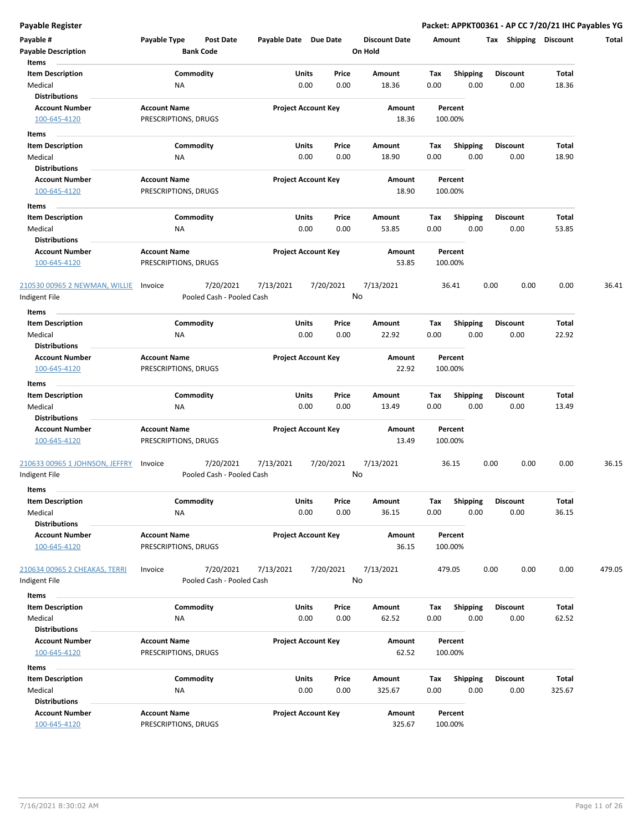| Payable #                      | Payable Type         | Post Date                 | Payable Date Due Date |                            | <b>Discount Date</b> |      | Amount          | Shipping<br>Tax | <b>Discount</b> | Total  |
|--------------------------------|----------------------|---------------------------|-----------------------|----------------------------|----------------------|------|-----------------|-----------------|-----------------|--------|
| <b>Payable Description</b>     |                      | <b>Bank Code</b>          |                       |                            | On Hold              |      |                 |                 |                 |        |
| Items                          |                      |                           |                       |                            |                      |      |                 |                 |                 |        |
| <b>Item Description</b>        |                      | Commodity                 |                       | Units<br>Price             | Amount               | Tax  | <b>Shipping</b> | <b>Discount</b> | Total           |        |
| Medical                        | ΝA                   |                           |                       | 0.00<br>0.00               | 18.36                | 0.00 | 0.00            | 0.00            | 18.36           |        |
| <b>Distributions</b>           |                      |                           |                       |                            |                      |      |                 |                 |                 |        |
| <b>Account Number</b>          | <b>Account Name</b>  |                           |                       | <b>Project Account Key</b> | Amount               |      | Percent         |                 |                 |        |
| 100-645-4120                   | PRESCRIPTIONS, DRUGS |                           |                       |                            | 18.36                |      | 100.00%         |                 |                 |        |
| Items                          |                      |                           |                       |                            |                      |      |                 |                 |                 |        |
| <b>Item Description</b>        |                      | Commodity                 |                       | Units<br>Price             | Amount               | Тах  | Shipping        | <b>Discount</b> | Total           |        |
| Medical                        | ΝA                   |                           |                       | 0.00<br>0.00               | 18.90                | 0.00 | 0.00            | 0.00            | 18.90           |        |
| <b>Distributions</b>           |                      |                           |                       |                            |                      |      |                 |                 |                 |        |
| <b>Account Number</b>          | <b>Account Name</b>  |                           |                       | <b>Project Account Key</b> | Amount               |      | Percent         |                 |                 |        |
| 100-645-4120                   | PRESCRIPTIONS, DRUGS |                           |                       |                            | 18.90                |      | 100.00%         |                 |                 |        |
| Items                          |                      |                           |                       |                            |                      |      |                 |                 |                 |        |
| <b>Item Description</b>        |                      | Commodity                 |                       | Units<br>Price             | Amount               | Tax  | <b>Shipping</b> | <b>Discount</b> | Total           |        |
| Medical                        | ΝA                   |                           |                       | 0.00<br>0.00               | 53.85                | 0.00 | 0.00            | 0.00            | 53.85           |        |
| <b>Distributions</b>           |                      |                           |                       |                            |                      |      |                 |                 |                 |        |
| <b>Account Number</b>          | <b>Account Name</b>  |                           |                       | <b>Project Account Key</b> | Amount               |      | Percent         |                 |                 |        |
| 100-645-4120                   | PRESCRIPTIONS, DRUGS |                           |                       |                            | 53.85                |      | 100.00%         |                 |                 |        |
|                                |                      |                           |                       |                            |                      |      |                 |                 |                 |        |
| 210530 00965 2 NEWMAN, WILLIE  | Invoice              | 7/20/2021                 | 7/13/2021             | 7/20/2021                  | 7/13/2021            |      | 36.41           | 0.00<br>0.00    | 0.00            | 36.41  |
| Indigent File                  |                      | Pooled Cash - Pooled Cash |                       |                            | No                   |      |                 |                 |                 |        |
| Items                          |                      |                           |                       |                            |                      |      |                 |                 |                 |        |
| <b>Item Description</b>        |                      | Commodity                 |                       | Units<br>Price             | Amount               | Тах  | <b>Shipping</b> | <b>Discount</b> | Total           |        |
| Medical                        | ΝA                   |                           |                       | 0.00<br>0.00               | 22.92                | 0.00 | 0.00            | 0.00            | 22.92           |        |
| <b>Distributions</b>           |                      |                           |                       |                            |                      |      |                 |                 |                 |        |
| <b>Account Number</b>          | <b>Account Name</b>  |                           |                       | <b>Project Account Key</b> | Amount               |      | Percent         |                 |                 |        |
| 100-645-4120                   | PRESCRIPTIONS, DRUGS |                           |                       |                            | 22.92                |      | 100.00%         |                 |                 |        |
| Items                          |                      |                           |                       |                            |                      |      |                 |                 |                 |        |
| <b>Item Description</b>        |                      | Commodity                 |                       | Units<br>Price             | Amount               | Tax  | <b>Shipping</b> | <b>Discount</b> | Total           |        |
| Medical                        | ΝA                   |                           |                       | 0.00<br>0.00               | 13.49                | 0.00 | 0.00            | 0.00            | 13.49           |        |
| <b>Distributions</b>           |                      |                           |                       |                            |                      |      |                 |                 |                 |        |
| <b>Account Number</b>          | <b>Account Name</b>  |                           |                       | <b>Project Account Key</b> | Amount               |      | Percent         |                 |                 |        |
| 100-645-4120                   | PRESCRIPTIONS, DRUGS |                           |                       |                            | 13.49                |      | 100.00%         |                 |                 |        |
|                                |                      |                           |                       |                            |                      |      |                 |                 |                 |        |
| 210633 00965 1 JOHNSON, JEFFRY | Invoice              | 7/20/2021                 | 7/13/2021             | 7/20/2021                  | 7/13/2021            |      | 36.15           | 0.00<br>0.00    | 0.00            | 36.15  |
| Indigent File                  |                      | Pooled Cash - Pooled Cash |                       |                            | No                   |      |                 |                 |                 |        |
| Items                          |                      |                           |                       |                            |                      |      |                 |                 |                 |        |
| <b>Item Description</b>        |                      | Commodity                 |                       | Units<br>Price             | Amount               | Tax  | <b>Shipping</b> | <b>Discount</b> | Total           |        |
| Medical                        | NA                   |                           |                       | 0.00<br>0.00               | 36.15                | 0.00 | 0.00            | 0.00            | 36.15           |        |
| <b>Distributions</b>           |                      |                           |                       |                            |                      |      |                 |                 |                 |        |
| <b>Account Number</b>          | <b>Account Name</b>  |                           |                       | <b>Project Account Key</b> | Amount               |      | Percent         |                 |                 |        |
| 100-645-4120                   | PRESCRIPTIONS, DRUGS |                           |                       |                            | 36.15                |      | 100.00%         |                 |                 |        |
|                                |                      |                           |                       |                            |                      |      |                 |                 |                 |        |
| 210634 00965 2 CHEAKAS, TERRI  | Invoice              | 7/20/2021                 | 7/13/2021             | 7/20/2021                  | 7/13/2021            |      | 479.05          | 0.00<br>0.00    | 0.00            | 479.05 |
| Indigent File                  |                      | Pooled Cash - Pooled Cash |                       |                            | No                   |      |                 |                 |                 |        |
| Items                          |                      |                           |                       |                            |                      |      |                 |                 |                 |        |
| <b>Item Description</b>        |                      | Commodity                 |                       | Units<br>Price             | Amount               | Тах  | <b>Shipping</b> | <b>Discount</b> | Total           |        |
| Medical                        | ΝA                   |                           |                       | 0.00<br>0.00               | 62.52                | 0.00 | 0.00            | 0.00            | 62.52           |        |
| <b>Distributions</b>           |                      |                           |                       |                            |                      |      |                 |                 |                 |        |
| <b>Account Number</b>          | <b>Account Name</b>  |                           |                       | <b>Project Account Key</b> | Amount               |      | Percent         |                 |                 |        |
| 100-645-4120                   | PRESCRIPTIONS, DRUGS |                           |                       |                            | 62.52                |      | 100.00%         |                 |                 |        |
| Items                          |                      |                           |                       |                            |                      |      |                 |                 |                 |        |
| <b>Item Description</b>        |                      | Commodity                 |                       | Units<br>Price             | Amount               | Tax  | <b>Shipping</b> | <b>Discount</b> | Total           |        |
| Medical                        | NA                   |                           |                       | 0.00<br>0.00               | 325.67               | 0.00 | 0.00            | 0.00            | 325.67          |        |
| <b>Distributions</b>           |                      |                           |                       |                            |                      |      |                 |                 |                 |        |
| <b>Account Number</b>          | <b>Account Name</b>  |                           |                       | <b>Project Account Key</b> | Amount               |      | Percent         |                 |                 |        |
| 100-645-4120                   | PRESCRIPTIONS, DRUGS |                           |                       |                            | 325.67               |      | 100.00%         |                 |                 |        |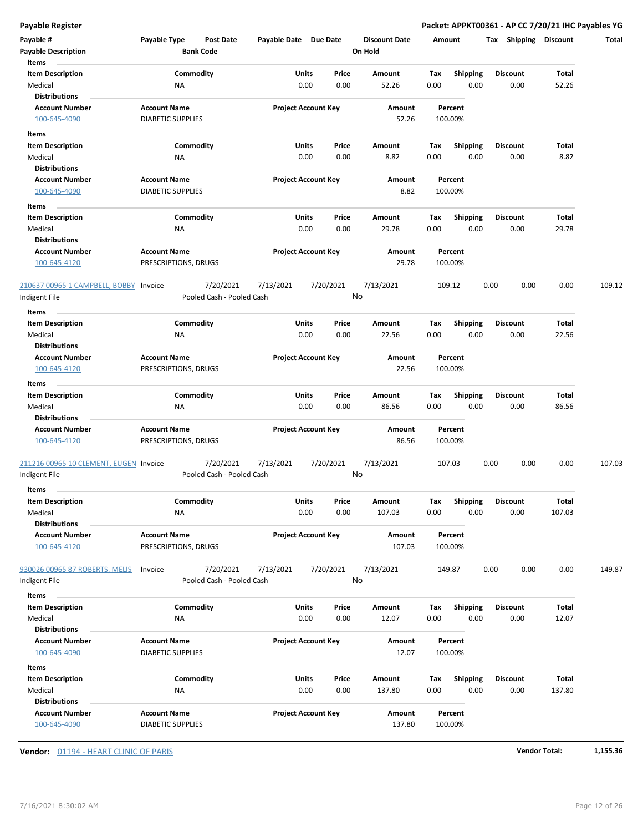| Payable #<br><b>Payable Description</b><br>Items              | Payable Type                                    | Post Date<br><b>Bank Code</b>          | Payable Date Due Date |                                | <b>Discount Date</b><br>On Hold | Amount             |                         | <b>Shipping</b><br>Tax  | <b>Discount</b> | Total  |
|---------------------------------------------------------------|-------------------------------------------------|----------------------------------------|-----------------------|--------------------------------|---------------------------------|--------------------|-------------------------|-------------------------|-----------------|--------|
| <b>Item Description</b><br>Medical                            | NA                                              | Commodity                              |                       | Units<br>Price<br>0.00<br>0.00 | Amount<br>52.26                 | Tax<br>0.00        | <b>Shipping</b><br>0.00 | <b>Discount</b><br>0.00 | Total<br>52.26  |        |
| <b>Distributions</b><br><b>Account Number</b><br>100-645-4090 | <b>Account Name</b><br><b>DIABETIC SUPPLIES</b> |                                        |                       | <b>Project Account Key</b>     | Amount<br>52.26                 | Percent<br>100.00% |                         |                         |                 |        |
| Items                                                         |                                                 |                                        |                       | Units<br>Price                 | Amount                          |                    | Shipping                | <b>Discount</b>         | Total           |        |
| <b>Item Description</b><br>Medical                            | ΝA                                              | Commodity                              |                       | 0.00<br>0.00                   | 8.82                            | Тах<br>0.00        | 0.00                    | 0.00                    | 8.82            |        |
| <b>Distributions</b><br><b>Account Number</b><br>100-645-4090 | <b>Account Name</b><br><b>DIABETIC SUPPLIES</b> |                                        |                       | <b>Project Account Key</b>     | Amount<br>8.82                  | Percent<br>100.00% |                         |                         |                 |        |
| Items                                                         |                                                 |                                        |                       |                                |                                 |                    |                         |                         |                 |        |
| <b>Item Description</b><br>Medical<br><b>Distributions</b>    | ΝA                                              | Commodity                              |                       | Units<br>Price<br>0.00<br>0.00 | Amount<br>29.78                 | Tax<br>0.00        | <b>Shipping</b><br>0.00 | <b>Discount</b><br>0.00 | Total<br>29.78  |        |
| <b>Account Number</b><br>100-645-4120                         | <b>Account Name</b><br>PRESCRIPTIONS, DRUGS     |                                        |                       | <b>Project Account Key</b>     | Amount<br>29.78                 | Percent<br>100.00% |                         |                         |                 |        |
| 210637 00965 1 CAMPBELL, BOBBY Invoice<br>ndigent File        |                                                 | 7/20/2021<br>Pooled Cash - Pooled Cash | 7/13/2021             | 7/20/2021                      | 7/13/2021<br>No                 | 109.12             |                         | 0.00<br>0.00            | 0.00            | 109.12 |
| Items<br><b>Item Description</b>                              |                                                 | Commodity                              |                       | Units<br>Price                 | Amount                          | Tax                | <b>Shipping</b>         | <b>Discount</b>         | Total           |        |
| Medical<br><b>Distributions</b>                               | ΝA                                              |                                        |                       | 0.00<br>0.00                   | 22.56                           | 0.00               | 0.00                    | 0.00                    | 22.56           |        |
| <b>Account Number</b><br>100-645-4120                         | <b>Account Name</b><br>PRESCRIPTIONS, DRUGS     |                                        |                       | <b>Project Account Key</b>     | Amount<br>22.56                 | Percent<br>100.00% |                         |                         |                 |        |
| Items<br><b>Item Description</b>                              |                                                 | Commodity                              |                       | Units<br>Price                 | Amount                          | Tax                | <b>Shipping</b>         | <b>Discount</b>         | Total           |        |
| Medical<br>Distributions                                      | <b>NA</b>                                       |                                        |                       | 0.00<br>0.00                   | 86.56                           | 0.00               | 0.00                    | 0.00                    | 86.56           |        |
| <b>Account Number</b><br>100-645-4120                         | <b>Account Name</b><br>PRESCRIPTIONS, DRUGS     |                                        |                       | <b>Project Account Key</b>     | Amount<br>86.56                 | Percent<br>100.00% |                         |                         |                 |        |
| 211216 00965 10 CLEMENT, EUGEN Invoice<br>Indigent File       |                                                 | 7/20/2021<br>Pooled Cash - Pooled Cash | 7/13/2021             | 7/20/2021                      | 7/13/2021<br>No                 | 107.03             |                         | 0.00<br>0.00            | 0.00            | 107.03 |
| Items<br><b>Item Description</b>                              |                                                 | Commodity                              |                       | Units<br>Price                 | Amount                          | Тах                | Shipping                | <b>Discount</b>         | Total           |        |
| Medical<br><b>Distributions</b>                               | NA                                              |                                        |                       | 0.00<br>0.00                   | 107.03                          | 0.00               | 0.00                    | 0.00                    | 107.03          |        |
| <b>Account Number</b><br>100-645-4120                         | <b>Account Name</b><br>PRESCRIPTIONS, DRUGS     |                                        |                       | <b>Project Account Key</b>     | Amount<br>107.03                | Percent<br>100.00% |                         |                         |                 |        |
| 930026 00965 87 ROBERTS, MELIS<br>Indigent File               | Invoice                                         | 7/20/2021<br>Pooled Cash - Pooled Cash | 7/13/2021             | 7/20/2021                      | 7/13/2021<br>No                 | 149.87             |                         | 0.00<br>0.00            | 0.00            | 149.87 |
| Items                                                         |                                                 |                                        |                       |                                |                                 |                    |                         |                         |                 |        |
| <b>Item Description</b><br>Medical                            | ΝA                                              | Commodity                              |                       | Units<br>Price<br>0.00<br>0.00 | Amount<br>12.07                 | Tax<br>0.00        | <b>Shipping</b><br>0.00 | <b>Discount</b><br>0.00 | Total<br>12.07  |        |
| <b>Distributions</b><br><b>Account Number</b><br>100-645-4090 | <b>Account Name</b><br><b>DIABETIC SUPPLIES</b> |                                        |                       | <b>Project Account Key</b>     | Amount<br>12.07                 | Percent<br>100.00% |                         |                         |                 |        |
| Items<br><b>Item Description</b>                              |                                                 | Commodity                              |                       | Units<br>Price                 | Amount                          | Tax                | <b>Shipping</b>         | <b>Discount</b>         | Total           |        |
| Medical<br><b>Distributions</b>                               | NA                                              |                                        |                       | 0.00<br>0.00                   | 137.80                          | 0.00               | 0.00                    | 0.00                    | 137.80          |        |
| <b>Account Number</b><br>100-645-4090                         | <b>Account Name</b><br><b>DIABETIC SUPPLIES</b> |                                        |                       | <b>Project Account Key</b>     | Amount<br>137.80                | Percent<br>100.00% |                         |                         |                 |        |

**Vendor:** 01194 - HEART CLINIC OF PARIS **Vendor Total: 1,155.36**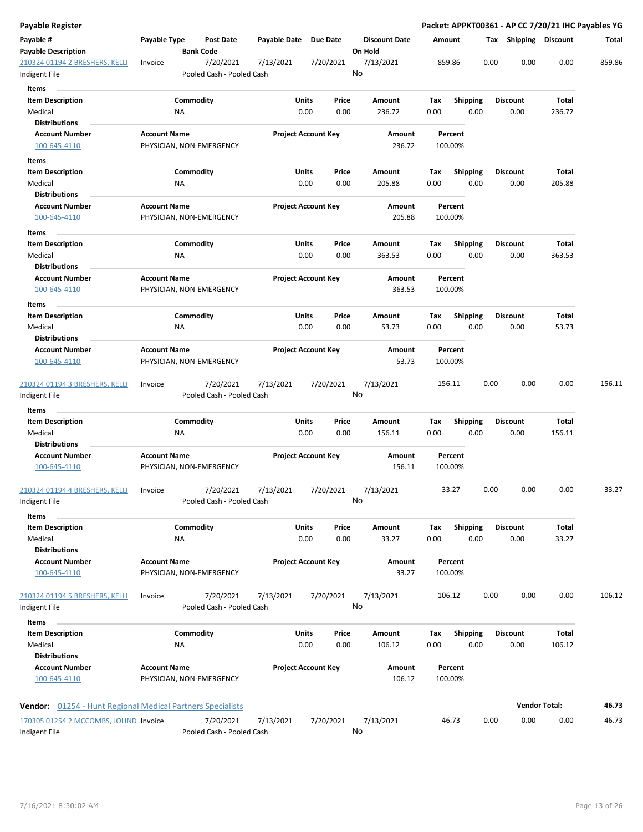| <b>Payable Register</b>                                           |                     |                                        |                       |                            |                                 |        |                    |      |                       |                      | Packet: APPKT00361 - AP CC 7/20/21 IHC Payables YG |
|-------------------------------------------------------------------|---------------------|----------------------------------------|-----------------------|----------------------------|---------------------------------|--------|--------------------|------|-----------------------|----------------------|----------------------------------------------------|
| Payable #<br><b>Payable Description</b>                           | Payable Type        | <b>Post Date</b><br><b>Bank Code</b>   | Payable Date Due Date |                            | <b>Discount Date</b><br>On Hold | Amount |                    |      | Tax Shipping Discount |                      | Total                                              |
| 210324 01194 2 BRESHERS, KELLI                                    | Invoice             | 7/20/2021                              | 7/13/2021             | 7/20/2021                  | 7/13/2021<br>No                 |        | 859.86             | 0.00 | 0.00                  | 0.00                 | 859.86                                             |
| Indigent File                                                     |                     | Pooled Cash - Pooled Cash              |                       |                            |                                 |        |                    |      |                       |                      |                                                    |
| Items                                                             |                     |                                        |                       |                            |                                 |        |                    |      |                       |                      |                                                    |
| <b>Item Description</b>                                           |                     | Commodity                              |                       | Units<br>Price             | Amount                          | Tax    | <b>Shipping</b>    |      | <b>Discount</b>       | Total                |                                                    |
| Medical<br><b>Distributions</b>                                   | ΝA                  |                                        |                       | 0.00<br>0.00               | 236.72                          | 0.00   | 0.00               |      | 0.00                  | 236.72               |                                                    |
| <b>Account Number</b>                                             | <b>Account Name</b> |                                        |                       | <b>Project Account Key</b> | Amount                          |        | Percent            |      |                       |                      |                                                    |
| 100-645-4110                                                      |                     | PHYSICIAN, NON-EMERGENCY               |                       |                            | 236.72                          |        | 100.00%            |      |                       |                      |                                                    |
|                                                                   |                     |                                        |                       |                            |                                 |        |                    |      |                       |                      |                                                    |
| Items                                                             |                     |                                        |                       |                            |                                 |        |                    |      |                       |                      |                                                    |
| <b>Item Description</b>                                           |                     | Commodity                              |                       | Units<br>Price             | Amount                          | Тах    | <b>Shipping</b>    |      | <b>Discount</b>       | Total                |                                                    |
| Medical<br><b>Distributions</b>                                   | ΝA                  |                                        |                       | 0.00<br>0.00               | 205.88                          | 0.00   | 0.00               |      | 0.00                  | 205.88               |                                                    |
| <b>Account Number</b>                                             | <b>Account Name</b> |                                        |                       | <b>Project Account Key</b> | Amount                          |        | Percent            |      |                       |                      |                                                    |
| 100-645-4110                                                      |                     | PHYSICIAN, NON-EMERGENCY               |                       |                            | 205.88                          |        | 100.00%            |      |                       |                      |                                                    |
|                                                                   |                     |                                        |                       |                            |                                 |        |                    |      |                       |                      |                                                    |
| Items                                                             |                     |                                        |                       |                            |                                 |        |                    |      |                       |                      |                                                    |
| <b>Item Description</b>                                           |                     | Commodity                              |                       | Units<br>Price             | Amount                          | Tax    | Shipping           |      | <b>Discount</b>       | Total                |                                                    |
| Medical                                                           | ΝA                  |                                        |                       | 0.00<br>0.00               | 363.53                          | 0.00   | 0.00               |      | 0.00                  | 363.53               |                                                    |
| <b>Distributions</b><br><b>Account Number</b>                     | <b>Account Name</b> |                                        |                       | <b>Project Account Key</b> | Amount                          |        | Percent            |      |                       |                      |                                                    |
| 100-645-4110                                                      |                     | PHYSICIAN, NON-EMERGENCY               |                       |                            | 363.53                          |        | 100.00%            |      |                       |                      |                                                    |
| Items                                                             |                     |                                        |                       |                            |                                 |        |                    |      |                       |                      |                                                    |
| <b>Item Description</b>                                           |                     | Commodity                              |                       | Units<br>Price             | Amount                          | Tax    | <b>Shipping</b>    |      | <b>Discount</b>       | Total                |                                                    |
| Medical<br><b>Distributions</b>                                   | ΝA                  |                                        |                       | 0.00<br>0.00               | 53.73                           | 0.00   | 0.00               |      | 0.00                  | 53.73                |                                                    |
| <b>Account Number</b>                                             | <b>Account Name</b> |                                        |                       | <b>Project Account Key</b> | Amount                          |        | Percent            |      |                       |                      |                                                    |
| 100-645-4110                                                      |                     | PHYSICIAN, NON-EMERGENCY               |                       |                            | 53.73                           |        | 100.00%            |      |                       |                      |                                                    |
|                                                                   |                     |                                        |                       |                            |                                 |        |                    |      |                       |                      |                                                    |
| 210324 01194 3 BRESHERS, KELLI<br>Indigent File                   | Invoice             | 7/20/2021<br>Pooled Cash - Pooled Cash | 7/13/2021             | 7/20/2021                  | 7/13/2021<br>No                 |        | 156.11             | 0.00 | 0.00                  | 0.00                 | 156.11                                             |
| Items                                                             |                     |                                        |                       |                            |                                 |        |                    |      |                       |                      |                                                    |
| <b>Item Description</b>                                           |                     | Commodity                              |                       | Units<br>Price             | Amount                          | Tax    | <b>Shipping</b>    |      | <b>Discount</b>       | Total                |                                                    |
| Medical                                                           | ΝA                  |                                        |                       | 0.00<br>0.00               | 156.11                          | 0.00   | 0.00               |      | 0.00                  | 156.11               |                                                    |
| <b>Distributions</b>                                              |                     |                                        |                       |                            |                                 |        |                    |      |                       |                      |                                                    |
| <b>Account Number</b>                                             | <b>Account Name</b> |                                        |                       | <b>Project Account Key</b> | Amount                          |        | Percent            |      |                       |                      |                                                    |
| 100-645-4110                                                      |                     | PHYSICIAN, NON-EMERGENCY               |                       |                            | 156.11                          |        | 100.00%            |      |                       |                      |                                                    |
| 210324 01194 4 BRESHERS, KELLI                                    | Invoice             | 7/20/2021                              | 7/13/2021             | 7/20/2021                  | 7/13/2021                       |        | 33.27              | 0.00 | 0.00                  | 0.00                 | 33.27                                              |
| Indigent File                                                     |                     | Pooled Cash - Pooled Cash              |                       |                            | No                              |        |                    |      |                       |                      |                                                    |
| Items                                                             |                     |                                        |                       |                            |                                 |        |                    |      |                       |                      |                                                    |
| <b>Item Description</b>                                           |                     | Commodity                              |                       | Units<br>Price             | Amount                          | Tax    | Shipping           |      | <b>Discount</b>       | Total                |                                                    |
| Medical                                                           | ΝA                  |                                        |                       | 0.00<br>0.00               | 33.27                           | 0.00   | 0.00               |      | 0.00                  | 33.27                |                                                    |
| <b>Distributions</b>                                              |                     |                                        |                       |                            |                                 |        |                    |      |                       |                      |                                                    |
| <b>Account Number</b><br>100-645-4110                             | <b>Account Name</b> | PHYSICIAN, NON-EMERGENCY               |                       | <b>Project Account Key</b> | Amount<br>33.27                 |        | Percent<br>100.00% |      |                       |                      |                                                    |
| 210324 01194 5 BRESHERS, KELLI                                    | Invoice             | 7/20/2021                              | 7/13/2021             | 7/20/2021                  | 7/13/2021                       |        | 106.12             | 0.00 | 0.00                  | 0.00                 | 106.12                                             |
| Indigent File                                                     |                     | Pooled Cash - Pooled Cash              |                       |                            | No                              |        |                    |      |                       |                      |                                                    |
| Items                                                             |                     |                                        |                       |                            |                                 |        |                    |      |                       |                      |                                                    |
| <b>Item Description</b>                                           |                     | Commodity                              |                       | Units<br>Price             | Amount                          | Tax    | <b>Shipping</b>    |      | <b>Discount</b>       | Total                |                                                    |
| Medical                                                           | NA                  |                                        |                       | 0.00<br>0.00               | 106.12                          | 0.00   | 0.00               |      | 0.00                  | 106.12               |                                                    |
| <b>Distributions</b>                                              |                     |                                        |                       |                            |                                 |        |                    |      |                       |                      |                                                    |
| <b>Account Number</b>                                             | <b>Account Name</b> |                                        |                       | <b>Project Account Key</b> | Amount                          |        | Percent            |      |                       |                      |                                                    |
| 100-645-4110                                                      |                     | PHYSICIAN, NON-EMERGENCY               |                       |                            | 106.12                          |        | 100.00%            |      |                       |                      |                                                    |
| <b>Vendor:</b> 01254 - Hunt Regional Medical Partners Specialists |                     |                                        |                       |                            |                                 |        |                    |      |                       | <b>Vendor Total:</b> | 46.73                                              |
| 170305 01254 2 MCCOMBS, JOLIND Invoice                            |                     |                                        |                       |                            |                                 |        | 46.73              |      | 0.00                  | 0.00                 | 46.73                                              |
| Indigent File                                                     |                     | 7/20/2021<br>Pooled Cash - Pooled Cash | 7/13/2021             | 7/20/2021                  | 7/13/2021<br>No                 |        |                    | 0.00 |                       |                      |                                                    |
|                                                                   |                     |                                        |                       |                            |                                 |        |                    |      |                       |                      |                                                    |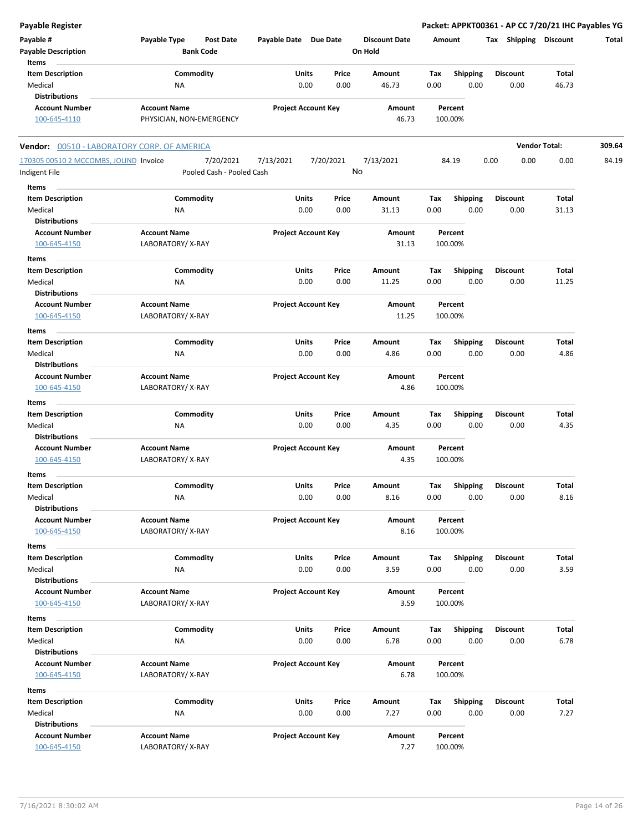| Payable Register                                   |                                                      |                            |               |                                 |             |                         | Packet: APPKT00361 - AP CC 7/20/21 IHC Payables YG |                      |        |
|----------------------------------------------------|------------------------------------------------------|----------------------------|---------------|---------------------------------|-------------|-------------------------|----------------------------------------------------|----------------------|--------|
| Payable #<br><b>Payable Description</b><br>Items   | Payable Type<br><b>Post Date</b><br><b>Bank Code</b> | Payable Date Due Date      |               | <b>Discount Date</b><br>On Hold | Amount      |                         | Tax Shipping Discount                              |                      | Total  |
| <b>Item Description</b><br>Medical                 | Commodity<br>NA                                      | Units<br>0.00              | Price<br>0.00 | Amount<br>46.73                 | Tax<br>0.00 | <b>Shipping</b><br>0.00 | Discount<br>0.00                                   | Total<br>46.73       |        |
| <b>Distributions</b>                               |                                                      |                            |               |                                 |             |                         |                                                    |                      |        |
| <b>Account Number</b>                              | <b>Account Name</b>                                  | <b>Project Account Key</b> |               | Amount                          |             | Percent                 |                                                    |                      |        |
| 100-645-4110                                       | PHYSICIAN, NON-EMERGENCY                             |                            |               | 46.73                           |             | 100.00%                 |                                                    |                      |        |
| <b>Vendor:</b> 00510 - LABORATORY CORP. OF AMERICA |                                                      |                            |               |                                 |             |                         |                                                    | <b>Vendor Total:</b> | 309.64 |
| 170305 00510 2 MCCOMBS, JOLIND Invoice             | 7/20/2021                                            | 7/13/2021                  | 7/20/2021     | 7/13/2021                       |             | 84.19                   | 0.00<br>0.00                                       | 0.00                 | 84.19  |
| Indigent File                                      | Pooled Cash - Pooled Cash                            |                            | No            |                                 |             |                         |                                                    |                      |        |
| Items<br><b>Item Description</b>                   | Commodity                                            | <b>Units</b>               | Price         | Amount                          | Tax         | Shipping                | Discount                                           | Total                |        |
| Medical                                            | ΝA                                                   | 0.00                       | 0.00          | 31.13                           | 0.00        | 0.00                    | 0.00                                               | 31.13                |        |
| <b>Distributions</b>                               |                                                      |                            |               |                                 |             |                         |                                                    |                      |        |
| <b>Account Number</b>                              | <b>Account Name</b>                                  | <b>Project Account Key</b> |               | Amount                          |             | Percent                 |                                                    |                      |        |
| 100-645-4150                                       | LABORATORY/X-RAY                                     |                            |               | 31.13                           |             | 100.00%                 |                                                    |                      |        |
| <b>Items</b>                                       |                                                      |                            |               |                                 |             |                         |                                                    |                      |        |
| <b>Item Description</b>                            | Commodity                                            | Units                      | Price         | Amount                          | Tax         | <b>Shipping</b>         | <b>Discount</b>                                    | Total                |        |
| Medical                                            | NA                                                   | 0.00                       | 0.00          | 11.25                           | 0.00        | 0.00                    | 0.00                                               | 11.25                |        |
| <b>Distributions</b>                               |                                                      |                            |               |                                 |             |                         |                                                    |                      |        |
| <b>Account Number</b>                              | <b>Account Name</b>                                  | <b>Project Account Key</b> |               | Amount                          |             | Percent                 |                                                    |                      |        |
| 100-645-4150                                       | LABORATORY/X-RAY                                     |                            |               | 11.25                           |             | 100.00%                 |                                                    |                      |        |
| Items                                              |                                                      |                            |               |                                 |             |                         |                                                    |                      |        |
| <b>Item Description</b>                            | Commodity                                            | Units                      | Price         | Amount                          | Tax         | <b>Shipping</b>         | Discount                                           | Total                |        |
| Medical                                            | NA                                                   | 0.00                       | 0.00          | 4.86                            | 0.00        | 0.00                    | 0.00                                               | 4.86                 |        |
| <b>Distributions</b>                               |                                                      |                            |               |                                 |             |                         |                                                    |                      |        |
| <b>Account Number</b>                              | <b>Account Name</b>                                  | <b>Project Account Key</b> |               | Amount                          |             | Percent                 |                                                    |                      |        |
| 100-645-4150                                       | LABORATORY/X-RAY                                     |                            |               | 4.86                            |             | 100.00%                 |                                                    |                      |        |
| Items                                              |                                                      |                            |               |                                 |             |                         |                                                    |                      |        |
| <b>Item Description</b>                            | Commodity                                            | Units                      | Price         | Amount                          | Tax         | <b>Shipping</b>         | Discount                                           | Total                |        |
| Medical                                            | NA                                                   | 0.00                       | 0.00          | 4.35                            | 0.00        | 0.00                    | 0.00                                               | 4.35                 |        |
| <b>Distributions</b>                               |                                                      |                            |               |                                 |             |                         |                                                    |                      |        |
| <b>Account Number</b>                              | <b>Account Name</b>                                  | <b>Project Account Key</b> |               | Amount                          |             | Percent                 |                                                    |                      |        |
| 100-645-4150                                       | LABORATORY/X-RAY                                     |                            |               | 4.35                            |             | 100.00%                 |                                                    |                      |        |
| Items                                              |                                                      |                            |               |                                 |             |                         |                                                    |                      |        |
| <b>Item Description</b>                            | Commodity                                            | Units                      | Price         | Amount                          | Тах         | <b>Shipping</b>         | <b>Discount</b>                                    | Total                |        |
| Medical                                            | <b>NA</b>                                            | 0.00                       | 0.00          | 8.16                            | 0.00        | 0.00                    | 0.00                                               | 8.16                 |        |
| <b>Distributions</b><br><b>Account Number</b>      | <b>Account Name</b>                                  | <b>Project Account Key</b> |               | Amount                          |             | Percent                 |                                                    |                      |        |
| 100-645-4150                                       | LABORATORY/X-RAY                                     |                            |               | 8.16                            |             | 100.00%                 |                                                    |                      |        |
|                                                    |                                                      |                            |               |                                 |             |                         |                                                    |                      |        |
| Items                                              |                                                      |                            |               |                                 |             |                         |                                                    |                      |        |
| <b>Item Description</b><br>Medical                 | Commodity<br>ΝA                                      | Units<br>0.00              | Price<br>0.00 | Amount<br>3.59                  | Тах<br>0.00 | <b>Shipping</b><br>0.00 | <b>Discount</b><br>0.00                            | Total<br>3.59        |        |
| <b>Distributions</b>                               |                                                      |                            |               |                                 |             |                         |                                                    |                      |        |
| <b>Account Number</b>                              | <b>Account Name</b>                                  | <b>Project Account Key</b> |               | Amount                          |             | Percent                 |                                                    |                      |        |
| 100-645-4150                                       | LABORATORY/X-RAY                                     |                            |               | 3.59                            |             | 100.00%                 |                                                    |                      |        |
| Items                                              |                                                      |                            |               |                                 |             |                         |                                                    |                      |        |
| <b>Item Description</b>                            | Commodity                                            | Units                      | Price         | Amount                          | Tax         | <b>Shipping</b>         | Discount                                           | Total                |        |
| Medical                                            | ΝA                                                   | 0.00                       | 0.00          | 6.78                            | 0.00        | 0.00                    | 0.00                                               | 6.78                 |        |
| <b>Distributions</b>                               |                                                      |                            |               |                                 |             |                         |                                                    |                      |        |
| <b>Account Number</b>                              | <b>Account Name</b>                                  | <b>Project Account Key</b> |               | Amount                          |             | Percent                 |                                                    |                      |        |
| 100-645-4150                                       | LABORATORY/X-RAY                                     |                            |               | 6.78                            |             | 100.00%                 |                                                    |                      |        |
| Items                                              |                                                      |                            |               |                                 |             |                         |                                                    |                      |        |
| <b>Item Description</b>                            | Commodity                                            | Units                      | Price         | Amount                          | Tax         | <b>Shipping</b>         | <b>Discount</b>                                    | Total                |        |
| Medical                                            | ΝA                                                   | 0.00                       | 0.00          | 7.27                            | 0.00        | 0.00                    | 0.00                                               | 7.27                 |        |
| <b>Distributions</b>                               |                                                      |                            |               |                                 |             |                         |                                                    |                      |        |
| <b>Account Number</b>                              | <b>Account Name</b>                                  | <b>Project Account Key</b> |               | Amount                          |             | Percent                 |                                                    |                      |        |
| 100-645-4150                                       | LABORATORY/X-RAY                                     |                            |               | 7.27                            |             | 100.00%                 |                                                    |                      |        |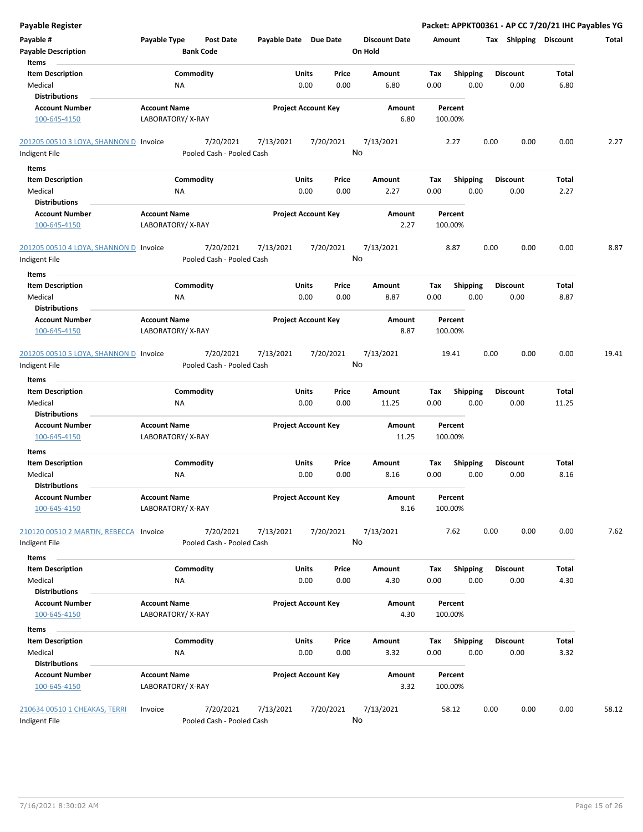| <b>Payable Register</b>                |                     |                           |                            |       |           |                      |        |                 |      |                       |       | Packet: APPKT00361 - AP CC 7/20/21 IHC Payables YG |
|----------------------------------------|---------------------|---------------------------|----------------------------|-------|-----------|----------------------|--------|-----------------|------|-----------------------|-------|----------------------------------------------------|
| Payable #                              | Payable Type        | <b>Post Date</b>          | Payable Date Due Date      |       |           | <b>Discount Date</b> | Amount |                 |      | Tax Shipping Discount |       | Total                                              |
| <b>Payable Description</b>             |                     | <b>Bank Code</b>          |                            |       |           | On Hold              |        |                 |      |                       |       |                                                    |
| Items                                  |                     |                           |                            |       |           |                      |        |                 |      |                       |       |                                                    |
| <b>Item Description</b>                | Commodity           |                           |                            | Units | Price     | Amount               | Tax    | <b>Shipping</b> |      | <b>Discount</b>       | Total |                                                    |
| Medical                                | <b>NA</b>           |                           |                            | 0.00  | 0.00      | 6.80                 | 0.00   | 0.00            |      | 0.00                  | 6.80  |                                                    |
| <b>Distributions</b>                   |                     |                           |                            |       |           |                      |        |                 |      |                       |       |                                                    |
| <b>Account Number</b>                  | <b>Account Name</b> |                           | <b>Project Account Key</b> |       |           | Amount               |        | Percent         |      |                       |       |                                                    |
| 100-645-4150                           | LABORATORY/X-RAY    |                           |                            |       |           | 6.80                 |        | 100.00%         |      |                       |       |                                                    |
| 201205 00510 3 LOYA, SHANNON D Invoice |                     | 7/20/2021                 | 7/13/2021                  |       | 7/20/2021 | 7/13/2021            |        | 2.27            | 0.00 | 0.00                  | 0.00  | 2.27                                               |
| Indigent File                          |                     | Pooled Cash - Pooled Cash |                            |       |           | No                   |        |                 |      |                       |       |                                                    |
| Items                                  |                     |                           |                            |       |           |                      |        |                 |      |                       |       |                                                    |
| <b>Item Description</b>                | Commodity           |                           |                            | Units | Price     | Amount               | Tax    | <b>Shipping</b> |      | <b>Discount</b>       | Total |                                                    |
| Medical                                | <b>NA</b>           |                           |                            | 0.00  | 0.00      | 2.27                 | 0.00   | 0.00            |      | 0.00                  | 2.27  |                                                    |
| <b>Distributions</b>                   |                     |                           |                            |       |           |                      |        |                 |      |                       |       |                                                    |
| <b>Account Number</b>                  | <b>Account Name</b> |                           | <b>Project Account Key</b> |       |           | Amount               |        | Percent         |      |                       |       |                                                    |
| 100-645-4150                           | LABORATORY/X-RAY    |                           |                            |       |           | 2.27                 |        | 100.00%         |      |                       |       |                                                    |
| 201205 00510 4 LOYA, SHANNON D Invoice |                     | 7/20/2021                 | 7/13/2021                  |       | 7/20/2021 | 7/13/2021            |        | 8.87            | 0.00 | 0.00                  | 0.00  | 8.87                                               |
| Indigent File                          |                     | Pooled Cash - Pooled Cash |                            |       |           | No                   |        |                 |      |                       |       |                                                    |
| Items                                  |                     |                           |                            |       |           |                      |        |                 |      |                       |       |                                                    |
| <b>Item Description</b>                | Commodity           |                           |                            | Units | Price     | Amount               | Tax    | <b>Shipping</b> |      | <b>Discount</b>       | Total |                                                    |
| Medical                                | <b>NA</b>           |                           |                            | 0.00  | 0.00      | 8.87                 | 0.00   | 0.00            |      | 0.00                  | 8.87  |                                                    |
| <b>Distributions</b>                   |                     |                           |                            |       |           |                      |        |                 |      |                       |       |                                                    |
| <b>Account Number</b>                  | <b>Account Name</b> |                           | <b>Project Account Key</b> |       |           | Amount               |        | Percent         |      |                       |       |                                                    |
| 100-645-4150                           | LABORATORY/X-RAY    |                           |                            |       |           | 8.87                 |        | 100.00%         |      |                       |       |                                                    |
| 201205 00510 5 LOYA, SHANNON D Invoice |                     | 7/20/2021                 | 7/13/2021                  |       | 7/20/2021 | 7/13/2021            |        | 19.41           | 0.00 | 0.00                  | 0.00  | 19.41                                              |
| Indigent File                          |                     | Pooled Cash - Pooled Cash |                            |       |           | No                   |        |                 |      |                       |       |                                                    |
| Items                                  |                     |                           |                            |       |           |                      |        |                 |      |                       |       |                                                    |
| <b>Item Description</b>                | Commodity           |                           |                            | Units | Price     | Amount               | Tax    | <b>Shipping</b> |      | <b>Discount</b>       | Total |                                                    |
| Medical                                | <b>NA</b>           |                           |                            | 0.00  | 0.00      | 11.25                | 0.00   | 0.00            |      | 0.00                  | 11.25 |                                                    |
| <b>Distributions</b>                   |                     |                           |                            |       |           |                      |        |                 |      |                       |       |                                                    |
| <b>Account Number</b>                  | <b>Account Name</b> |                           | <b>Project Account Key</b> |       |           | Amount               |        | Percent         |      |                       |       |                                                    |
| 100-645-4150                           | LABORATORY/X-RAY    |                           |                            |       |           | 11.25                |        | 100.00%         |      |                       |       |                                                    |
| Items                                  |                     |                           |                            |       |           |                      |        |                 |      |                       |       |                                                    |
| <b>Item Description</b>                | Commodity           |                           |                            | Units | Price     | Amount               | Tax    | <b>Shipping</b> |      | <b>Discount</b>       | Total |                                                    |
| Medical                                | <b>NA</b>           |                           |                            | 0.00  | 0.00      | 8.16                 | 0.00   | 0.00            |      | 0.00                  | 8.16  |                                                    |
| <b>Distributions</b>                   |                     |                           |                            |       |           |                      |        |                 |      |                       |       |                                                    |
| <b>Account Number</b>                  | <b>Account Name</b> |                           | <b>Project Account Key</b> |       |           | Amount               |        | Percent         |      |                       |       |                                                    |
| 100-645-4150                           | LABORATORY/X-RAY    |                           |                            |       |           | 8.16                 |        | 100.00%         |      |                       |       |                                                    |
| 210120 00510 2 MARTIN, REBECCA Invoice |                     | 7/20/2021                 | 7/13/2021                  |       | 7/20/2021 | 7/13/2021            |        | 7.62            | 0.00 | 0.00                  | 0.00  | 7.62                                               |
| Indigent File                          |                     | Pooled Cash - Pooled Cash |                            |       |           | No                   |        |                 |      |                       |       |                                                    |
| Items                                  |                     |                           |                            |       |           |                      |        |                 |      |                       |       |                                                    |
| <b>Item Description</b>                | Commodity           |                           |                            | Units | Price     | Amount               | Tax    | Shipping        |      | Discount              | Total |                                                    |
| Medical                                | <b>NA</b>           |                           |                            | 0.00  | 0.00      | 4.30                 | 0.00   | 0.00            |      | 0.00                  | 4.30  |                                                    |
| <b>Distributions</b>                   |                     |                           |                            |       |           |                      |        |                 |      |                       |       |                                                    |
| <b>Account Number</b>                  | <b>Account Name</b> |                           | <b>Project Account Key</b> |       |           | Amount               |        | Percent         |      |                       |       |                                                    |
| 100-645-4150                           | LABORATORY/X-RAY    |                           |                            |       |           | 4.30                 |        | 100.00%         |      |                       |       |                                                    |
| Items                                  |                     |                           |                            |       |           |                      |        |                 |      |                       |       |                                                    |
| <b>Item Description</b>                | Commodity           |                           |                            | Units | Price     | Amount               | Tax    | Shipping        |      | <b>Discount</b>       | Total |                                                    |
| Medical                                | NA                  |                           |                            | 0.00  | 0.00      | 3.32                 | 0.00   | 0.00            |      | 0.00                  | 3.32  |                                                    |
| <b>Distributions</b>                   |                     |                           |                            |       |           |                      |        |                 |      |                       |       |                                                    |
| <b>Account Number</b>                  | <b>Account Name</b> |                           | <b>Project Account Key</b> |       |           | Amount               |        | Percent         |      |                       |       |                                                    |
| 100-645-4150                           | LABORATORY/X-RAY    |                           |                            |       |           | 3.32                 |        | 100.00%         |      |                       |       |                                                    |
| 210634 00510 1 CHEAKAS, TERRI          | Invoice             | 7/20/2021                 | 7/13/2021                  |       | 7/20/2021 | 7/13/2021            |        | 58.12           | 0.00 | 0.00                  | 0.00  | 58.12                                              |
| Indigent File                          |                     | Pooled Cash - Pooled Cash |                            |       |           | No                   |        |                 |      |                       |       |                                                    |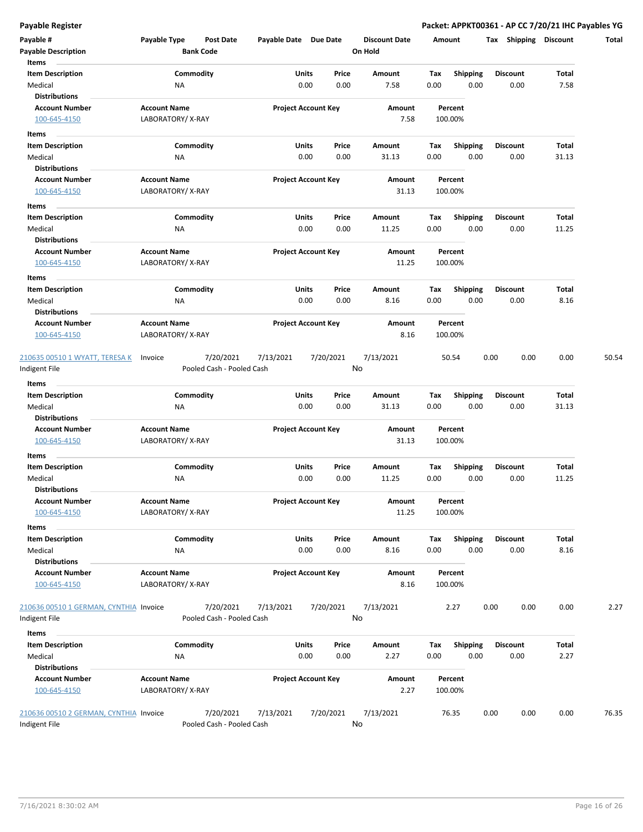| Payable #<br><b>Payable Description</b>       | Payable Type                            | Post Date<br><b>Bank Code</b> | Payable Date Due Date |                            | <b>Discount Date</b><br>On Hold |      | Amount             | Tax             | <b>Shipping</b> | <b>Discount</b> | Total |
|-----------------------------------------------|-----------------------------------------|-------------------------------|-----------------------|----------------------------|---------------------------------|------|--------------------|-----------------|-----------------|-----------------|-------|
| Items                                         |                                         |                               |                       |                            |                                 |      |                    |                 |                 |                 |       |
| <b>Item Description</b>                       |                                         | Commodity                     |                       | Units<br>Price             | Amount                          | Tax  | <b>Shipping</b>    | <b>Discount</b> |                 | Total           |       |
| Medical<br><b>Distributions</b>               | ΝA                                      |                               |                       | 0.00<br>0.00               | 7.58                            | 0.00 | 0.00               |                 | 0.00            | 7.58            |       |
| <b>Account Number</b><br>100-645-4150         | <b>Account Name</b><br>LABORATORY/X-RAY |                               |                       | <b>Project Account Key</b> | Amount<br>7.58                  |      | Percent<br>100.00% |                 |                 |                 |       |
| Items                                         |                                         |                               |                       |                            |                                 |      |                    |                 |                 |                 |       |
| <b>Item Description</b>                       |                                         | Commodity                     |                       | Units<br>Price             | Amount                          | Тах  | <b>Shipping</b>    |                 | <b>Discount</b> | Total           |       |
| Medical                                       | ΝA                                      |                               |                       | 0.00<br>0.00               | 31.13                           | 0.00 | 0.00               |                 | 0.00            | 31.13           |       |
| <b>Distributions</b>                          |                                         |                               |                       |                            |                                 |      |                    |                 |                 |                 |       |
| <b>Account Number</b>                         | <b>Account Name</b>                     |                               |                       | <b>Project Account Key</b> | Amount                          |      | Percent            |                 |                 |                 |       |
| 100-645-4150                                  | LABORATORY/X-RAY                        |                               |                       |                            | 31.13                           |      | 100.00%            |                 |                 |                 |       |
| Items                                         |                                         |                               |                       |                            |                                 |      |                    |                 |                 |                 |       |
| <b>Item Description</b>                       |                                         | Commodity                     |                       | Units<br>Price             | Amount                          | Tax  | <b>Shipping</b>    |                 | Discount        | Total           |       |
| Medical                                       | NA                                      |                               |                       | 0.00<br>0.00               | 11.25                           | 0.00 | 0.00               |                 | 0.00            | 11.25           |       |
| <b>Distributions</b>                          |                                         |                               |                       |                            |                                 |      |                    |                 |                 |                 |       |
| <b>Account Number</b><br>100-645-4150         | <b>Account Name</b><br>LABORATORY/X-RAY |                               |                       | <b>Project Account Key</b> | Amount<br>11.25                 |      | Percent<br>100.00% |                 |                 |                 |       |
| Items                                         |                                         |                               |                       |                            |                                 |      |                    |                 |                 |                 |       |
| <b>Item Description</b>                       |                                         | Commodity                     |                       | Units<br>Price             | <b>Amount</b>                   | Tax  | <b>Shipping</b>    | <b>Discount</b> |                 | Total           |       |
| Medical                                       | ΝA                                      |                               |                       | 0.00<br>0.00               | 8.16                            | 0.00 | 0.00               |                 | 0.00            | 8.16            |       |
| <b>Distributions</b><br><b>Account Number</b> | <b>Account Name</b>                     |                               |                       | <b>Project Account Key</b> | Amount                          |      | Percent            |                 |                 |                 |       |
| 100-645-4150                                  | LABORATORY/X-RAY                        |                               |                       |                            | 8.16                            |      | 100.00%            |                 |                 |                 |       |
| 210635 00510 1 WYATT, TERESA K                | Invoice                                 | 7/20/2021                     | 7/13/2021             | 7/20/2021                  | 7/13/2021                       |      | 50.54              | 0.00            | 0.00            | 0.00            | 50.54 |
| Indigent File                                 |                                         | Pooled Cash - Pooled Cash     |                       |                            | No                              |      |                    |                 |                 |                 |       |
| <b>Items</b>                                  |                                         |                               |                       |                            |                                 |      |                    |                 |                 |                 |       |
| <b>Item Description</b>                       |                                         | Commodity                     |                       | Units<br>Price             | Amount                          | Tax  | <b>Shipping</b>    | <b>Discount</b> |                 | Total           |       |
| Medical                                       | ΝA                                      |                               |                       | 0.00<br>0.00               | 31.13                           | 0.00 | 0.00               |                 | 0.00            | 31.13           |       |
| <b>Distributions</b>                          |                                         |                               |                       |                            |                                 |      |                    |                 |                 |                 |       |
| <b>Account Number</b><br>100-645-4150         | <b>Account Name</b><br>LABORATORY/X-RAY |                               |                       | <b>Project Account Key</b> | Amount<br>31.13                 |      | Percent<br>100.00% |                 |                 |                 |       |
| Items                                         |                                         |                               |                       |                            |                                 |      |                    |                 |                 |                 |       |
| <b>Item Description</b>                       |                                         | Commodity                     |                       | Units<br>Price             | Amount                          | Tax  | <b>Shipping</b>    |                 | Discount        | Total           |       |
| Medical<br>Distributions                      | ΝA                                      |                               |                       | 0.00<br>0.00               | 11.25                           | 0.00 | 0.00               |                 | 0.00            | 11.25           |       |
| <b>Account Number</b><br>100-645-4150         | <b>Account Name</b><br>LABORATORY/X-RAY |                               |                       | <b>Project Account Key</b> | Amount<br>11.25                 |      | Percent<br>100.00% |                 |                 |                 |       |
| Items                                         |                                         |                               |                       |                            |                                 |      |                    |                 |                 |                 |       |
| <b>Item Description</b>                       |                                         | Commodity                     |                       | Units<br>Price             | Amount                          | Tax  | <b>Shipping</b>    | <b>Discount</b> |                 | Total           |       |
| Medical                                       | NA                                      |                               |                       | 0.00<br>0.00               | 8.16                            | 0.00 | 0.00               |                 | 0.00            | 8.16            |       |
| <b>Distributions</b>                          |                                         |                               |                       |                            |                                 |      |                    |                 |                 |                 |       |
| <b>Account Number</b><br>100-645-4150         | <b>Account Name</b><br>LABORATORY/X-RAY |                               |                       | <b>Project Account Key</b> | Amount<br>8.16                  |      | Percent<br>100.00% |                 |                 |                 |       |
| 210636 00510 1 GERMAN, CYNTHIA Invoice        |                                         | 7/20/2021                     | 7/13/2021             | 7/20/2021                  | 7/13/2021                       |      | 2.27               | 0.00            | 0.00            | 0.00            | 2.27  |
| Indigent File                                 |                                         | Pooled Cash - Pooled Cash     |                       |                            | No                              |      |                    |                 |                 |                 |       |
| Items                                         |                                         |                               |                       |                            |                                 |      |                    |                 |                 |                 |       |
| <b>Item Description</b>                       |                                         | Commodity                     |                       | Units<br>Price             | Amount                          | Tax  | <b>Shipping</b>    | <b>Discount</b> |                 | Total           |       |
| Medical                                       | ΝA                                      |                               |                       | 0.00<br>0.00               | 2.27                            | 0.00 | 0.00               |                 | 0.00            | 2.27            |       |
| <b>Distributions</b>                          |                                         |                               |                       |                            |                                 |      |                    |                 |                 |                 |       |
| <b>Account Number</b><br>100-645-4150         | <b>Account Name</b><br>LABORATORY/X-RAY |                               |                       | <b>Project Account Key</b> | Amount<br>2.27                  |      | Percent<br>100.00% |                 |                 |                 |       |
| 210636 00510 2 GERMAN, CYNTHIA Invoice        |                                         | 7/20/2021                     | 7/13/2021             | 7/20/2021                  | 7/13/2021                       |      | 76.35              | 0.00            | 0.00            | 0.00            | 76.35 |
| Indigent File                                 |                                         | Pooled Cash - Pooled Cash     |                       |                            | No                              |      |                    |                 |                 |                 |       |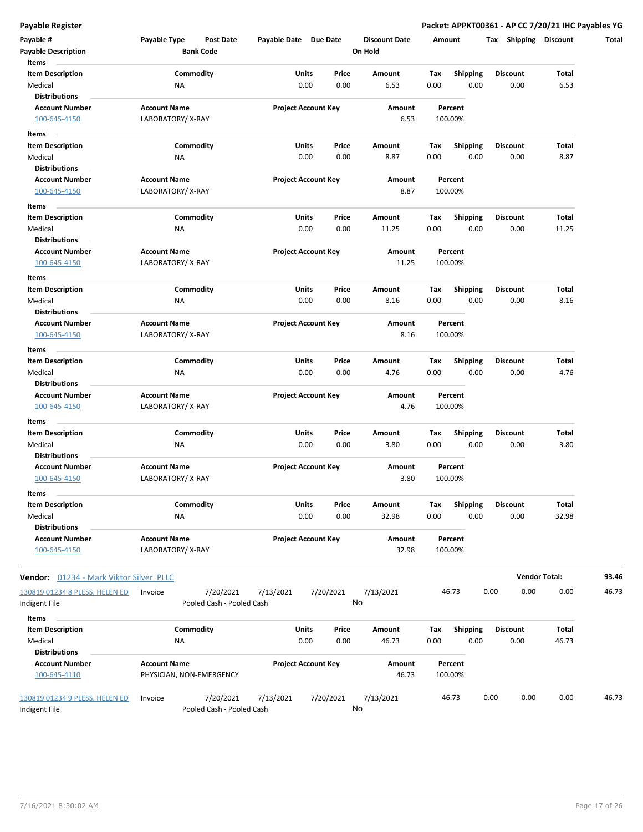| Payable #<br><b>Payable Description</b>                       | Payable Type                            | <b>Post Date</b><br><b>Bank Code</b>   | Payable Date Due Date |                            | <b>Discount Date</b><br>On Hold | Amount      |                         | Tax Shipping Discount   |                      | Total |
|---------------------------------------------------------------|-----------------------------------------|----------------------------------------|-----------------------|----------------------------|---------------------------------|-------------|-------------------------|-------------------------|----------------------|-------|
| Items<br><b>Item Description</b><br>Medical                   | ΝA                                      | Commodity                              | Units                 | Price<br>0.00<br>0.00      | Amount<br>6.53                  | Tax<br>0.00 | <b>Shipping</b><br>0.00 | <b>Discount</b><br>0.00 | Total<br>6.53        |       |
| <b>Distributions</b><br><b>Account Number</b><br>100-645-4150 | <b>Account Name</b><br>LABORATORY/X-RAY |                                        |                       | <b>Project Account Key</b> | Amount<br>6.53                  |             | Percent<br>100.00%      |                         |                      |       |
| Items                                                         |                                         |                                        |                       |                            |                                 |             |                         |                         |                      |       |
| <b>Item Description</b><br>Medical                            | NA                                      | Commodity                              | Units                 | Price<br>0.00<br>0.00      | Amount<br>8.87                  | Tax<br>0.00 | <b>Shipping</b><br>0.00 | <b>Discount</b><br>0.00 | Total<br>8.87        |       |
| <b>Distributions</b><br><b>Account Number</b><br>100-645-4150 | <b>Account Name</b><br>LABORATORY/X-RAY |                                        |                       | <b>Project Account Key</b> | Amount<br>8.87                  |             | Percent<br>100.00%      |                         |                      |       |
|                                                               |                                         |                                        |                       |                            |                                 |             |                         |                         |                      |       |
| Items<br><b>Item Description</b>                              |                                         | Commodity                              | Units                 | Price                      | Amount                          | Tax         | <b>Shipping</b>         | <b>Discount</b>         | Total                |       |
| Medical<br><b>Distributions</b>                               | NA                                      |                                        |                       | 0.00<br>0.00               | 11.25                           | 0.00        | 0.00                    | 0.00                    | 11.25                |       |
| <b>Account Number</b><br>100-645-4150                         | <b>Account Name</b><br>LABORATORY/X-RAY |                                        |                       | <b>Project Account Key</b> | Amount<br>11.25                 |             | Percent<br>100.00%      |                         |                      |       |
| Items<br><b>Item Description</b>                              |                                         | Commodity                              | <b>Units</b>          | Price                      | Amount                          | Tax         | <b>Shipping</b>         | <b>Discount</b>         | Total                |       |
| Medical<br><b>Distributions</b>                               | NA                                      |                                        |                       | 0.00<br>0.00               | 8.16                            | 0.00        | 0.00                    | 0.00                    | 8.16                 |       |
| <b>Account Number</b><br>100-645-4150                         | <b>Account Name</b><br>LABORATORY/X-RAY |                                        |                       | <b>Project Account Key</b> | Amount<br>8.16                  |             | Percent<br>100.00%      |                         |                      |       |
| Items                                                         |                                         |                                        |                       |                            |                                 |             |                         |                         |                      |       |
| <b>Item Description</b><br>Medical                            | ΝA                                      | Commodity                              | Units                 | Price<br>0.00<br>0.00      | Amount<br>4.76                  | Tax<br>0.00 | <b>Shipping</b><br>0.00 | <b>Discount</b><br>0.00 | Total<br>4.76        |       |
| <b>Distributions</b>                                          |                                         |                                        |                       |                            |                                 |             |                         |                         |                      |       |
| <b>Account Number</b><br>100-645-4150                         | <b>Account Name</b><br>LABORATORY/X-RAY |                                        |                       | <b>Project Account Key</b> | Amount<br>4.76                  |             | Percent<br>100.00%      |                         |                      |       |
| Items                                                         |                                         |                                        |                       |                            |                                 |             |                         |                         |                      |       |
| <b>Item Description</b><br>Medical                            | ΝA                                      | Commodity                              | Units                 | Price<br>0.00<br>0.00      | Amount<br>3.80                  | Tax<br>0.00 | <b>Shipping</b><br>0.00 | <b>Discount</b><br>0.00 | Total<br>3.80        |       |
| <b>Distributions</b><br><b>Account Number</b><br>100-645-4150 | <b>Account Name</b><br>LABORATORY/X-RAY |                                        |                       | <b>Project Account Key</b> | Amount<br>3.80                  |             | Percent<br>100.00%      |                         |                      |       |
| Items                                                         |                                         |                                        |                       |                            |                                 |             |                         |                         |                      |       |
| <b>Item Description</b><br>Medical                            | NA                                      | Commodity                              | Units                 | Price<br>0.00<br>0.00      | Amount<br>32.98                 | Tax<br>0.00 | <b>Shipping</b><br>0.00 | Discount<br>0.00        | Total<br>32.98       |       |
| <b>Distributions</b>                                          |                                         |                                        |                       |                            |                                 |             |                         |                         |                      |       |
| <b>Account Number</b><br>100-645-4150                         | <b>Account Name</b><br>LABORATORY/X-RAY |                                        |                       | <b>Project Account Key</b> | Amount<br>32.98                 |             | Percent<br>100.00%      |                         |                      |       |
| Vendor: 01234 - Mark Viktor Silver PLLC                       |                                         |                                        |                       |                            |                                 |             |                         |                         | <b>Vendor Total:</b> | 93.46 |
| 130819 01234 8 PLESS, HELEN ED<br>Indigent File               | Invoice                                 | 7/20/2021<br>Pooled Cash - Pooled Cash | 7/13/2021             | 7/20/2021                  | 7/13/2021<br>No                 |             | 46.73                   | 0.00<br>0.00            | 0.00                 | 46.73 |
| Items                                                         |                                         |                                        |                       |                            |                                 |             |                         |                         |                      |       |
| <b>Item Description</b><br>Medical                            | ΝA                                      | Commodity                              | <b>Units</b>          | Price<br>0.00<br>0.00      | Amount<br>46.73                 | Tax<br>0.00 | Shipping<br>0.00        | <b>Discount</b><br>0.00 | Total<br>46.73       |       |
| <b>Distributions</b><br><b>Account Number</b><br>100-645-4110 | <b>Account Name</b>                     | PHYSICIAN, NON-EMERGENCY               |                       | <b>Project Account Key</b> | Amount<br>46.73                 |             | Percent<br>100.00%      |                         |                      |       |
| 130819 01234 9 PLESS, HELEN ED<br>Indigent File               | Invoice                                 | 7/20/2021<br>Pooled Cash - Pooled Cash | 7/13/2021             | 7/20/2021                  | 7/13/2021<br>No                 |             | 46.73                   | 0.00<br>0.00            | 0.00                 | 46.73 |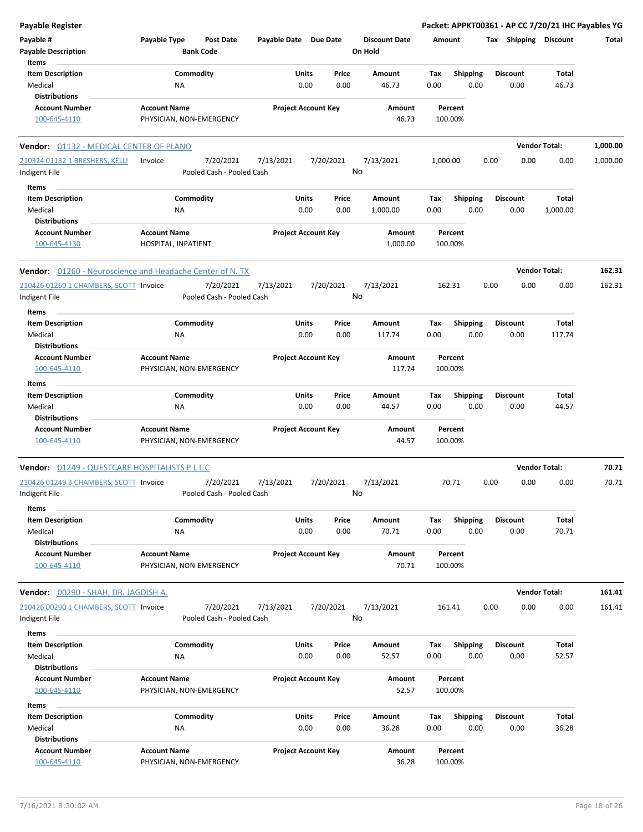| <b>Payable Register</b>                                   |                                                      |                            |                 |                                 |                                | Packet: APPKT00361 - AP CC 7/20/21 IHC Payables YG |                      |          |
|-----------------------------------------------------------|------------------------------------------------------|----------------------------|-----------------|---------------------------------|--------------------------------|----------------------------------------------------|----------------------|----------|
| Payable #<br><b>Payable Description</b>                   | Payable Type<br><b>Post Date</b><br><b>Bank Code</b> | Payable Date Due Date      |                 | <b>Discount Date</b><br>On Hold | Amount                         | Tax Shipping Discount                              |                      | Total    |
| Items                                                     |                                                      |                            |                 |                                 |                                |                                                    |                      |          |
| <b>Item Description</b>                                   | Commodity                                            | Units                      | Price           | Amount                          | <b>Shipping</b><br>Tax         | <b>Discount</b>                                    | Total                |          |
| Medical                                                   | NA                                                   | 0.00                       | 0.00            | 46.73                           | 0.00                           | 0.00<br>0.00                                       | 46.73                |          |
| <b>Distributions</b>                                      |                                                      |                            |                 |                                 |                                |                                                    |                      |          |
| <b>Account Number</b>                                     | <b>Account Name</b>                                  | <b>Project Account Key</b> |                 | Amount                          | Percent                        |                                                    |                      |          |
| 100-645-4110                                              | PHYSICIAN, NON-EMERGENCY                             |                            |                 | 46.73                           | 100.00%                        |                                                    |                      |          |
| Vendor: 01132 - MEDICAL CENTER OF PLANO                   |                                                      |                            |                 |                                 |                                |                                                    | <b>Vendor Total:</b> | 1,000.00 |
| 210324 01132 1 BRESHERS, KELLI<br>Indigent File           | 7/20/2021<br>Invoice<br>Pooled Cash - Pooled Cash    | 7/13/2021                  | 7/20/2021<br>No | 7/13/2021                       | 1,000.00                       | 0.00<br>0.00                                       | 0.00                 | 1,000.00 |
| Items                                                     |                                                      |                            |                 |                                 |                                |                                                    |                      |          |
| <b>Item Description</b>                                   | Commodity                                            | Units                      | Price           | Amount                          | Tax<br><b>Shipping</b>         | <b>Discount</b>                                    | <b>Total</b>         |          |
| Medical                                                   | ΝA                                                   | 0.00                       | 0.00            | 1,000.00                        | 0.00                           | 0.00<br>0.00                                       | 1,000.00             |          |
| <b>Distributions</b>                                      |                                                      |                            |                 |                                 |                                |                                                    |                      |          |
| <b>Account Number</b><br>100-645-4130                     | <b>Account Name</b><br>HOSPITAL, INPATIENT           | <b>Project Account Key</b> |                 | Amount<br>1,000.00              | Percent<br>100.00%             |                                                    |                      |          |
| Vendor: 01260 - Neuroscience and Headache Center of N. TX |                                                      |                            |                 |                                 |                                |                                                    | <b>Vendor Total:</b> | 162.31   |
| 210426 01260 1 CHAMBERS, SCOTT Invoice<br>Indigent File   | 7/20/2021<br>Pooled Cash - Pooled Cash               | 7/13/2021                  | 7/20/2021<br>No | 7/13/2021                       | 162.31                         | 0.00<br>0.00                                       | 0.00                 | 162.31   |
| Items                                                     |                                                      |                            |                 |                                 |                                |                                                    |                      |          |
| <b>Item Description</b>                                   | Commodity                                            | Units                      | Price           | Amount                          | Shipping<br>Tax                | <b>Discount</b>                                    | Total                |          |
| Medical                                                   | NA                                                   | 0.00                       | 0.00            | 117.74                          | 0.00                           | 0.00<br>0.00                                       | 117.74               |          |
| <b>Distributions</b>                                      |                                                      |                            |                 |                                 |                                |                                                    |                      |          |
| <b>Account Number</b>                                     | <b>Account Name</b>                                  | <b>Project Account Key</b> |                 | Amount                          | Percent                        |                                                    |                      |          |
| 100-645-4110                                              | PHYSICIAN, NON-EMERGENCY                             |                            |                 | 117.74                          | 100.00%                        |                                                    |                      |          |
| Items                                                     |                                                      |                            |                 |                                 |                                |                                                    |                      |          |
| <b>Item Description</b>                                   | Commodity                                            | Units                      | Price           | Amount                          | Tax<br><b>Shipping</b>         | <b>Discount</b>                                    | Total                |          |
| Medical                                                   | ΝA                                                   | 0.00                       | 0.00            | 44.57                           | 0.00                           | 0.00<br>0.00                                       | 44.57                |          |
| <b>Distributions</b>                                      |                                                      |                            |                 |                                 |                                |                                                    |                      |          |
| <b>Account Number</b><br>100-645-4110                     | <b>Account Name</b><br>PHYSICIAN, NON-EMERGENCY      | <b>Project Account Key</b> |                 | Amount<br>44.57                 | Percent<br>100.00%             |                                                    |                      |          |
| Vendor: 01249 - QUESTCARE HOSPITALISTS P L L C            |                                                      |                            |                 |                                 |                                |                                                    | <b>Vendor Total:</b> | 70.71    |
| 210426 01249 3 CHAMBERS, SCOTT Invoice                    | 7/20/2021                                            | 7/13/2021                  | 7/20/2021       | 7/13/2021                       | 70.71                          | 0.00<br>0.00                                       | 0.00                 | 70.71    |
| Indigent File                                             | Pooled Cash - Pooled Cash                            |                            | No              |                                 |                                |                                                    |                      |          |
| <b>Items</b>                                              |                                                      |                            |                 |                                 |                                |                                                    |                      |          |
| <b>Item Description</b>                                   | Commodity                                            | Units                      | Price           | Amount                          | <b>Shipping</b><br>Tax         | <b>Discount</b>                                    | Total                |          |
| Medical                                                   | NA                                                   | 0.00                       | 0.00            | 70.71                           | 0.00                           | 0.00<br>0.00                                       | 70.71                |          |
| <b>Distributions</b>                                      |                                                      |                            |                 |                                 |                                |                                                    |                      |          |
| <b>Account Number</b><br>100-645-4110                     | <b>Account Name</b><br>PHYSICIAN, NON-EMERGENCY      | <b>Project Account Key</b> |                 | Amount<br>70.71                 | Percent<br>100.00%             |                                                    |                      |          |
| <b>Vendor:</b> 00290 - SHAH, DR. JAGDISH A.               |                                                      |                            |                 |                                 |                                |                                                    | <b>Vendor Total:</b> | 161.41   |
| 210426 00290 1 CHAMBERS, SCOTT Invoice                    | 7/20/2021                                            | 7/13/2021                  | 7/20/2021       | 7/13/2021                       | 161.41                         | 0.00<br>0.00                                       | 0.00                 | 161.41   |
| Indigent File                                             | Pooled Cash - Pooled Cash                            |                            | No              |                                 |                                |                                                    |                      |          |
| Items                                                     |                                                      |                            |                 |                                 |                                |                                                    |                      |          |
| <b>Item Description</b>                                   | Commodity                                            | <b>Units</b>               | Price           | Amount                          | Shipping<br>Tax                | <b>Discount</b>                                    | Total                |          |
| Medical<br><b>Distributions</b>                           | NA                                                   | 0.00                       | 0.00            | 52.57                           | 0.00                           | 0.00<br>0.00                                       | 52.57                |          |
| <b>Account Number</b>                                     | <b>Account Name</b>                                  | <b>Project Account Key</b> |                 | Amount                          | Percent                        |                                                    |                      |          |
| 100-645-4110                                              | PHYSICIAN, NON-EMERGENCY                             |                            |                 | 52.57                           | 100.00%                        |                                                    |                      |          |
|                                                           |                                                      |                            |                 |                                 |                                |                                                    |                      |          |
| Items                                                     |                                                      |                            |                 |                                 |                                |                                                    |                      |          |
| <b>Item Description</b><br>Medical                        | Commodity<br>NA                                      | <b>Units</b><br>0.00       | Price<br>0.00   | Amount<br>36.28                 | <b>Shipping</b><br>Tax<br>0.00 | <b>Discount</b><br>0.00<br>0.00                    | Total<br>36.28       |          |
| <b>Distributions</b>                                      |                                                      |                            |                 |                                 |                                |                                                    |                      |          |
| <b>Account Number</b>                                     | <b>Account Name</b>                                  | <b>Project Account Key</b> |                 | Amount                          | Percent                        |                                                    |                      |          |
| 100-645-4110                                              | PHYSICIAN, NON-EMERGENCY                             |                            |                 | 36.28                           | 100.00%                        |                                                    |                      |          |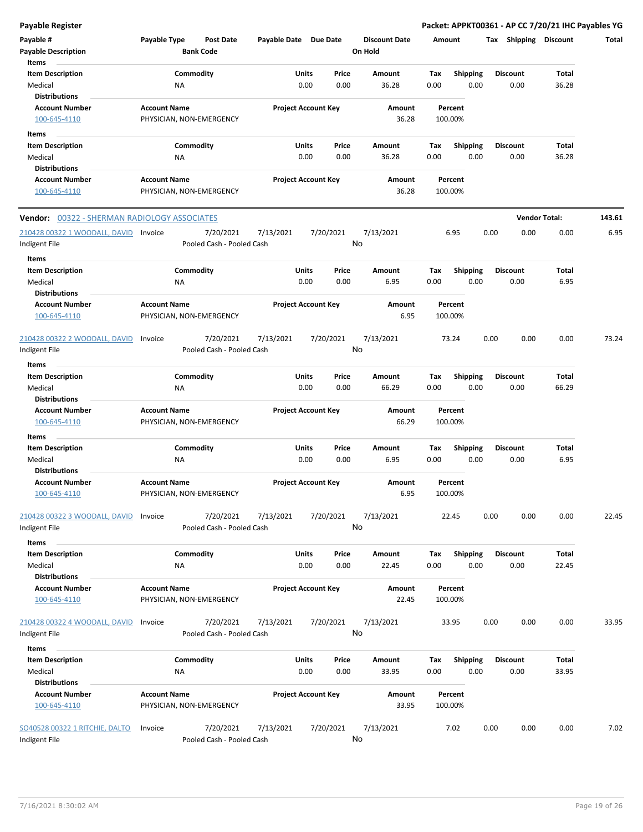| <b>Payable Register</b>                                    |                                                 |                                        |                       |                            |               |                                 |             |                         |      |                         | Packet: APPKT00361 - AP CC 7/20/21 IHC Payables YG |        |
|------------------------------------------------------------|-------------------------------------------------|----------------------------------------|-----------------------|----------------------------|---------------|---------------------------------|-------------|-------------------------|------|-------------------------|----------------------------------------------------|--------|
| Payable #<br><b>Payable Description</b>                    | Payable Type                                    | <b>Post Date</b><br><b>Bank Code</b>   | Payable Date Due Date |                            |               | <b>Discount Date</b><br>On Hold | Amount      |                         |      | Tax Shipping Discount   |                                                    | Total  |
| Items                                                      |                                                 |                                        |                       |                            |               |                                 |             |                         |      |                         |                                                    |        |
| <b>Item Description</b><br>Medical<br><b>Distributions</b> | NA                                              | Commodity                              |                       | Units<br>0.00              | Price<br>0.00 | Amount<br>36.28                 | Tax<br>0.00 | Shipping<br>0.00        |      | <b>Discount</b><br>0.00 | Total<br>36.28                                     |        |
| <b>Account Number</b><br>100-645-4110                      | <b>Account Name</b><br>PHYSICIAN, NON-EMERGENCY |                                        |                       | <b>Project Account Key</b> |               | Amount<br>36.28                 |             | Percent<br>100.00%      |      |                         |                                                    |        |
| Items                                                      |                                                 |                                        |                       |                            |               |                                 |             |                         |      |                         |                                                    |        |
| <b>Item Description</b><br>Medical                         | NA                                              | Commodity                              |                       | Units<br>0.00              | Price<br>0.00 | Amount<br>36.28                 | Tax<br>0.00 | <b>Shipping</b><br>0.00 |      | Discount<br>0.00        | Total<br>36.28                                     |        |
| <b>Distributions</b>                                       |                                                 |                                        |                       |                            |               |                                 |             |                         |      |                         |                                                    |        |
| <b>Account Number</b><br>100-645-4110                      | <b>Account Name</b><br>PHYSICIAN, NON-EMERGENCY |                                        |                       | <b>Project Account Key</b> |               | Amount<br>36.28                 |             | Percent<br>100.00%      |      |                         |                                                    |        |
| <b>Vendor: 00322 - SHERMAN RADIOLOGY ASSOCIATES</b>        |                                                 |                                        |                       |                            |               |                                 |             |                         |      | <b>Vendor Total:</b>    |                                                    | 143.61 |
| 210428 00322 1 WOODALL, DAVID Invoice<br>Indigent File     |                                                 | 7/20/2021<br>Pooled Cash - Pooled Cash | 7/13/2021             | 7/20/2021                  | No            | 7/13/2021                       |             | 6.95                    | 0.00 | 0.00                    | 0.00                                               | 6.95   |
| Items                                                      |                                                 |                                        |                       |                            |               |                                 |             |                         |      |                         |                                                    |        |
| <b>Item Description</b><br>Medical<br><b>Distributions</b> | <b>NA</b>                                       | Commodity                              |                       | Units<br>0.00              | Price<br>0.00 | Amount<br>6.95                  | Tax<br>0.00 | Shipping<br>0.00        |      | <b>Discount</b><br>0.00 | Total<br>6.95                                      |        |
| <b>Account Number</b><br>100-645-4110                      | <b>Account Name</b><br>PHYSICIAN, NON-EMERGENCY |                                        |                       | <b>Project Account Key</b> |               | Amount<br>6.95                  |             | Percent<br>100.00%      |      |                         |                                                    |        |
| 210428 00322 2 WOODALL, DAVID<br>Indigent File             | Invoice                                         | 7/20/2021<br>Pooled Cash - Pooled Cash | 7/13/2021             | 7/20/2021                  | No            | 7/13/2021                       |             | 73.24                   | 0.00 | 0.00                    | 0.00                                               | 73.24  |
| Items                                                      |                                                 |                                        |                       |                            |               |                                 |             |                         |      |                         |                                                    |        |
| <b>Item Description</b>                                    |                                                 | Commodity                              |                       | Units                      | Price         | Amount                          | Tax         | <b>Shipping</b>         |      | <b>Discount</b>         | Total                                              |        |
| Medical<br><b>Distributions</b>                            | ΝA                                              |                                        |                       | 0.00                       | 0.00          | 66.29                           | 0.00        | 0.00                    |      | 0.00                    | 66.29                                              |        |
| <b>Account Number</b><br>100-645-4110                      | <b>Account Name</b><br>PHYSICIAN, NON-EMERGENCY |                                        |                       | <b>Project Account Key</b> |               | Amount<br>66.29                 |             | Percent<br>100.00%      |      |                         |                                                    |        |
| Items                                                      |                                                 |                                        |                       |                            |               |                                 |             |                         |      |                         |                                                    |        |
| <b>Item Description</b><br>Medical<br><b>Distributions</b> | NA                                              | Commodity                              |                       | Units<br>0.00              | Price<br>0.00 | Amount<br>6.95                  | Tax<br>0.00 | <b>Shipping</b><br>0.00 |      | <b>Discount</b><br>0.00 | Total<br>6.95                                      |        |
| <b>Account Number</b>                                      | <b>Account Name</b>                             |                                        |                       | <b>Project Account Key</b> |               | Amount                          |             | Percent                 |      |                         |                                                    |        |
| <u>100-645-4110</u>                                        | PHYSICIAN, NON-EMERGENCY                        |                                        |                       |                            |               | 6.95                            |             | 100.00%                 |      |                         |                                                    |        |
| 210428 00322 3 WOODALL, DAVID<br>Indigent File             | Invoice                                         | 7/20/2021<br>Pooled Cash - Pooled Cash | 7/13/2021             | 7/20/2021                  | No            | 7/13/2021                       |             | 22.45                   | 0.00 | 0.00                    | 0.00                                               | 22.45  |
| Items                                                      |                                                 |                                        |                       |                            |               |                                 |             |                         |      |                         |                                                    |        |
| <b>Item Description</b><br>Medical                         | ΝA                                              | Commodity                              |                       | Units<br>0.00              | Price<br>0.00 | Amount<br>22.45                 | Tax<br>0.00 | <b>Shipping</b><br>0.00 |      | <b>Discount</b><br>0.00 | Total<br>22.45                                     |        |
| <b>Distributions</b>                                       |                                                 |                                        |                       |                            |               |                                 |             |                         |      |                         |                                                    |        |
| <b>Account Number</b><br>100-645-4110                      | <b>Account Name</b><br>PHYSICIAN, NON-EMERGENCY |                                        |                       | <b>Project Account Key</b> |               | Amount<br>22.45                 |             | Percent<br>100.00%      |      |                         |                                                    |        |
| 210428 00322 4 WOODALL, DAVID<br>Indigent File             | Invoice                                         | 7/20/2021<br>Pooled Cash - Pooled Cash | 7/13/2021             | 7/20/2021                  | No            | 7/13/2021                       |             | 33.95                   | 0.00 | 0.00                    | 0.00                                               | 33.95  |
| Items                                                      |                                                 |                                        |                       |                            |               |                                 |             |                         |      |                         |                                                    |        |
| <b>Item Description</b><br>Medical                         | <b>NA</b>                                       | Commodity                              |                       | Units<br>0.00              | Price<br>0.00 | Amount<br>33.95                 | Tax<br>0.00 | Shipping<br>0.00        |      | <b>Discount</b><br>0.00 | Total<br>33.95                                     |        |
| <b>Distributions</b>                                       |                                                 |                                        |                       |                            |               |                                 |             |                         |      |                         |                                                    |        |
| <b>Account Number</b><br>100-645-4110                      | <b>Account Name</b><br>PHYSICIAN, NON-EMERGENCY |                                        |                       | <b>Project Account Key</b> |               | Amount<br>33.95                 |             | Percent<br>100.00%      |      |                         |                                                    |        |
| SO40528 00322 1 RITCHIE, DALTO<br>Indigent File            | Invoice                                         | 7/20/2021<br>Pooled Cash - Pooled Cash | 7/13/2021             | 7/20/2021                  | No            | 7/13/2021                       |             | 7.02                    | 0.00 | 0.00                    | 0.00                                               | 7.02   |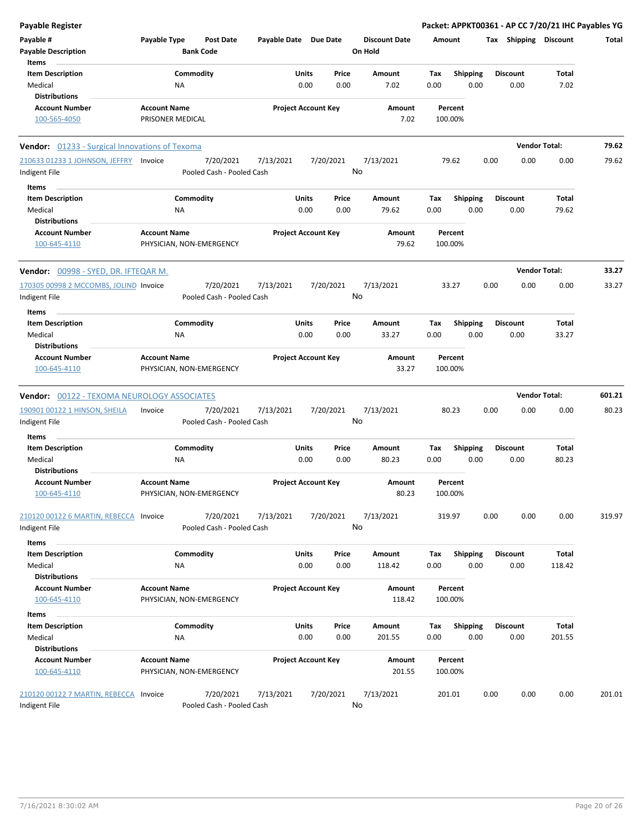| <b>Payable Register</b>                                       |                                                 |                        |                                        |                       |                            |           |               |                                 |             |                    |                         |      |                         | Packet: APPKT00361 - AP CC 7/20/21 IHC Payables YG |        |
|---------------------------------------------------------------|-------------------------------------------------|------------------------|----------------------------------------|-----------------------|----------------------------|-----------|---------------|---------------------------------|-------------|--------------------|-------------------------|------|-------------------------|----------------------------------------------------|--------|
| Payable #<br><b>Payable Description</b>                       | Payable Type                                    | <b>Bank Code</b>       | <b>Post Date</b>                       | Payable Date Due Date |                            |           |               | <b>Discount Date</b><br>On Hold |             | Amount             |                         |      | Tax Shipping Discount   |                                                    | Total  |
| Items                                                         |                                                 |                        |                                        |                       |                            |           |               |                                 |             |                    |                         |      |                         |                                                    |        |
| <b>Item Description</b><br>Medical                            |                                                 | Commodity<br><b>NA</b> |                                        |                       | Units<br>0.00              |           | Price<br>0.00 | <b>Amount</b><br>7.02           | Tax<br>0.00 |                    | <b>Shipping</b><br>0.00 |      | <b>Discount</b><br>0.00 | <b>Total</b><br>7.02                               |        |
| <b>Distributions</b>                                          |                                                 |                        |                                        |                       |                            |           |               |                                 |             |                    |                         |      |                         |                                                    |        |
| Account Number                                                | <b>Account Name</b>                             |                        |                                        |                       | <b>Project Account Key</b> |           |               | Amount                          |             | Percent            |                         |      |                         |                                                    |        |
| 100-565-4050                                                  | PRISONER MEDICAL                                |                        |                                        |                       |                            |           |               | 7.02                            |             | 100.00%            |                         |      |                         |                                                    |        |
| Vendor: 01233 - Surgical Innovations of Texoma                |                                                 |                        |                                        |                       |                            |           |               |                                 |             |                    |                         |      | <b>Vendor Total:</b>    |                                                    | 79.62  |
| 210633 01233 1 JOHNSON, JEFFRY<br>Indigent File               | Invoice                                         |                        | 7/20/2021<br>Pooled Cash - Pooled Cash | 7/13/2021             |                            | 7/20/2021 | No            | 7/13/2021                       |             | 79.62              |                         | 0.00 | 0.00                    | 0.00                                               | 79.62  |
| Items                                                         |                                                 |                        |                                        |                       |                            |           |               |                                 |             |                    |                         |      |                         |                                                    |        |
| <b>Item Description</b><br>Medical                            |                                                 | Commodity<br>ΝA        |                                        |                       | Units<br>0.00              |           | Price<br>0.00 | Amount<br>79.62                 | Tax<br>0.00 |                    | <b>Shipping</b><br>0.00 |      | <b>Discount</b><br>0.00 | Total<br>79.62                                     |        |
| <b>Distributions</b>                                          |                                                 |                        |                                        |                       |                            |           |               |                                 |             |                    |                         |      |                         |                                                    |        |
| <b>Account Number</b><br>100-645-4110                         | <b>Account Name</b><br>PHYSICIAN, NON-EMERGENCY |                        |                                        |                       | <b>Project Account Key</b> |           |               | Amount<br>79.62                 |             | Percent<br>100.00% |                         |      |                         |                                                    |        |
| Vendor: 00998 - SYED, DR. IFTEQAR M.                          |                                                 |                        |                                        |                       |                            |           |               |                                 |             |                    |                         |      | <b>Vendor Total:</b>    |                                                    | 33.27  |
| 170305 00998 2 MCCOMBS, JOLIND Invoice                        |                                                 |                        | 7/20/2021                              | 7/13/2021             |                            | 7/20/2021 |               | 7/13/2021                       |             | 33.27              |                         | 0.00 | 0.00                    | 0.00                                               | 33.27  |
| Indigent File                                                 |                                                 |                        | Pooled Cash - Pooled Cash              |                       |                            |           | No            |                                 |             |                    |                         |      |                         |                                                    |        |
| Items<br><b>Item Description</b>                              |                                                 | Commodity              |                                        |                       | Units                      |           | Price         | Amount                          | Tax         |                    | <b>Shipping</b>         |      | <b>Discount</b>         | Total                                              |        |
| Medical<br><b>Distributions</b>                               |                                                 | ΝA                     |                                        |                       | 0.00                       |           | 0.00          | 33.27                           | 0.00        |                    | 0.00                    |      | 0.00                    | 33.27                                              |        |
| <b>Account Number</b>                                         | <b>Account Name</b>                             |                        |                                        |                       | <b>Project Account Key</b> |           |               | Amount                          |             | Percent            |                         |      |                         |                                                    |        |
| 100-645-4110                                                  | PHYSICIAN, NON-EMERGENCY                        |                        |                                        |                       |                            |           |               | 33.27                           |             | 100.00%            |                         |      |                         |                                                    |        |
| <b>Vendor: 00122 - TEXOMA NEUROLOGY ASSOCIATES</b>            |                                                 |                        |                                        |                       |                            |           |               |                                 |             |                    |                         |      | <b>Vendor Total:</b>    |                                                    | 601.21 |
| 190901 00122 1 HINSON, SHEILA<br>Indigent File                | Invoice                                         |                        | 7/20/2021<br>Pooled Cash - Pooled Cash | 7/13/2021             |                            | 7/20/2021 | No            | 7/13/2021                       |             | 80.23              |                         | 0.00 | 0.00                    | 0.00                                               | 80.23  |
| Items                                                         |                                                 |                        |                                        |                       |                            |           |               |                                 |             |                    |                         |      |                         |                                                    |        |
| <b>Item Description</b><br>Medical                            |                                                 | Commodity<br><b>NA</b> |                                        |                       | Units<br>0.00              |           | Price<br>0.00 | Amount<br>80.23                 | Tax<br>0.00 |                    | <b>Shipping</b><br>0.00 |      | <b>Discount</b><br>0.00 | Total<br>80.23                                     |        |
| <b>Distributions</b><br><b>Account Number</b><br>100-645-4110 | <b>Account Name</b><br>PHYSICIAN, NON-EMERGENCY |                        |                                        |                       | <b>Project Account Key</b> |           |               | Amount<br>80.23                 |             | Percent<br>100.00% |                         |      |                         |                                                    |        |
| 210120 00122 6 MARTIN, REBECCA Invoice<br>Indigent File       |                                                 |                        | 7/20/2021<br>Pooled Cash - Pooled Cash | 7/13/2021             |                            | 7/20/2021 | No            | 7/13/2021                       |             | 319.97             |                         | 0.00 | 0.00                    | 0.00                                               | 319.97 |
| Items                                                         |                                                 |                        |                                        |                       |                            |           |               |                                 |             |                    |                         |      |                         |                                                    |        |
| <b>Item Description</b><br>Medical                            |                                                 | Commodity<br>ΝA        |                                        |                       | <b>Units</b><br>0.00       |           | Price<br>0.00 | Amount<br>118.42                | Tax<br>0.00 |                    | <b>Shipping</b><br>0.00 |      | <b>Discount</b><br>0.00 | <b>Total</b><br>118.42                             |        |
| <b>Distributions</b>                                          |                                                 |                        |                                        |                       |                            |           |               |                                 |             |                    |                         |      |                         |                                                    |        |
| Account Number<br>100-645-4110                                | <b>Account Name</b><br>PHYSICIAN, NON-EMERGENCY |                        |                                        |                       | <b>Project Account Key</b> |           |               | Amount<br>118.42                |             | Percent<br>100.00% |                         |      |                         |                                                    |        |
| Items                                                         |                                                 |                        |                                        |                       |                            |           |               |                                 |             |                    |                         |      |                         |                                                    |        |
| <b>Item Description</b>                                       |                                                 | Commodity              |                                        |                       | Units                      |           | Price         | Amount                          | Tax         |                    | <b>Shipping</b>         |      | <b>Discount</b>         | <b>Total</b>                                       |        |
| Medical<br><b>Distributions</b>                               |                                                 | NA                     |                                        |                       | 0.00                       |           | 0.00          | 201.55                          | 0.00        |                    | 0.00                    |      | 0.00                    | 201.55                                             |        |
| <b>Account Number</b>                                         | <b>Account Name</b>                             |                        |                                        |                       | <b>Project Account Key</b> |           |               | Amount                          |             | Percent            |                         |      |                         |                                                    |        |
| 100-645-4110                                                  | PHYSICIAN, NON-EMERGENCY                        |                        |                                        |                       |                            |           |               | 201.55                          |             | 100.00%            |                         |      |                         |                                                    |        |
| 210120 00122 7 MARTIN, REBECCA Invoice<br>Indigent File       |                                                 |                        | 7/20/2021<br>Pooled Cash - Pooled Cash | 7/13/2021             |                            | 7/20/2021 | No            | 7/13/2021                       |             | 201.01             |                         | 0.00 | 0.00                    | 0.00                                               | 201.01 |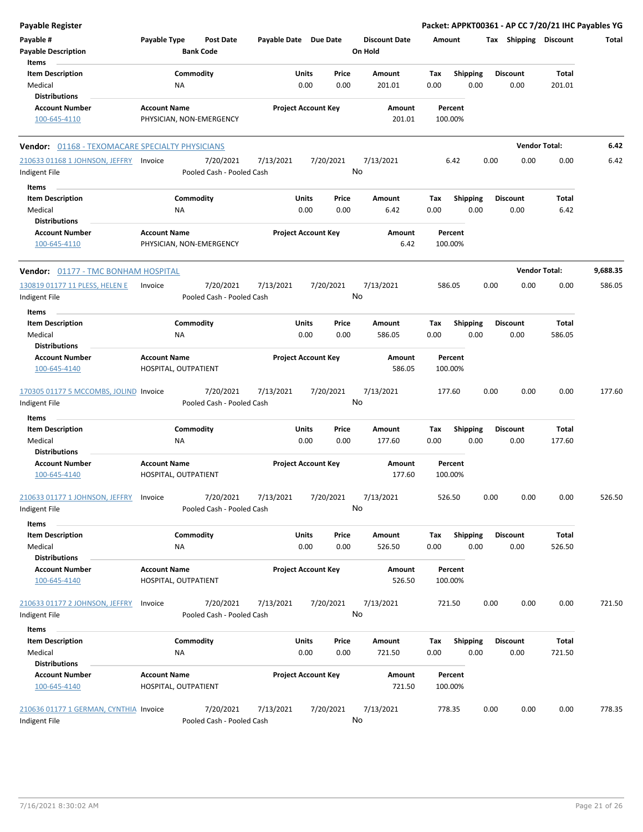| Payable Register                                        |                     |                                        |                            |               |               |                                 |               |                         |      |                         |                      | Packet: APPKT00361 - AP CC 7/20/21 IHC Payables YG |
|---------------------------------------------------------|---------------------|----------------------------------------|----------------------------|---------------|---------------|---------------------------------|---------------|-------------------------|------|-------------------------|----------------------|----------------------------------------------------|
| Payable #<br><b>Payable Description</b>                 | Payable Type        | <b>Post Date</b><br><b>Bank Code</b>   | Payable Date Due Date      |               |               | <b>Discount Date</b><br>On Hold | <b>Amount</b> |                         |      | Tax Shipping Discount   |                      | Total                                              |
| Items<br><b>Item Description</b>                        |                     | Commodity                              |                            | <b>Units</b>  | Price         | Amount                          | Tax           | <b>Shipping</b>         |      | <b>Discount</b>         | Total                |                                                    |
| Medical<br><b>Distributions</b>                         |                     | <b>NA</b>                              |                            | 0.00          | 0.00          | 201.01                          | 0.00          | 0.00                    |      | 0.00                    | 201.01               |                                                    |
| <b>Account Number</b>                                   | <b>Account Name</b> |                                        | <b>Project Account Key</b> |               |               | Amount                          |               | Percent                 |      |                         |                      |                                                    |
| 100-645-4110                                            |                     | PHYSICIAN, NON-EMERGENCY               |                            |               |               | 201.01                          |               | 100.00%                 |      |                         |                      |                                                    |
| <b>Vendor: 01168 - TEXOMACARE SPECIALTY PHYSICIANS</b>  |                     |                                        |                            |               |               |                                 |               |                         |      |                         | <b>Vendor Total:</b> | 6.42                                               |
| 210633 01168 1 JOHNSON, JEFFRY Invoice                  |                     | 7/20/2021                              | 7/13/2021                  |               | 7/20/2021     | 7/13/2021                       |               | 6.42                    | 0.00 | 0.00                    | 0.00                 | 6.42                                               |
| Indigent File                                           |                     | Pooled Cash - Pooled Cash              |                            |               |               | No                              |               |                         |      |                         |                      |                                                    |
| Items                                                   |                     |                                        |                            |               |               |                                 |               |                         |      |                         |                      |                                                    |
| <b>Item Description</b><br>Medical                      |                     | Commodity<br>ΝA                        |                            | Units<br>0.00 | Price<br>0.00 | Amount<br>6.42                  | Tax<br>0.00   | <b>Shipping</b><br>0.00 |      | <b>Discount</b><br>0.00 | Total<br>6.42        |                                                    |
| <b>Distributions</b>                                    |                     |                                        |                            |               |               |                                 |               |                         |      |                         |                      |                                                    |
| <b>Account Number</b><br>100-645-4110                   | <b>Account Name</b> | PHYSICIAN, NON-EMERGENCY               | <b>Project Account Key</b> |               |               | Amount<br>6.42                  |               | Percent<br>100.00%      |      |                         |                      |                                                    |
| Vendor: 01177 - TMC BONHAM HOSPITAL                     |                     |                                        |                            |               |               |                                 |               |                         |      |                         | <b>Vendor Total:</b> | 9,688.35                                           |
| 130819 01177 11 PLESS, HELEN E                          | Invoice             | 7/20/2021                              | 7/13/2021                  |               | 7/20/2021     | 7/13/2021                       | 586.05        |                         | 0.00 | 0.00                    | 0.00                 | 586.05                                             |
| Indigent File                                           |                     | Pooled Cash - Pooled Cash              |                            |               |               | No                              |               |                         |      |                         |                      |                                                    |
| Items                                                   |                     |                                        |                            |               |               |                                 |               |                         |      |                         |                      |                                                    |
| <b>Item Description</b>                                 |                     | Commodity                              |                            | Units         | Price         | Amount                          | Tax           | <b>Shipping</b>         |      | <b>Discount</b>         | Total                |                                                    |
| Medical                                                 |                     | ΝA                                     |                            | 0.00          | 0.00          | 586.05                          | 0.00          | 0.00                    |      | 0.00                    | 586.05               |                                                    |
| <b>Distributions</b><br><b>Account Number</b>           | <b>Account Name</b> |                                        | <b>Project Account Key</b> |               |               | Amount                          |               | Percent                 |      |                         |                      |                                                    |
| 100-645-4140                                            |                     | HOSPITAL, OUTPATIENT                   |                            |               |               | 586.05                          |               | 100.00%                 |      |                         |                      |                                                    |
| 170305 01177 5 MCCOMBS, JOLIND Invoice<br>Indigent File |                     | 7/20/2021<br>Pooled Cash - Pooled Cash | 7/13/2021                  |               | 7/20/2021     | 7/13/2021<br>No                 | 177.60        |                         | 0.00 | 0.00                    | 0.00                 | 177.60                                             |
| Items                                                   |                     |                                        |                            |               |               |                                 |               |                         |      |                         |                      |                                                    |
| <b>Item Description</b>                                 |                     | Commodity                              |                            | Units         | Price         | Amount                          | Tax           | Shipping                |      | <b>Discount</b>         | Total                |                                                    |
| Medical<br><b>Distributions</b>                         |                     | <b>NA</b>                              |                            | 0.00          | 0.00          | 177.60                          | 0.00          | 0.00                    |      | 0.00                    | 177.60               |                                                    |
| <b>Account Number</b>                                   | <b>Account Name</b> |                                        | <b>Project Account Key</b> |               |               | <b>Amount</b>                   |               | Percent                 |      |                         |                      |                                                    |
| 100-645-4140                                            |                     | HOSPITAL, OUTPATIENT                   |                            |               |               | 177.60                          |               | 100.00%                 |      |                         |                      |                                                    |
| 210633 01177 1 JOHNSON, JEFFRY<br>Indigent File         | Invoice             | 7/20/2021<br>Pooled Cash - Pooled Cash | 7/13/2021                  |               | 7/20/2021     | 7/13/2021<br>No                 | 526.50        |                         | 0.00 | 0.00                    | 0.00                 | 526.50                                             |
| Items                                                   |                     |                                        |                            |               |               |                                 |               |                         |      |                         |                      |                                                    |
| <b>Item Description</b><br>Medical                      |                     | Commodity<br>ΝA                        |                            | Units<br>0.00 | Price<br>0.00 | Amount<br>526.50                | Tax<br>0.00   | <b>Shipping</b><br>0.00 |      | Discount<br>0.00        | Total<br>526.50      |                                                    |
| <b>Distributions</b>                                    |                     |                                        |                            |               |               |                                 |               |                         |      |                         |                      |                                                    |
| <b>Account Number</b><br>100-645-4140                   | <b>Account Name</b> | HOSPITAL, OUTPATIENT                   | <b>Project Account Key</b> |               |               | Amount<br>526.50                |               | Percent<br>100.00%      |      |                         |                      |                                                    |
| 210633 01177 2 JOHNSON, JEFFRY                          | Invoice             | 7/20/2021                              | 7/13/2021                  |               | 7/20/2021     | 7/13/2021                       |               | 721.50                  | 0.00 | 0.00                    | 0.00                 | 721.50                                             |
| Indigent File                                           |                     | Pooled Cash - Pooled Cash              |                            |               |               | No                              |               |                         |      |                         |                      |                                                    |
| Items                                                   |                     |                                        |                            |               |               |                                 |               |                         |      |                         |                      |                                                    |
| <b>Item Description</b><br>Medical                      |                     | Commodity<br>NA                        |                            | Units<br>0.00 | Price<br>0.00 | Amount<br>721.50                | Tax<br>0.00   | <b>Shipping</b><br>0.00 |      | <b>Discount</b><br>0.00 | Total<br>721.50      |                                                    |
| <b>Distributions</b>                                    |                     |                                        |                            |               |               |                                 |               |                         |      |                         |                      |                                                    |
| <b>Account Number</b><br>100-645-4140                   | <b>Account Name</b> | HOSPITAL, OUTPATIENT                   | <b>Project Account Key</b> |               |               | Amount<br>721.50                |               | Percent<br>100.00%      |      |                         |                      |                                                    |
| 210636 01177 1 GERMAN, CYNTHIA Invoice<br>Indigent File |                     | 7/20/2021<br>Pooled Cash - Pooled Cash | 7/13/2021                  |               | 7/20/2021     | 7/13/2021<br>No                 | 778.35        |                         | 0.00 | 0.00                    | 0.00                 | 778.35                                             |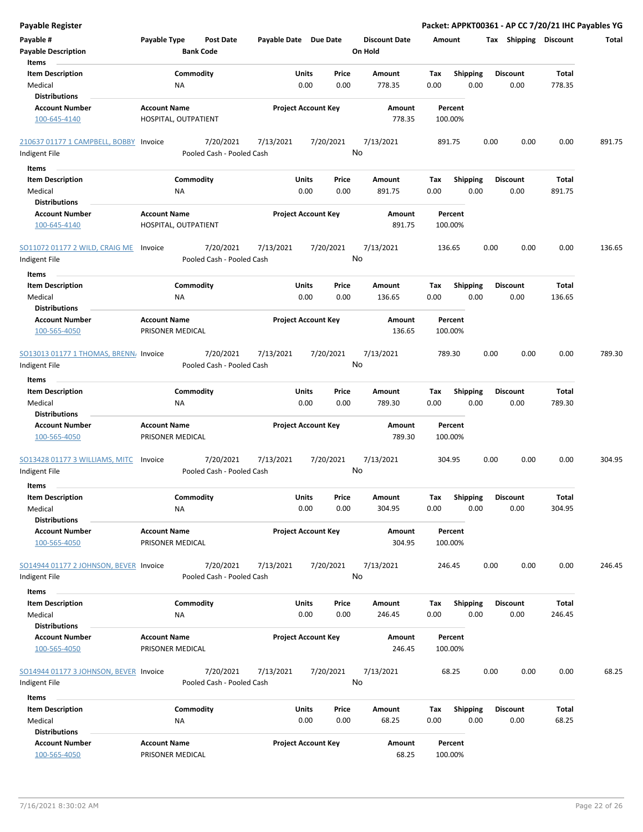| <b>Payable Register</b>                                 |                                         |                      |                                        |                       |       |                            |         |                      |         |                 |      |      |                       |        | Packet: APPKT00361 - AP CC 7/20/21 IHC Payables YG |
|---------------------------------------------------------|-----------------------------------------|----------------------|----------------------------------------|-----------------------|-------|----------------------------|---------|----------------------|---------|-----------------|------|------|-----------------------|--------|----------------------------------------------------|
| Payable #                                               | Payable Type                            |                      | <b>Post Date</b>                       | Payable Date Due Date |       |                            |         | <b>Discount Date</b> | Amount  |                 |      |      | Tax Shipping Discount |        | Total                                              |
| <b>Payable Description</b>                              |                                         | <b>Bank Code</b>     |                                        |                       |       |                            | On Hold |                      |         |                 |      |      |                       |        |                                                    |
| Items                                                   |                                         |                      |                                        |                       |       |                            |         |                      |         |                 |      |      |                       |        |                                                    |
| <b>Item Description</b>                                 |                                         | Commodity            |                                        |                       | Units | Price                      |         | Amount               | Tax     | <b>Shipping</b> |      |      | <b>Discount</b>       | Total  |                                                    |
| Medical                                                 |                                         | <b>NA</b>            |                                        |                       | 0.00  | 0.00                       |         | 778.35               | 0.00    |                 | 0.00 |      | 0.00                  | 778.35 |                                                    |
| <b>Distributions</b>                                    |                                         |                      |                                        |                       |       |                            |         |                      |         |                 |      |      |                       |        |                                                    |
| <b>Account Number</b>                                   | <b>Account Name</b>                     |                      |                                        |                       |       | <b>Project Account Key</b> |         | Amount               |         | Percent         |      |      |                       |        |                                                    |
| 100-645-4140                                            |                                         | HOSPITAL, OUTPATIENT |                                        |                       |       |                            |         | 778.35               | 100.00% |                 |      |      |                       |        |                                                    |
| 210637 01177 1 CAMPBELL, BOBBY Invoice                  |                                         |                      | 7/20/2021                              | 7/13/2021             |       | 7/20/2021                  |         | 7/13/2021            | 891.75  |                 |      | 0.00 | 0.00                  | 0.00   | 891.75                                             |
| Indigent File                                           |                                         |                      | Pooled Cash - Pooled Cash              |                       |       |                            | No      |                      |         |                 |      |      |                       |        |                                                    |
|                                                         |                                         |                      |                                        |                       |       |                            |         |                      |         |                 |      |      |                       |        |                                                    |
| Items                                                   |                                         |                      |                                        |                       |       |                            |         |                      |         |                 |      |      |                       |        |                                                    |
| <b>Item Description</b>                                 |                                         | Commodity            |                                        |                       | Units | Price                      |         | Amount               | Tax     | <b>Shipping</b> | 0.00 |      | <b>Discount</b>       | Total  |                                                    |
| Medical<br><b>Distributions</b>                         |                                         | NA                   |                                        |                       | 0.00  | 0.00                       |         | 891.75               | 0.00    |                 |      |      | 0.00                  | 891.75 |                                                    |
|                                                         | <b>Account Name</b>                     |                      |                                        |                       |       |                            |         |                      |         |                 |      |      |                       |        |                                                    |
| <b>Account Number</b><br>100-645-4140                   |                                         | HOSPITAL, OUTPATIENT |                                        |                       |       | <b>Project Account Key</b> |         | Amount<br>891.75     | 100.00% | Percent         |      |      |                       |        |                                                    |
| SO11072 01177 2 WILD, CRAIG ME                          | Invoice                                 |                      | 7/20/2021                              | 7/13/2021             |       | 7/20/2021                  |         | 7/13/2021            | 136.65  |                 |      | 0.00 | 0.00                  | 0.00   | 136.65                                             |
| Indigent File                                           |                                         |                      | Pooled Cash - Pooled Cash              |                       |       |                            | No      |                      |         |                 |      |      |                       |        |                                                    |
| Items                                                   |                                         |                      |                                        |                       |       |                            |         |                      |         |                 |      |      |                       |        |                                                    |
| <b>Item Description</b>                                 |                                         | Commodity            |                                        |                       | Units | Price                      |         | Amount               | Tax     | <b>Shipping</b> |      |      | <b>Discount</b>       | Total  |                                                    |
| Medical<br><b>Distributions</b>                         |                                         | <b>NA</b>            |                                        |                       | 0.00  | 0.00                       |         | 136.65               | 0.00    |                 | 0.00 |      | 0.00                  | 136.65 |                                                    |
| <b>Account Number</b>                                   | <b>Account Name</b>                     |                      |                                        |                       |       | <b>Project Account Key</b> |         | Amount               |         | Percent         |      |      |                       |        |                                                    |
| 100-565-4050                                            | PRISONER MEDICAL                        |                      |                                        |                       |       |                            |         | 136.65               | 100.00% |                 |      |      |                       |        |                                                    |
| SO13013 01177 1 THOMAS, BRENN. Invoice                  |                                         |                      | 7/20/2021                              | 7/13/2021             |       | 7/20/2021                  |         | 7/13/2021            | 789.30  |                 |      | 0.00 | 0.00                  | 0.00   | 789.30                                             |
| Indigent File                                           |                                         |                      | Pooled Cash - Pooled Cash              |                       |       |                            | No      |                      |         |                 |      |      |                       |        |                                                    |
|                                                         |                                         |                      |                                        |                       |       |                            |         |                      |         |                 |      |      |                       |        |                                                    |
| Items                                                   |                                         |                      |                                        |                       |       |                            |         |                      |         |                 |      |      |                       |        |                                                    |
| <b>Item Description</b>                                 |                                         | Commodity            |                                        |                       | Units | Price                      |         | Amount               | Tax     | <b>Shipping</b> |      |      | <b>Discount</b>       | Total  |                                                    |
| Medical                                                 |                                         | NA                   |                                        |                       | 0.00  | 0.00                       |         | 789.30               | 0.00    |                 | 0.00 |      | 0.00                  | 789.30 |                                                    |
| <b>Distributions</b>                                    |                                         |                      |                                        |                       |       |                            |         |                      |         |                 |      |      |                       |        |                                                    |
| <b>Account Number</b>                                   | <b>Account Name</b>                     |                      |                                        |                       |       | <b>Project Account Key</b> |         | Amount               |         | Percent         |      |      |                       |        |                                                    |
| 100-565-4050                                            | PRISONER MEDICAL                        |                      |                                        |                       |       |                            |         | 789.30               | 100.00% |                 |      |      |                       |        |                                                    |
| <b>SO13428 01177 3 WILLIAMS, MITC</b>                   | Invoice                                 |                      | 7/20/2021                              | 7/13/2021             |       | 7/20/2021                  |         | 7/13/2021            | 304.95  |                 |      | 0.00 | 0.00                  | 0.00   | 304.95                                             |
| Indigent File                                           |                                         |                      | Pooled Cash - Pooled Cash              |                       |       |                            | No      |                      |         |                 |      |      |                       |        |                                                    |
|                                                         |                                         |                      |                                        |                       |       |                            |         |                      |         |                 |      |      |                       |        |                                                    |
| Items                                                   |                                         |                      |                                        |                       |       |                            |         |                      |         |                 |      |      |                       |        |                                                    |
| <b>Item Description</b>                                 |                                         | Commodity            |                                        |                       | Units | Price                      |         | Amount               | Tax     | <b>Shipping</b> |      |      | <b>Discount</b>       | Total  |                                                    |
| Medical                                                 |                                         | NA                   |                                        |                       | 0.00  | 0.00                       |         | 304.95               | 0.00    |                 | 0.00 |      | 0.00                  | 304.95 |                                                    |
| <b>Distributions</b>                                    |                                         |                      |                                        |                       |       |                            |         |                      |         |                 |      |      |                       |        |                                                    |
| <b>Account Number</b><br>100-565-4050                   | <b>Account Name</b><br>PRISONER MEDICAL |                      |                                        |                       |       | <b>Project Account Key</b> |         | Amount<br>304.95     | 100.00% | Percent         |      |      |                       |        |                                                    |
| SO14944 01177 2 JOHNSON, BEVER Invoice<br>Indigent File |                                         |                      | 7/20/2021<br>Pooled Cash - Pooled Cash | 7/13/2021             |       | 7/20/2021                  | No      | 7/13/2021            | 246.45  |                 |      | 0.00 | 0.00                  | 0.00   | 246.45                                             |
| Items                                                   |                                         |                      |                                        |                       |       |                            |         |                      |         |                 |      |      |                       |        |                                                    |
| <b>Item Description</b>                                 |                                         | Commodity            |                                        |                       | Units | Price                      |         | Amount               | Tax     | <b>Shipping</b> |      |      | <b>Discount</b>       | Total  |                                                    |
| Medical                                                 |                                         | NA                   |                                        |                       | 0.00  | 0.00                       |         | 246.45               | 0.00    |                 | 0.00 |      | 0.00                  | 246.45 |                                                    |
| <b>Distributions</b>                                    |                                         |                      |                                        |                       |       |                            |         |                      |         |                 |      |      |                       |        |                                                    |
| <b>Account Number</b>                                   | <b>Account Name</b>                     |                      |                                        |                       |       | <b>Project Account Key</b> |         | Amount               |         | Percent         |      |      |                       |        |                                                    |
| 100-565-4050                                            | PRISONER MEDICAL                        |                      |                                        |                       |       |                            |         | 246.45               | 100.00% |                 |      |      |                       |        |                                                    |
| SO14944 01177 3 JOHNSON, BEVER Invoice<br>Indigent File |                                         |                      | 7/20/2021<br>Pooled Cash - Pooled Cash | 7/13/2021             |       | 7/20/2021                  | No      | 7/13/2021            |         | 68.25           |      | 0.00 | 0.00                  | 0.00   | 68.25                                              |
| Items                                                   |                                         |                      |                                        |                       |       |                            |         |                      |         |                 |      |      |                       |        |                                                    |
| <b>Item Description</b>                                 |                                         | Commodity            |                                        |                       | Units | Price                      |         | Amount               | Tax     | <b>Shipping</b> |      |      | <b>Discount</b>       | Total  |                                                    |
| Medical                                                 |                                         | <b>NA</b>            |                                        |                       | 0.00  | 0.00                       |         | 68.25                | 0.00    |                 | 0.00 |      | 0.00                  | 68.25  |                                                    |
| <b>Distributions</b>                                    |                                         |                      |                                        |                       |       |                            |         |                      |         |                 |      |      |                       |        |                                                    |
| <b>Account Number</b>                                   | <b>Account Name</b>                     |                      |                                        |                       |       | <b>Project Account Key</b> |         | Amount               |         | Percent         |      |      |                       |        |                                                    |
| 100-565-4050                                            | PRISONER MEDICAL                        |                      |                                        |                       |       |                            |         | 68.25                | 100.00% |                 |      |      |                       |        |                                                    |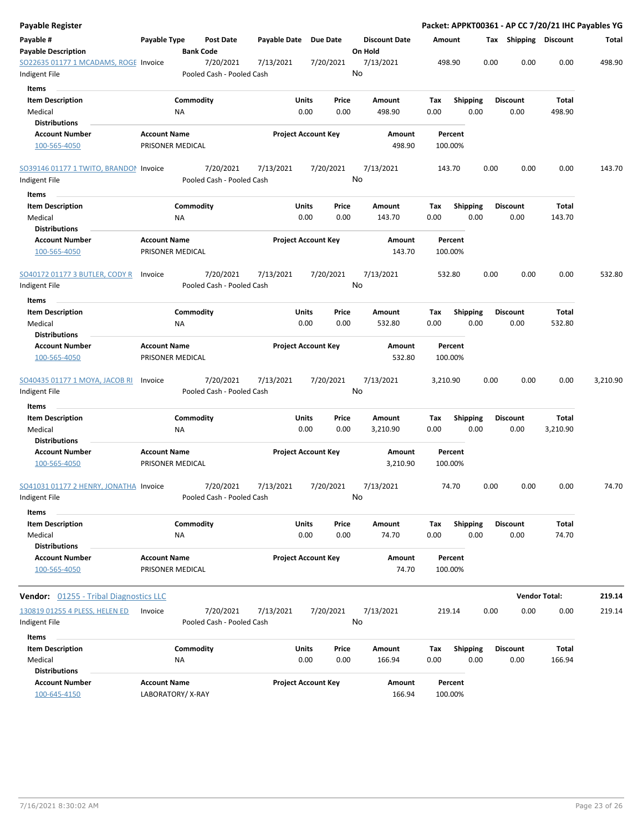| Payable Register                                           |                                         |                 |                                        |                            |                      |                 |                                 |             |                    |      | Packet: APPKT00361 - AP CC 7/20/21 IHC Payables YG |                      |          |
|------------------------------------------------------------|-----------------------------------------|-----------------|----------------------------------------|----------------------------|----------------------|-----------------|---------------------------------|-------------|--------------------|------|----------------------------------------------------|----------------------|----------|
| Payable #<br><b>Payable Description</b>                    | Payable Type                            |                 | Post Date<br><b>Bank Code</b>          | Payable Date               |                      | <b>Due Date</b> | <b>Discount Date</b><br>On Hold | Amount      |                    |      | <b>Tax Shipping Discount</b>                       |                      | Total    |
| SO22635 01177 1 MCADAMS, ROGE Invoice<br>Indigent File     |                                         |                 | 7/20/2021<br>Pooled Cash - Pooled Cash | 7/13/2021                  |                      | 7/20/2021       | 7/13/2021<br>No                 |             | 498.90             |      | 0.00<br>0.00                                       | 0.00                 | 498.90   |
| Items                                                      |                                         |                 |                                        |                            |                      |                 |                                 |             |                    |      |                                                    |                      |          |
| <b>Item Description</b>                                    |                                         | Commodity       |                                        |                            | Units                | Price           | Amount                          | Tax         | <b>Shipping</b>    |      | <b>Discount</b>                                    | Total                |          |
| Medical<br><b>Distributions</b>                            |                                         | <b>NA</b>       |                                        |                            | 0.00                 | 0.00            | 498.90                          | 0.00        |                    | 0.00 | 0.00                                               | 498.90               |          |
| <b>Account Number</b><br>100-565-4050                      | <b>Account Name</b><br>PRISONER MEDICAL |                 |                                        | <b>Project Account Key</b> |                      |                 | Amount<br>498.90                |             | Percent<br>100.00% |      |                                                    |                      |          |
| SO39146 01177 1 TWITO, BRANDON Invoice                     |                                         |                 | 7/20/2021<br>Pooled Cash - Pooled Cash | 7/13/2021                  |                      | 7/20/2021       | 7/13/2021<br>No                 |             | 143.70             |      | 0.00<br>0.00                                       | 0.00                 | 143.70   |
| Indigent File                                              |                                         |                 |                                        |                            |                      |                 |                                 |             |                    |      |                                                    |                      |          |
| Items                                                      |                                         |                 |                                        |                            |                      |                 |                                 |             |                    |      |                                                    |                      |          |
| <b>Item Description</b><br>Medical<br><b>Distributions</b> |                                         | Commodity<br>ΝA |                                        |                            | Units<br>0.00        | Price<br>0.00   | Amount<br>143.70                | Tax<br>0.00 | <b>Shipping</b>    | 0.00 | <b>Discount</b><br>0.00                            | Total<br>143.70      |          |
| <b>Account Number</b><br>100-565-4050                      | <b>Account Name</b><br>PRISONER MEDICAL |                 |                                        | <b>Project Account Key</b> |                      |                 | Amount<br>143.70                |             | Percent<br>100.00% |      |                                                    |                      |          |
| <b>SO40172 01177 3 BUTLER, CODY R</b>                      | Invoice                                 |                 | 7/20/2021                              | 7/13/2021                  |                      | 7/20/2021       | 7/13/2021                       |             | 532.80             |      | 0.00<br>0.00                                       | 0.00                 | 532.80   |
| Indigent File                                              |                                         |                 | Pooled Cash - Pooled Cash              |                            |                      |                 | No                              |             |                    |      |                                                    |                      |          |
| Items                                                      |                                         |                 |                                        |                            |                      |                 |                                 |             |                    |      |                                                    |                      |          |
| <b>Item Description</b><br>Medical<br><b>Distributions</b> |                                         | Commodity<br>ΝA |                                        |                            | <b>Units</b><br>0.00 | Price<br>0.00   | Amount<br>532.80                | Tax<br>0.00 | <b>Shipping</b>    | 0.00 | <b>Discount</b><br>0.00                            | Total<br>532.80      |          |
| <b>Account Number</b><br>100-565-4050                      | <b>Account Name</b><br>PRISONER MEDICAL |                 |                                        | <b>Project Account Key</b> |                      |                 | Amount<br>532.80                |             | Percent<br>100.00% |      |                                                    |                      |          |
| SO40435 01177 1 MOYA, JACOB RI<br>Indigent File            | Invoice                                 |                 | 7/20/2021<br>Pooled Cash - Pooled Cash | 7/13/2021                  |                      | 7/20/2021       | 7/13/2021<br>No                 | 3,210.90    |                    |      | 0.00<br>0.00                                       | 0.00                 | 3,210.90 |
| Items                                                      |                                         |                 |                                        |                            |                      |                 |                                 |             |                    |      |                                                    |                      |          |
| <b>Item Description</b>                                    |                                         | Commodity       |                                        |                            | <b>Units</b>         | Price           | Amount                          | Tax         | Shipping           |      | <b>Discount</b>                                    | Total                |          |
| Medical<br><b>Distributions</b>                            |                                         | ΝA              |                                        |                            | 0.00                 | 0.00            | 3,210.90                        | 0.00        |                    | 0.00 | 0.00                                               | 3,210.90             |          |
| <b>Account Number</b><br>100-565-4050                      | <b>Account Name</b><br>PRISONER MEDICAL |                 |                                        | <b>Project Account Key</b> |                      |                 | Amount<br>3,210.90              |             | Percent<br>100.00% |      |                                                    |                      |          |
| SO41031 01177 2 HENRY, JONATHA Invoice<br>Indigent File    |                                         |                 | 7/20/2021<br>Pooled Cash - Pooled Cash | 7/13/2021                  |                      | 7/20/2021       | 7/13/2021<br>No                 |             | 74.70              |      | 0.00<br>0.00                                       | 0.00                 | 74.70    |
|                                                            |                                         |                 |                                        |                            |                      |                 |                                 |             |                    |      |                                                    |                      |          |
| Items<br><b>Item Description</b>                           |                                         | Commodity       |                                        |                            | Units                | Price           | Amount                          | Tax         | <b>Shipping</b>    |      | <b>Discount</b>                                    | Total                |          |
| Medical<br><b>Distributions</b>                            |                                         | NA              |                                        |                            | 0.00                 | 0.00            | 74.70                           | 0.00        |                    | 0.00 | 0.00                                               | 74.70                |          |
| <b>Account Number</b><br>100-565-4050                      | <b>Account Name</b><br>PRISONER MEDICAL |                 |                                        | <b>Project Account Key</b> |                      |                 | Amount<br>74.70                 |             | Percent<br>100.00% |      |                                                    |                      |          |
| <b>Vendor:</b> 01255 - Tribal Diagnostics LLC              |                                         |                 |                                        |                            |                      |                 |                                 |             |                    |      |                                                    | <b>Vendor Total:</b> | 219.14   |
| 130819 01255 4 PLESS, HELEN ED<br>Indigent File            | Invoice                                 |                 | 7/20/2021<br>Pooled Cash - Pooled Cash | 7/13/2021                  |                      | 7/20/2021       | 7/13/2021<br>No                 |             | 219.14             |      | 0.00<br>0.00                                       | 0.00                 | 219.14   |
| Items                                                      |                                         |                 |                                        |                            |                      |                 |                                 |             |                    |      |                                                    |                      |          |
| <b>Item Description</b>                                    |                                         | Commodity       |                                        |                            | Units                | Price           | Amount                          | Tax         | <b>Shipping</b>    |      | <b>Discount</b>                                    | Total                |          |
| Medical                                                    |                                         | <b>NA</b>       |                                        |                            | 0.00                 | 0.00            | 166.94                          | 0.00        |                    | 0.00 | 0.00                                               | 166.94               |          |
| <b>Distributions</b>                                       |                                         |                 |                                        |                            |                      |                 |                                 |             |                    |      |                                                    |                      |          |
| <b>Account Number</b><br>100-645-4150                      | <b>Account Name</b><br>LABORATORY/X-RAY |                 |                                        | <b>Project Account Key</b> |                      |                 | Amount<br>166.94                |             | Percent<br>100.00% |      |                                                    |                      |          |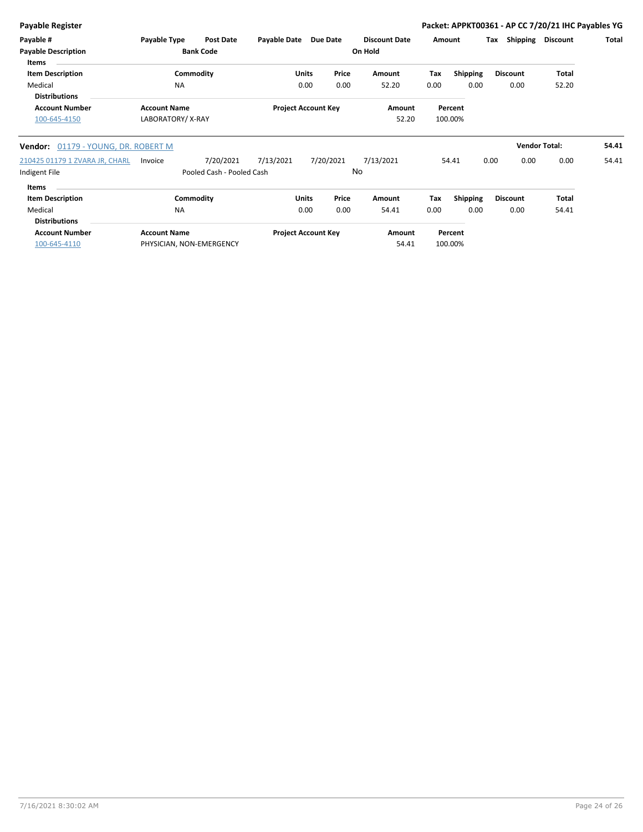| <b>Payable Register</b>                    |                          |                           |                     |                            |           |                      |        |                 |      |                 | Packet: APPKT00361 - AP CC 7/20/21 IHC Payables YG |       |
|--------------------------------------------|--------------------------|---------------------------|---------------------|----------------------------|-----------|----------------------|--------|-----------------|------|-----------------|----------------------------------------------------|-------|
| Payable #                                  | Payable Type             | Post Date                 | <b>Payable Date</b> |                            | Due Date  | <b>Discount Date</b> | Amount |                 | Tax  | Shipping        | Discount                                           | Total |
| <b>Payable Description</b><br><b>Items</b> |                          | <b>Bank Code</b>          |                     |                            |           | On Hold              |        |                 |      |                 |                                                    |       |
| <b>Item Description</b>                    |                          | Commodity                 |                     | <b>Units</b>               | Price     | Amount               | Tax    | <b>Shipping</b> |      | <b>Discount</b> | Total                                              |       |
| Medical<br><b>Distributions</b>            | <b>NA</b>                |                           |                     | 0.00                       | 0.00      | 52.20                | 0.00   | 0.00            |      | 0.00            | 52.20                                              |       |
| <b>Account Number</b>                      | <b>Account Name</b>      |                           |                     | <b>Project Account Key</b> |           | Amount               |        | Percent         |      |                 |                                                    |       |
| 100-645-4150                               | LABORATORY/X-RAY         |                           |                     |                            |           | 52.20                |        | 100.00%         |      |                 |                                                    |       |
| 01179 - YOUNG, DR. ROBERT M<br>Vendor:     |                          |                           |                     |                            |           |                      |        |                 |      |                 | <b>Vendor Total:</b>                               | 54.41 |
| 210425 01179 1 ZVARA JR, CHARL             | Invoice                  | 7/20/2021                 | 7/13/2021           |                            | 7/20/2021 | 7/13/2021            |        | 54.41           | 0.00 | 0.00            | 0.00                                               | 54.41 |
| Indigent File                              |                          | Pooled Cash - Pooled Cash |                     |                            |           | No                   |        |                 |      |                 |                                                    |       |
| <b>Items</b>                               |                          |                           |                     |                            |           |                      |        |                 |      |                 |                                                    |       |
| <b>Item Description</b>                    |                          | Commodity                 |                     | <b>Units</b>               | Price     | Amount               | Tax    | <b>Shipping</b> |      | <b>Discount</b> | <b>Total</b>                                       |       |
| Medical                                    | <b>NA</b>                |                           |                     | 0.00                       | 0.00      | 54.41                | 0.00   | 0.00            |      | 0.00            | 54.41                                              |       |
| <b>Distributions</b>                       |                          |                           |                     |                            |           |                      |        |                 |      |                 |                                                    |       |
| <b>Account Number</b>                      | <b>Account Name</b>      |                           |                     | <b>Project Account Key</b> |           | Amount               |        | Percent         |      |                 |                                                    |       |
| 100-645-4110                               | PHYSICIAN, NON-EMERGENCY |                           |                     |                            |           | 54.41                |        | 100.00%         |      |                 |                                                    |       |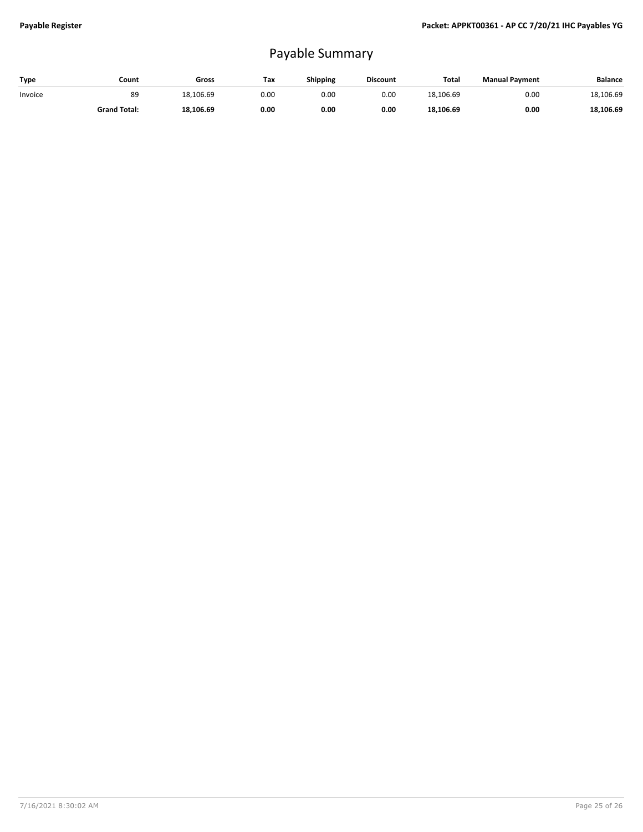## Payable Summary

| Type    | Count               | Gross     | Tax  | <b>Shipping</b> | <b>Discount</b> | Total     | <b>Manual Payment</b> | <b>Balance</b> |
|---------|---------------------|-----------|------|-----------------|-----------------|-----------|-----------------------|----------------|
| Invoice | 89                  | 18,106.69 | 0.00 | 0.00            | 0.00            | 18.106.69 | 0.00                  | 18,106.69      |
|         | <b>Grand Total:</b> | 18,106.69 | 0.00 | 0.00            | 0.00            | 18.106.69 | 0.00                  | 18,106.69      |